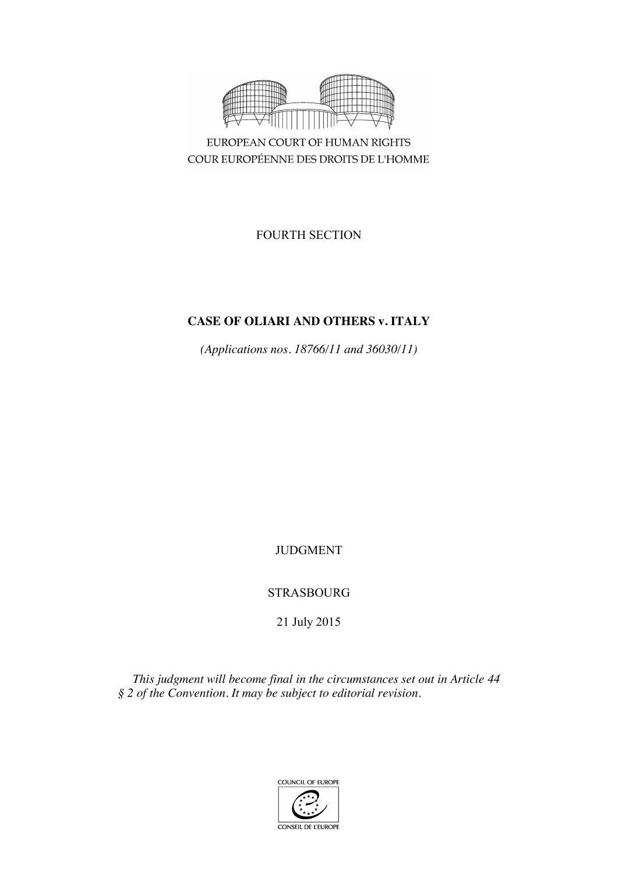

EUROPEAN COURT OF HUMAN RIGHTS COUR EUROPÉENNE DES DROITS DE L'HOMME

FOURTH SECTION

# **CASE OF OLIARI AND OTHERS v. ITALY**

*(Applications nos. 18766/11 and 36030/11)*

JUDGMENT

STRASBOURG

21 July 2015

*This judgment will become final in the circumstances set out in Article 44 § 2 of the Convention. It may be subject to editorial revision.*

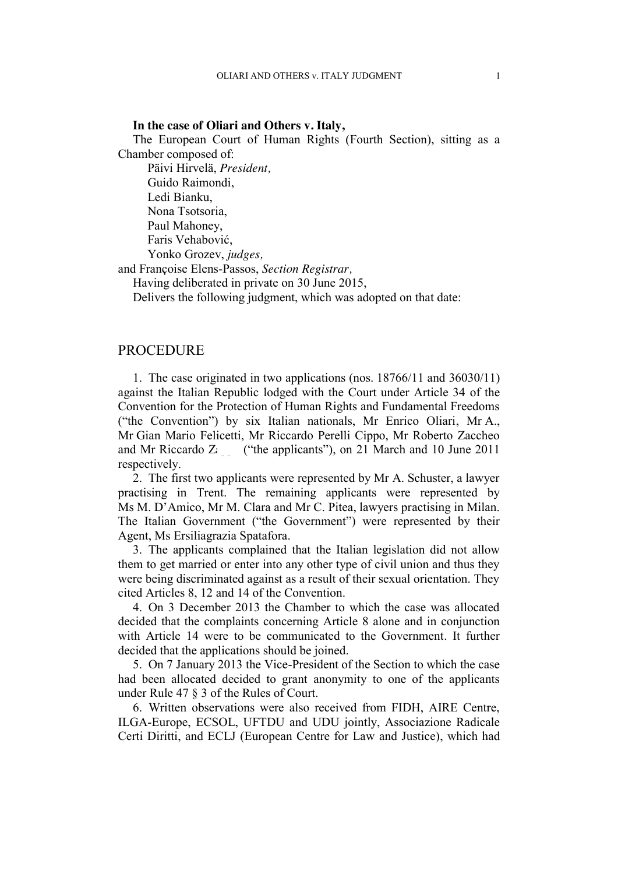# **In the case of Oliari and Others v. Italy,**

The European Court of Human Rights (Fourth Section), sitting as a Chamber composed of:

Päivi Hirvelä, *President,* Guido Raimondi, Ledi Bianku, Nona Tsotsoria, Paul Mahoney, Faris Vehabović, Yonko Grozev, *judges,*

and Françoise Elens-Passos, *Section Registrar,*

Having deliberated in private on 30 June 2015,

Delivers the following judgment, which was adopted on that date:

# PROCEDURE

1. The case originated in two applications (nos. 18766/11 and 36030/11) against the Italian Republic lodged with the Court under Article 34 of the Convention for the Protection of Human Rights and Fundamental Freedoms ("the Convention") by six Italian nationals, Mr Enrico Oliari, Mr A., Mr Gian Mario Felicetti, Mr Riccardo Perelli Cippo, Mr Roberto Zaccheo and Mr Riccardo Z $\mathcal{L}$  ("the applicants"), on 21 March and 10 June 2011 respectively.

2. The first two applicants were represented by Mr A. Schuster, a lawyer practising in Trent. The remaining applicants were represented by Ms M. D'Amico, Mr M. Clara and Mr C. Pitea, lawyers practising in Milan. The Italian Government ("the Government") were represented by their Agent, Ms Ersiliagrazia Spatafora.

3. The applicants complained that the Italian legislation did not allow them to get married or enter into any other type of civil union and thus they were being discriminated against as a result of their sexual orientation. They cited Articles 8, 12 and 14 of the Convention.

4. On 3 December 2013 the Chamber to which the case was allocated decided that the complaints concerning Article 8 alone and in conjunction with Article 14 were to be communicated to the Government. It further decided that the applications should be joined.

5. On 7 January 2013 the Vice-President of the Section to which the case had been allocated decided to grant anonymity to one of the applicants under Rule 47 § 3 of the Rules of Court.

6. Written observations were also received from FIDH, AIRE Centre, ILGA-Europe, ECSOL, UFTDU and UDU jointly, Associazione Radicale Certi Diritti, and ECLJ (European Centre for Law and Justice), which had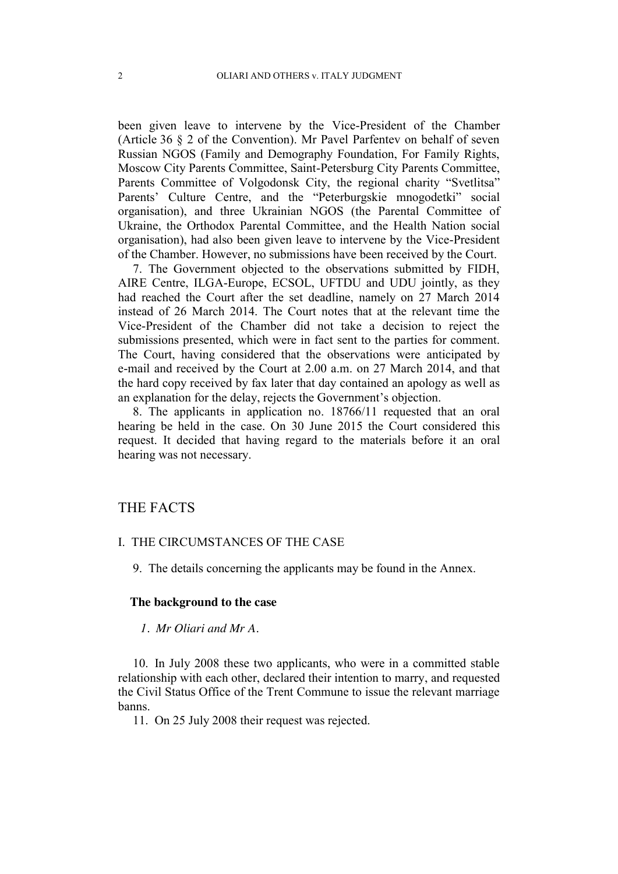been given leave to intervene by the Vice-President of the Chamber (Article 36 § 2 of the Convention). Mr Pavel Parfentev on behalf of seven Russian NGOS (Family and Demography Foundation, For Family Rights, Moscow City Parents Committee, Saint-Petersburg City Parents Committee, Parents Committee of Volgodonsk City, the regional charity "Svetlitsa" Parents' Culture Centre, and the "Peterburgskie mnogodetki" social organisation), and three Ukrainian NGOS (the Parental Committee of Ukraine, the Orthodox Parental Committee, and the Health Nation social organisation), had also been given leave to intervene by the Vice-President of the Chamber. However, no submissions have been received by the Court.

7. The Government objected to the observations submitted by FIDH, AIRE Centre, ILGA-Europe, ECSOL, UFTDU and UDU jointly, as they had reached the Court after the set deadline, namely on 27 March 2014 instead of 26 March 2014. The Court notes that at the relevant time the Vice-President of the Chamber did not take a decision to reject the submissions presented, which were in fact sent to the parties for comment. The Court, having considered that the observations were anticipated by e-mail and received by the Court at 2.00 a.m. on 27 March 2014, and that the hard copy received by fax later that day contained an apology as well as an explanation for the delay, rejects the Government's objection.

8. The applicants in application no. 18766/11 requested that an oral hearing be held in the case. On 30 June 2015 the Court considered this request. It decided that having regard to the materials before it an oral hearing was not necessary.

# THE FACTS

# I. THE CIRCUMSTANCES OF THE CASE

9. The details concerning the applicants may be found in the Annex.

### **The background to the case**

*1. Mr Oliari and Mr A.*

10. In July 2008 these two applicants, who were in a committed stable relationship with each other, declared their intention to marry, and requested the Civil Status Office of the Trent Commune to issue the relevant marriage banns.

11. On 25 July 2008 their request was rejected.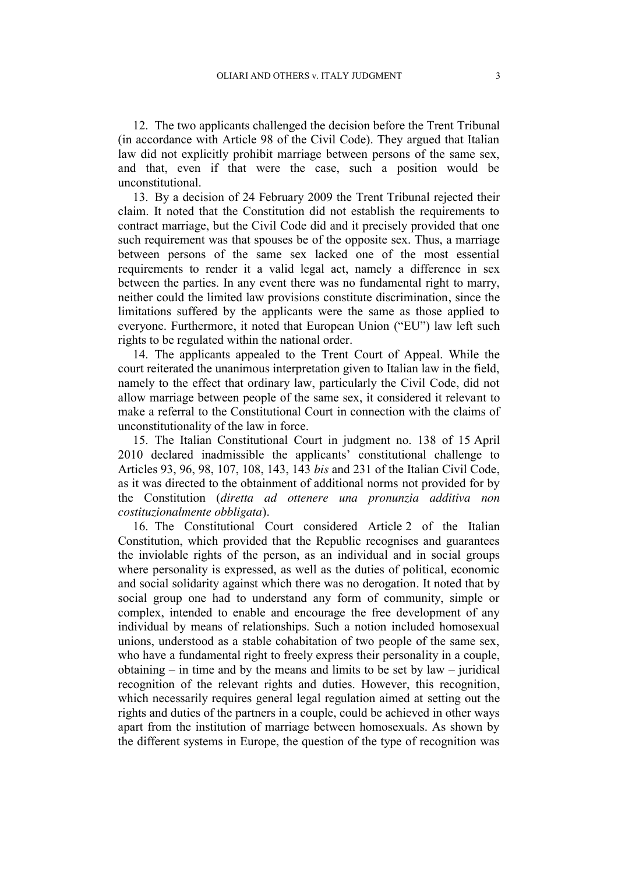12. The two applicants challenged the decision before the Trent Tribunal (in accordance with Article 98 of the Civil Code). They argued that Italian law did not explicitly prohibit marriage between persons of the same sex, and that, even if that were the case, such a position would be unconstitutional.

13. By a decision of 24 February 2009 the Trent Tribunal rejected their claim. It noted that the Constitution did not establish the requirements to contract marriage, but the Civil Code did and it precisely provided that one such requirement was that spouses be of the opposite sex. Thus, a marriage between persons of the same sex lacked one of the most essential requirements to render it a valid legal act, namely a difference in sex between the parties. In any event there was no fundamental right to marry, neither could the limited law provisions constitute discrimination, since the limitations suffered by the applicants were the same as those applied to everyone. Furthermore, it noted that European Union ("EU") law left such rights to be regulated within the national order.

14. The applicants appealed to the Trent Court of Appeal. While the court reiterated the unanimous interpretation given to Italian law in the field, namely to the effect that ordinary law, particularly the Civil Code, did not allow marriage between people of the same sex, it considered it relevant to make a referral to the Constitutional Court in connection with the claims of unconstitutionality of the law in force.

15. The Italian Constitutional Court in judgment no. 138 of 15 April 2010 declared inadmissible the applicants' constitutional challenge to Articles 93, 96, 98, 107, 108, 143, 143 *bis* and 231 of the Italian Civil Code, as it was directed to the obtainment of additional norms not provided for by the Constitution (*diretta ad ottenere una pronunzia additiva non costituzionalmente obbligata*).

16. The Constitutional Court considered Article 2 of the Italian Constitution, which provided that the Republic recognises and guarantees the inviolable rights of the person, as an individual and in social groups where personality is expressed, as well as the duties of political, economic and social solidarity against which there was no derogation. It noted that by social group one had to understand any form of community, simple or complex, intended to enable and encourage the free development of any individual by means of relationships. Such a notion included homosexual unions, understood as a stable cohabitation of two people of the same sex, who have a fundamental right to freely express their personality in a couple, obtaining – in time and by the means and limits to be set by  $law -$  juridical recognition of the relevant rights and duties. However, this recognition, which necessarily requires general legal regulation aimed at setting out the rights and duties of the partners in a couple, could be achieved in other ways apart from the institution of marriage between homosexuals. As shown by the different systems in Europe, the question of the type of recognition was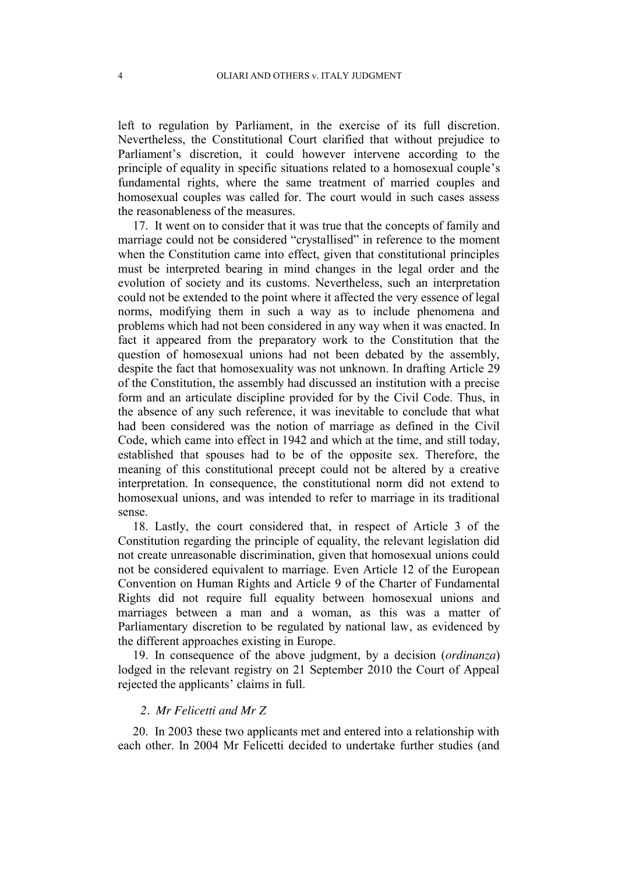left to regulation by Parliament, in the exercise of its full discretion. Nevertheless, the Constitutional Court clarified that without prejudice to Parliament's discretion, it could however intervene according to the principle of equality in specific situations related to a homosexual couple's fundamental rights, where the same treatment of married couples and homosexual couples was called for. The court would in such cases assess the reasonableness of the measures.

17. It went on to consider that it was true that the concepts of family and marriage could not be considered "crystallised" in reference to the moment when the Constitution came into effect, given that constitutional principles must be interpreted bearing in mind changes in the legal order and the evolution of society and its customs. Nevertheless, such an interpretation could not be extended to the point where it affected the very essence of legal norms, modifying them in such a way as to include phenomena and problems which had not been considered in any way when it was enacted. In fact it appeared from the preparatory work to the Constitution that the question of homosexual unions had not been debated by the assembly, despite the fact that homosexuality was not unknown. In drafting Article 29 of the Constitution, the assembly had discussed an institution with a precise form and an articulate discipline provided for by the Civil Code. Thus, in the absence of any such reference, it was inevitable to conclude that what had been considered was the notion of marriage as defined in the Civil Code, which came into effect in 1942 and which at the time, and still today, established that spouses had to be of the opposite sex. Therefore, the meaning of this constitutional precept could not be altered by a creative interpretation. In consequence, the constitutional norm did not extend to homosexual unions, and was intended to refer to marriage in its traditional sense.

18. Lastly, the court considered that, in respect of Article 3 of the Constitution regarding the principle of equality, the relevant legislation did not create unreasonable discrimination, given that homosexual unions could not be considered equivalent to marriage. Even Article 12 of the European Convention on Human Rights and Article 9 of the Charter of Fundamental Rights did not require full equality between homosexual unions and marriages between a man and a woman, as this was a matter of Parliamentary discretion to be regulated by national law, as evidenced by the different approaches existing in Europe.

19. In consequence of the above judgment, by a decision (*ordinanza*) lodged in the relevant registry on 21 September 2010 the Court of Appeal rejected the applicants' claims in full.

# 2. Mr Felicetti and Mr Z

20. In 2003 these two applicants met and entered into a relationship with each other. In 2004 Mr Felicetti decided to undertake further studies (and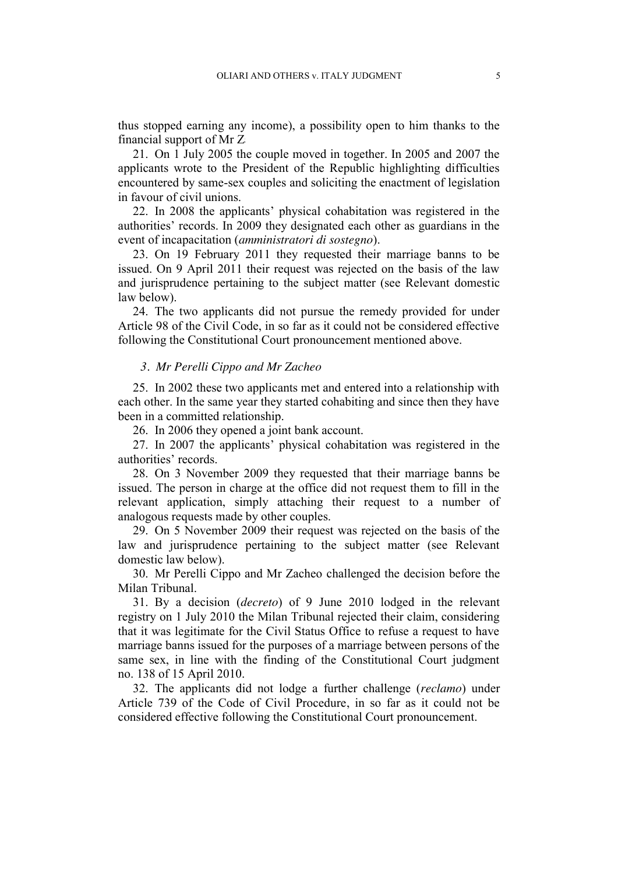thus stopped earning any income), a possibility open to him thanks to the  $\beta$  financial support of Mr  $Z$ 

21. On 1 July 2005 the couple moved in together. In 2005 and 2007 the applicants wrote to the President of the Republic highlighting difficulties encountered by same-sex couples and soliciting the enactment of legislation in favour of civil unions.

22. In 2008 the applicants' physical cohabitation was registered in the authorities' records. In 2009 they designated each other as guardians in the event of incapacitation (*amministratori di sostegno*).

23. On 19 February 2011 they requested their marriage banns to be issued. On 9 April 2011 their request was rejected on the basis of the law and jurisprudence pertaining to the subject matter (see Relevant domestic law below).

24. The two applicants did not pursue the remedy provided for under Article 98 of the Civil Code, in so far as it could not be considered effective following the Constitutional Court pronouncement mentioned above.

#### *3. Mr Perelli Cippo and Mr Zacheo*

25. In 2002 these two applicants met and entered into a relationship with each other. In the same year they started cohabiting and since then they have been in a committed relationship.

26. In 2006 they opened a joint bank account.

27. In 2007 the applicants' physical cohabitation was registered in the authorities' records.

28. On 3 November 2009 they requested that their marriage banns be issued. The person in charge at the office did not request them to fill in the relevant application, simply attaching their request to a number of analogous requests made by other couples.

29. On 5 November 2009 their request was rejected on the basis of the law and jurisprudence pertaining to the subject matter (see Relevant domestic law below).

30. Mr Perelli Cippo and Mr Zacheo challenged the decision before the Milan Tribunal.

31. By a decision (*decreto*) of 9 June 2010 lodged in the relevant registry on 1 July 2010 the Milan Tribunal rejected their claim, considering that it was legitimate for the Civil Status Office to refuse a request to have marriage banns issued for the purposes of a marriage between persons of the same sex, in line with the finding of the Constitutional Court judgment no. 138 of 15 April 2010.

32. The applicants did not lodge a further challenge (*reclamo*) under Article 739 of the Code of Civil Procedure, in so far as it could not be considered effective following the Constitutional Court pronouncement.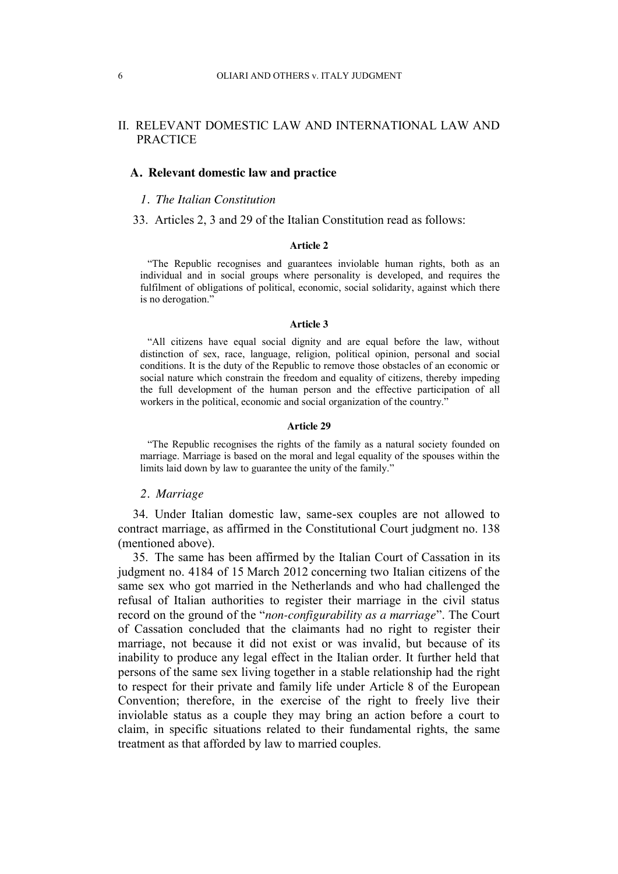# II. RELEVANT DOMESTIC LAW AND INTERNATIONAL LAW AND PRACTICE

### **A. Relevant domestic law and practice**

# *1. The Italian Constitution*

33. Articles 2, 3 and 29 of the Italian Constitution read as follows:

# **Article 2**

"The Republic recognises and guarantees inviolable human rights, both as an individual and in social groups where personality is developed, and requires the fulfilment of obligations of political, economic, social solidarity, against which there is no derogation."

#### **Article 3**

"All citizens have equal social dignity and are equal before the law, without distinction of sex, race, language, religion, political opinion, personal and social conditions. It is the duty of the Republic to remove those obstacles of an economic or social nature which constrain the freedom and equality of citizens, thereby impeding the full development of the human person and the effective participation of all workers in the political, economic and social organization of the country."

#### **Article 29**

"The Republic recognises the rights of the family as a natural society founded on marriage. Marriage is based on the moral and legal equality of the spouses within the limits laid down by law to guarantee the unity of the family."

# *2. Marriage*

34. Under Italian domestic law, same-sex couples are not allowed to contract marriage, as affirmed in the Constitutional Court judgment no. 138 (mentioned above).

35. The same has been affirmed by the Italian Court of Cassation in its judgment no. 4184 of 15 March 2012 concerning two Italian citizens of the same sex who got married in the Netherlands and who had challenged the refusal of Italian authorities to register their marriage in the civil status record on the ground of the "*non-configurability as a marriage*". The Court of Cassation concluded that the claimants had no right to register their marriage, not because it did not exist or was invalid, but because of its inability to produce any legal effect in the Italian order. It further held that persons of the same sex living together in a stable relationship had the right to respect for their private and family life under Article 8 of the European Convention; therefore, in the exercise of the right to freely live their inviolable status as a couple they may bring an action before a court to claim, in specific situations related to their fundamental rights, the same treatment as that afforded by law to married couples.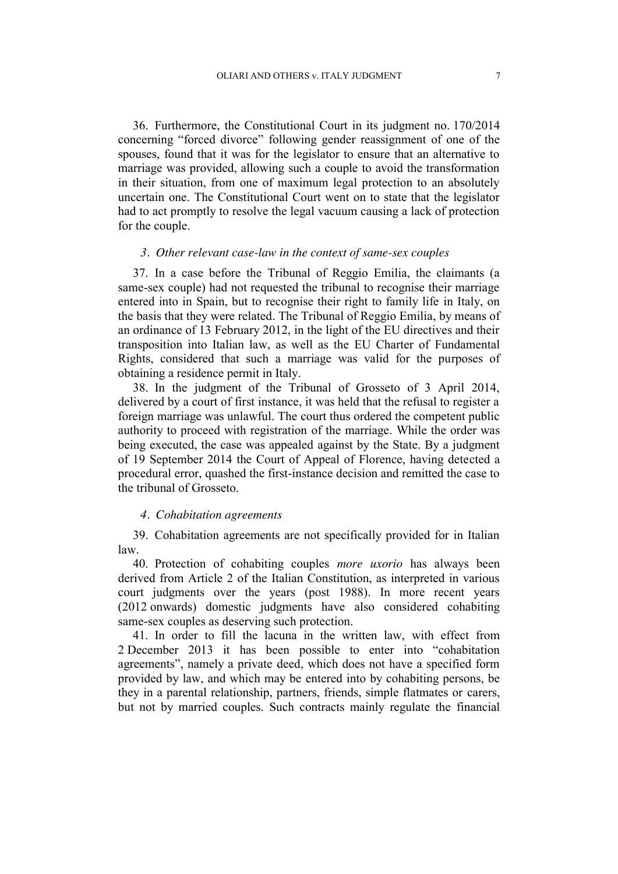36. Furthermore, the Constitutional Court in its judgment no. 170/2014 concerning "forced divorce" following gender reassignment of one of the spouses, found that it was for the legislator to ensure that an alternative to marriage was provided, allowing such a couple to avoid the transformation in their situation, from one of maximum legal protection to an absolutely uncertain one. The Constitutional Court went on to state that the legislator had to act promptly to resolve the legal vacuum causing a lack of protection for the couple.

#### *3. Other relevant case-law in the context of same-sex couples*

37. In a case before the Tribunal of Reggio Emilia, the claimants (a same-sex couple) had not requested the tribunal to recognise their marriage entered into in Spain, but to recognise their right to family life in Italy, on the basis that they were related. The Tribunal of Reggio Emilia, by means of an ordinance of 13 February 2012, in the light of the EU directives and their transposition into Italian law, as well as the EU Charter of Fundamental Rights, considered that such a marriage was valid for the purposes of obtaining a residence permit in Italy.

38. In the judgment of the Tribunal of Grosseto of 3 April 2014, delivered by a court of first instance, it was held that the refusal to register a foreign marriage was unlawful. The court thus ordered the competent public authority to proceed with registration of the marriage. While the order was being executed, the case was appealed against by the State. By a judgment of 19 September 2014 the Court of Appeal of Florence, having detected a procedural error, quashed the first-instance decision and remitted the case to the tribunal of Grosseto.

## *4. Cohabitation agreements*

39. Cohabitation agreements are not specifically provided for in Italian law.

40. Protection of cohabiting couples *more uxorio* has always been derived from Article 2 of the Italian Constitution, as interpreted in various court judgments over the years (post 1988). In more recent years (2012 onwards) domestic judgments have also considered cohabiting same-sex couples as deserving such protection.

41. In order to fill the lacuna in the written law, with effect from 2 December 2013 it has been possible to enter into "cohabitation agreements", namely a private deed, which does not have a specified form provided by law, and which may be entered into by cohabiting persons, be they in a parental relationship, partners, friends, simple flatmates or carers, but not by married couples. Such contracts mainly regulate the financial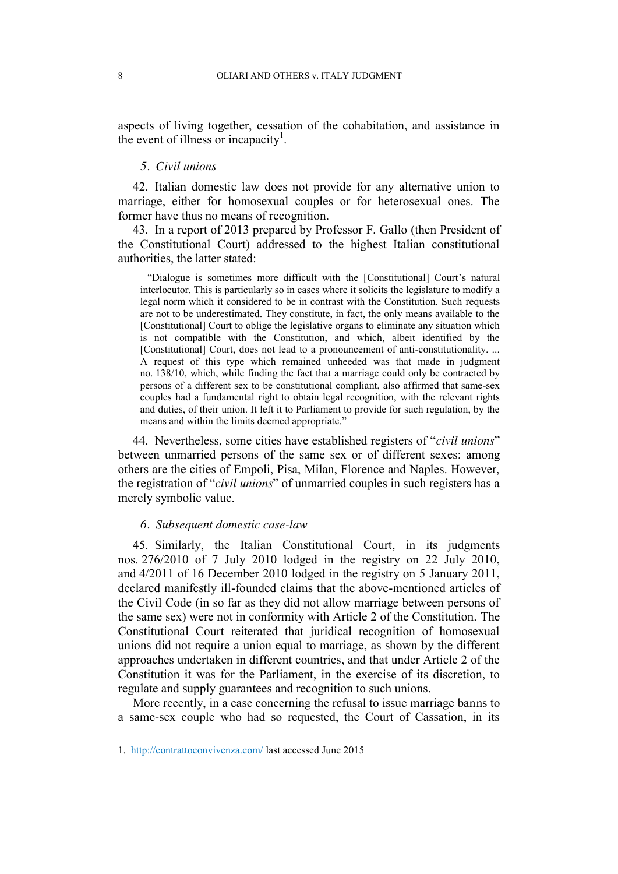aspects of living together, cessation of the cohabitation, and assistance in the event of illness or incapacity<sup>1</sup>.

# *5. Civil unions*

42. Italian domestic law does not provide for any alternative union to marriage, either for homosexual couples or for heterosexual ones. The former have thus no means of recognition.

43. In a report of 2013 prepared by Professor F. Gallo (then President of the Constitutional Court) addressed to the highest Italian constitutional authorities, the latter stated:

"Dialogue is sometimes more difficult with the [Constitutional] Court's natural interlocutor. This is particularly so in cases where it solicits the legislature to modify a legal norm which it considered to be in contrast with the Constitution. Such requests are not to be underestimated. They constitute, in fact, the only means available to the [Constitutional] Court to oblige the legislative organs to eliminate any situation which is not compatible with the Constitution, and which, albeit identified by the [Constitutional] Court, does not lead to a pronouncement of anti-constitutionality. ... A request of this type which remained unheeded was that made in judgment no. 138/10, which, while finding the fact that a marriage could only be contracted by persons of a different sex to be constitutional compliant, also affirmed that same-sex couples had a fundamental right to obtain legal recognition, with the relevant rights and duties, of their union. It left it to Parliament to provide for such regulation, by the means and within the limits deemed appropriate."

44. Nevertheless, some cities have established registers of "*civil unions*" between unmarried persons of the same sex or of different sexes: among others are the cities of Empoli, Pisa, Milan, Florence and Naples. However, the registration of "*civil unions*" of unmarried couples in such registers has a merely symbolic value.

# *6. Subsequent domestic case-law*

45. Similarly, the Italian Constitutional Court, in its judgments nos. 276/2010 of 7 July 2010 lodged in the registry on 22 July 2010, and 4/2011 of 16 December 2010 lodged in the registry on 5 January 2011, declared manifestly ill-founded claims that the above-mentioned articles of the Civil Code (in so far as they did not allow marriage between persons of the same sex) were not in conformity with Article 2 of the Constitution. The Constitutional Court reiterated that juridical recognition of homosexual unions did not require a union equal to marriage, as shown by the different approaches undertaken in different countries, and that under Article 2 of the Constitution it was for the Parliament, in the exercise of its discretion, to regulate and supply guarantees and recognition to such unions.

More recently, in a case concerning the refusal to issue marriage banns to a same-sex couple who had so requested, the Court of Cassation, in its

 $\overline{a}$ 

<sup>1.</sup> <http://contrattoconvivenza.com/> last accessed June 2015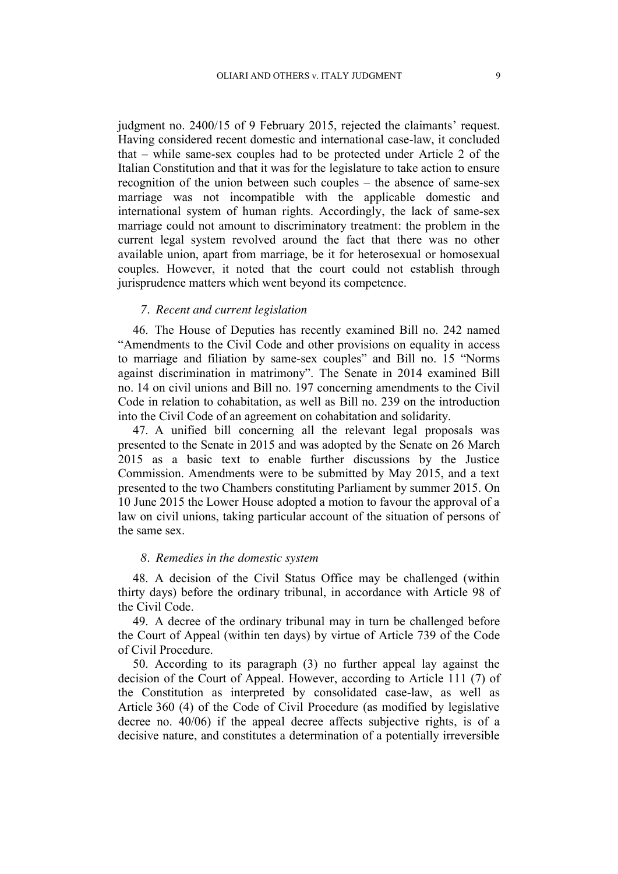judgment no. 2400/15 of 9 February 2015, rejected the claimants' request. Having considered recent domestic and international case-law, it concluded that – while same-sex couples had to be protected under Article 2 of the Italian Constitution and that it was for the legislature to take action to ensure recognition of the union between such couples – the absence of same-sex marriage was not incompatible with the applicable domestic and international system of human rights. Accordingly, the lack of same-sex marriage could not amount to discriminatory treatment: the problem in the current legal system revolved around the fact that there was no other available union, apart from marriage, be it for heterosexual or homosexual couples. However, it noted that the court could not establish through jurisprudence matters which went beyond its competence.

# *7. Recent and current legislation*

46. The House of Deputies has recently examined Bill no. 242 named "Amendments to the Civil Code and other provisions on equality in access to marriage and filiation by same-sex couples" and Bill no. 15 "Norms against discrimination in matrimony". The Senate in 2014 examined Bill no. 14 on civil unions and Bill no. 197 concerning amendments to the Civil Code in relation to cohabitation, as well as Bill no. 239 on the introduction into the Civil Code of an agreement on cohabitation and solidarity.

47. A unified bill concerning all the relevant legal proposals was presented to the Senate in 2015 and was adopted by the Senate on 26 March 2015 as a basic text to enable further discussions by the Justice Commission. Amendments were to be submitted by May 2015, and a text presented to the two Chambers constituting Parliament by summer 2015. On 10 June 2015 the Lower House adopted a motion to favour the approval of a law on civil unions, taking particular account of the situation of persons of the same sex.

### *8. Remedies in the domestic system*

48. A decision of the Civil Status Office may be challenged (within thirty days) before the ordinary tribunal, in accordance with Article 98 of the Civil Code.

49. A decree of the ordinary tribunal may in turn be challenged before the Court of Appeal (within ten days) by virtue of Article 739 of the Code of Civil Procedure.

50. According to its paragraph (3) no further appeal lay against the decision of the Court of Appeal. However, according to Article 111 (7) of the Constitution as interpreted by consolidated case-law, as well as Article 360 (4) of the Code of Civil Procedure (as modified by legislative decree no. 40/06) if the appeal decree affects subjective rights, is of a decisive nature, and constitutes a determination of a potentially irreversible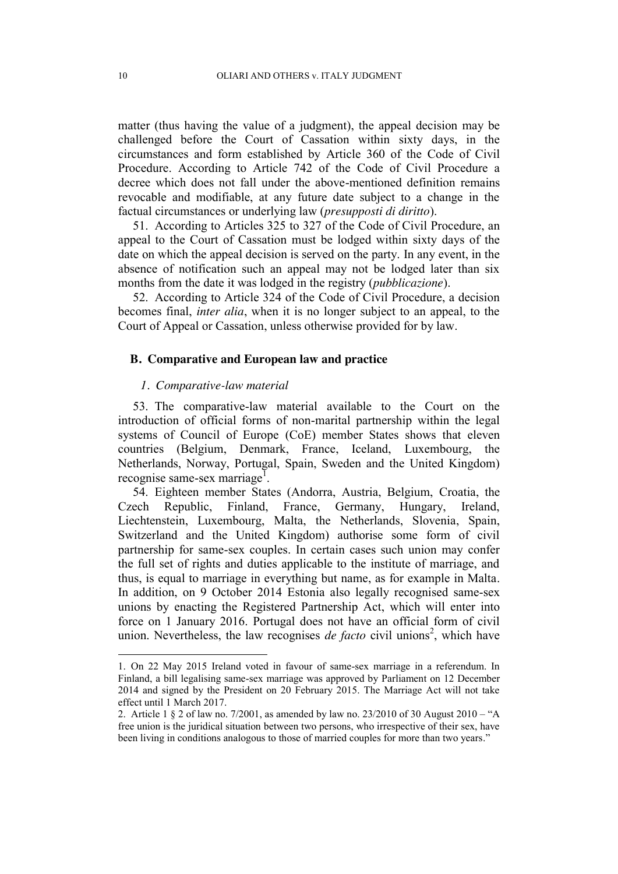matter (thus having the value of a judgment), the appeal decision may be challenged before the Court of Cassation within sixty days, in the circumstances and form established by Article 360 of the Code of Civil Procedure. According to Article 742 of the Code of Civil Procedure a decree which does not fall under the above-mentioned definition remains revocable and modifiable, at any future date subject to a change in the factual circumstances or underlying law (*presupposti di diritto*).

51. According to Articles 325 to 327 of the Code of Civil Procedure, an appeal to the Court of Cassation must be lodged within sixty days of the date on which the appeal decision is served on the party. In any event, in the absence of notification such an appeal may not be lodged later than six months from the date it was lodged in the registry (*pubblicazione*).

52. According to Article 324 of the Code of Civil Procedure, a decision becomes final, *inter alia*, when it is no longer subject to an appeal, to the Court of Appeal or Cassation, unless otherwise provided for by law.

# **B. Comparative and European law and practice**

# *1. Comparative-law material*

53. The comparative-law material available to the Court on the introduction of official forms of non-marital partnership within the legal systems of Council of Europe (CoE) member States shows that eleven countries (Belgium, Denmark, France, Iceland, Luxembourg, the Netherlands, Norway, Portugal, Spain, Sweden and the United Kingdom) recognise same-sex marriage<sup>1</sup>.

54. Eighteen member States (Andorra, Austria, Belgium, Croatia, the Czech Republic, Finland, France, Germany, Hungary, Ireland, Liechtenstein, Luxembourg, Malta, the Netherlands, Slovenia, Spain, Switzerland and the United Kingdom) authorise some form of civil partnership for same-sex couples. In certain cases such union may confer the full set of rights and duties applicable to the institute of marriage, and thus, is equal to marriage in everything but name, as for example in Malta. In addition, on 9 October 2014 Estonia also legally recognised same-sex unions by enacting the Registered Partnership Act, which will enter into force on 1 January 2016. Portugal does not have an official form of civil union. Nevertheless, the law recognises *de facto* civil unions<sup>2</sup>, which have

<sup>1.</sup> On 22 May 2015 Ireland voted in favour of same-sex marriage in a referendum. In Finland, a bill legalising same-sex marriage was approved by Parliament on 12 December 2014 and signed by the President on 20 February 2015. The Marriage Act will not take effect until 1 March 2017.

<sup>2.</sup> Article 1 § 2 of law no. 7/2001, as amended by law no. 23/2010 of 30 August 2010 – "A free union is the juridical situation between two persons, who irrespective of their sex, have been living in conditions analogous to those of married couples for more than two years."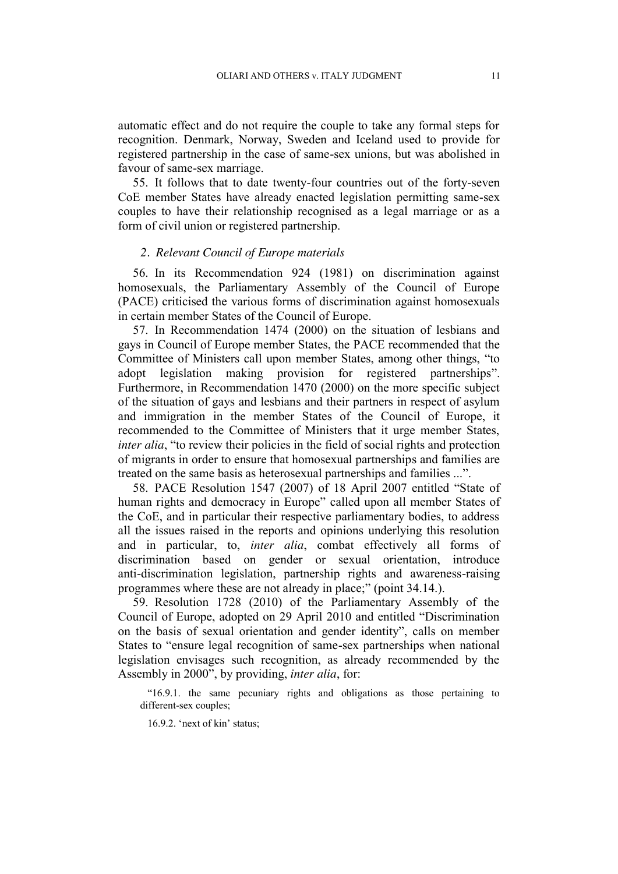automatic effect and do not require the couple to take any formal steps for recognition. Denmark, Norway, Sweden and Iceland used to provide for registered partnership in the case of same-sex unions, but was abolished in favour of same-sex marriage.

55. It follows that to date twenty-four countries out of the forty-seven CoE member States have already enacted legislation permitting same-sex couples to have their relationship recognised as a legal marriage or as a form of civil union or registered partnership.

### *2. Relevant Council of Europe materials*

56. In its Recommendation 924 (1981) on discrimination against homosexuals, the Parliamentary Assembly of the Council of Europe (PACE) criticised the various forms of discrimination against homosexuals in certain member States of the Council of Europe.

57. In Recommendation 1474 (2000) on the situation of lesbians and gays in Council of Europe member States, the PACE recommended that the Committee of Ministers call upon member States, among other things, "to adopt legislation making provision for registered partnerships". Furthermore, in Recommendation 1470 (2000) on the more specific subject of the situation of gays and lesbians and their partners in respect of asylum and immigration in the member States of the Council of Europe, it recommended to the Committee of Ministers that it urge member States, *inter alia*, "to review their policies in the field of social rights and protection of migrants in order to ensure that homosexual partnerships and families are treated on the same basis as heterosexual partnerships and families ...".

58. PACE Resolution 1547 (2007) of 18 April 2007 entitled "State of human rights and democracy in Europe" called upon all member States of the CoE, and in particular their respective parliamentary bodies, to address all the issues raised in the reports and opinions underlying this resolution and in particular, to, *inter alia*, combat effectively all forms of discrimination based on gender or sexual orientation, introduce anti-discrimination legislation, partnership rights and awareness-raising programmes where these are not already in place;" (point 34.14.).

59. Resolution 1728 (2010) of the Parliamentary Assembly of the Council of Europe, adopted on 29 April 2010 and entitled "Discrimination on the basis of sexual orientation and gender identity", calls on member States to "ensure legal recognition of same-sex partnerships when national legislation envisages such recognition, as already recommended by the Assembly in 2000", by providing, *inter alia*, for:

"16.9.1. the same pecuniary rights and obligations as those pertaining to different-sex couples;

16.9.2. 'next of kin' status;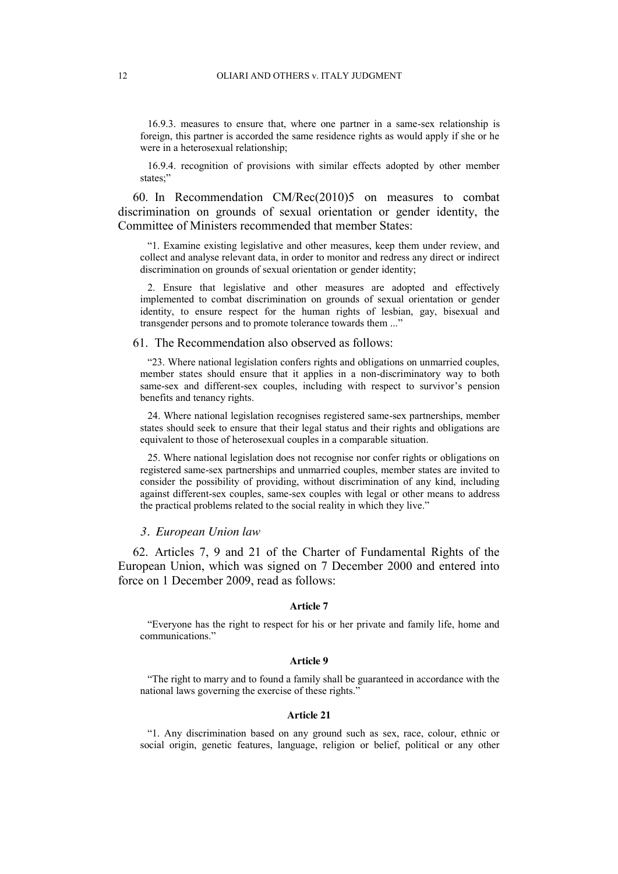16.9.3. measures to ensure that, where one partner in a same-sex relationship is foreign, this partner is accorded the same residence rights as would apply if she or he were in a heterosexual relationship;

16.9.4. recognition of provisions with similar effects adopted by other member states:"

60. In Recommendation CM/Rec(2010)5 on measures to combat discrimination on grounds of sexual orientation or gender identity, the Committee of Ministers recommended that member States:

"1. Examine existing legislative and other measures, keep them under review, and collect and analyse relevant data, in order to monitor and redress any direct or indirect discrimination on grounds of sexual orientation or gender identity;

2. Ensure that legislative and other measures are adopted and effectively implemented to combat discrimination on grounds of sexual orientation or gender identity, to ensure respect for the human rights of lesbian, gay, bisexual and transgender persons and to promote tolerance towards them ..."

61. The Recommendation also observed as follows:

"23. Where national legislation confers rights and obligations on unmarried couples, member states should ensure that it applies in a non-discriminatory way to both same-sex and different-sex couples, including with respect to survivor's pension benefits and tenancy rights.

24. Where national legislation recognises registered same-sex partnerships, member states should seek to ensure that their legal status and their rights and obligations are equivalent to those of heterosexual couples in a comparable situation.

25. Where national legislation does not recognise nor confer rights or obligations on registered same-sex partnerships and unmarried couples, member states are invited to consider the possibility of providing, without discrimination of any kind, including against different-sex couples, same-sex couples with legal or other means to address the practical problems related to the social reality in which they live."

# *3. European Union law*

62. Articles 7, 9 and 21 of the Charter of Fundamental Rights of the European Union, which was signed on 7 December 2000 and entered into force on 1 December 2009, read as follows:

#### **Article 7**

"Everyone has the right to respect for his or her private and family life, home and communications."

#### **Article 9**

"The right to marry and to found a family shall be guaranteed in accordance with the national laws governing the exercise of these rights."

#### **Article 21**

"1. Any discrimination based on any ground such as sex, race, colour, ethnic or social origin, genetic features, language, religion or belief, political or any other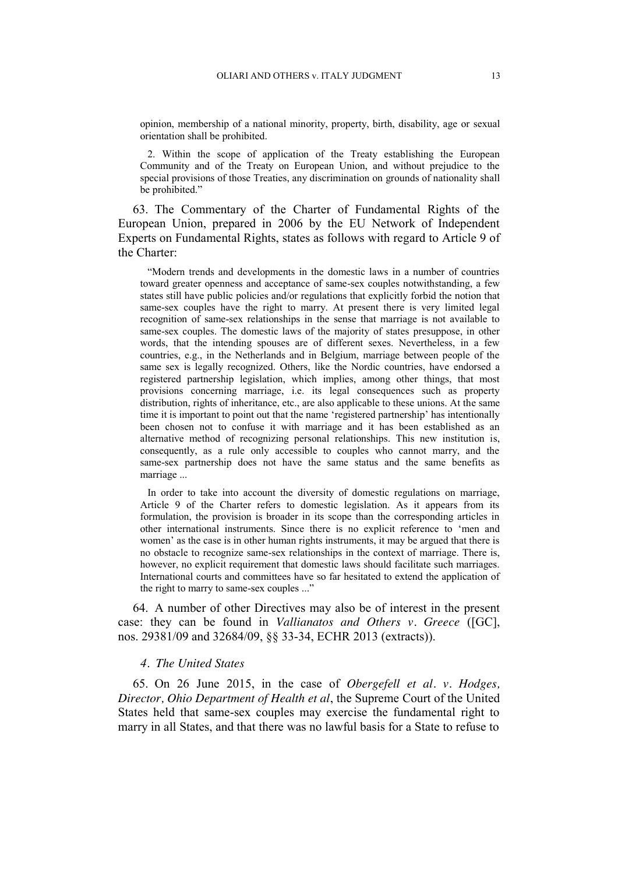opinion, membership of a national minority, property, birth, disability, age or sexual orientation shall be prohibited.

2. Within the scope of application of the Treaty establishing the European Community and of the Treaty on European Union, and without prejudice to the special provisions of those Treaties, any discrimination on grounds of nationality shall be prohibited."

63. The Commentary of the Charter of Fundamental Rights of the European Union, prepared in 2006 by the EU Network of Independent Experts on Fundamental Rights, states as follows with regard to Article 9 of the Charter:

"Modern trends and developments in the domestic laws in a number of countries toward greater openness and acceptance of same-sex couples notwithstanding, a few states still have public policies and/or regulations that explicitly forbid the notion that same-sex couples have the right to marry. At present there is very limited legal recognition of same-sex relationships in the sense that marriage is not available to same-sex couples. The domestic laws of the majority of states presuppose, in other words, that the intending spouses are of different sexes. Nevertheless, in a few countries, e.g., in the Netherlands and in Belgium, marriage between people of the same sex is legally recognized. Others, like the Nordic countries, have endorsed a registered partnership legislation, which implies, among other things, that most provisions concerning marriage, i.e. its legal consequences such as property distribution, rights of inheritance, etc., are also applicable to these unions. At the same time it is important to point out that the name 'registered partnership' has intentionally been chosen not to confuse it with marriage and it has been established as an alternative method of recognizing personal relationships. This new institution is, consequently, as a rule only accessible to couples who cannot marry, and the same-sex partnership does not have the same status and the same benefits as marriage ...

In order to take into account the diversity of domestic regulations on marriage, Article 9 of the Charter refers to domestic legislation. As it appears from its formulation, the provision is broader in its scope than the corresponding articles in other international instruments. Since there is no explicit reference to 'men and women' as the case is in other human rights instruments, it may be argued that there is no obstacle to recognize same-sex relationships in the context of marriage. There is, however, no explicit requirement that domestic laws should facilitate such marriages. International courts and committees have so far hesitated to extend the application of the right to marry to same-sex couples ..."

64. A number of other Directives may also be of interest in the present case: they can be found in *Vallianatos and Others v. Greece* ([GC], nos. 29381/09 and 32684/09, §§ 33-34, ECHR 2013 (extracts)).

# *4. The United States*

65. On 26 June 2015, in the case of *Obergefell et al. v. Hodges, Director, Ohio Department of Health et al*, the Supreme Court of the United States held that same-sex couples may exercise the fundamental right to marry in all States, and that there was no lawful basis for a State to refuse to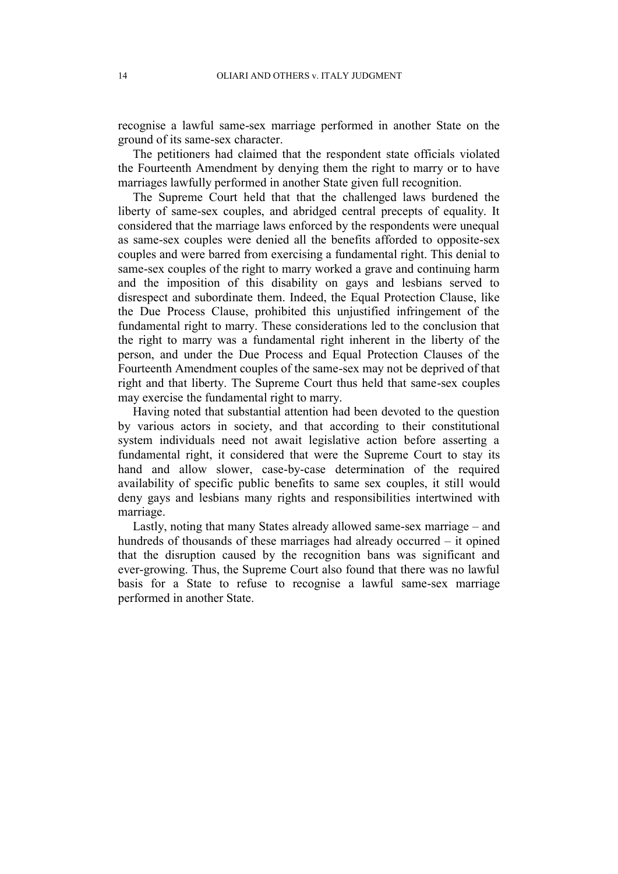recognise a lawful same-sex marriage performed in another State on the ground of its same-sex character.

The petitioners had claimed that the respondent state officials violated the Fourteenth Amendment by denying them the right to marry or to have marriages lawfully performed in another State given full recognition.

The Supreme Court held that that the challenged laws burdened the liberty of same-sex couples, and abridged central precepts of equality. It considered that the marriage laws enforced by the respondents were unequal as same-sex couples were denied all the benefits afforded to opposite-sex couples and were barred from exercising a fundamental right. This denial to same-sex couples of the right to marry worked a grave and continuing harm and the imposition of this disability on gays and lesbians served to disrespect and subordinate them. Indeed, the Equal Protection Clause, like the Due Process Clause, prohibited this unjustified infringement of the fundamental right to marry. These considerations led to the conclusion that the right to marry was a fundamental right inherent in the liberty of the person, and under the Due Process and Equal Protection Clauses of the Fourteenth Amendment couples of the same-sex may not be deprived of that right and that liberty. The Supreme Court thus held that same-sex couples may exercise the fundamental right to marry.

Having noted that substantial attention had been devoted to the question by various actors in society, and that according to their constitutional system individuals need not await legislative action before asserting a fundamental right, it considered that were the Supreme Court to stay its hand and allow slower, case-by-case determination of the required availability of specific public benefits to same sex couples, it still would deny gays and lesbians many rights and responsibilities intertwined with marriage.

Lastly, noting that many States already allowed same-sex marriage – and hundreds of thousands of these marriages had already occurred – it opined that the disruption caused by the recognition bans was significant and ever-growing. Thus, the Supreme Court also found that there was no lawful basis for a State to refuse to recognise a lawful same-sex marriage performed in another State.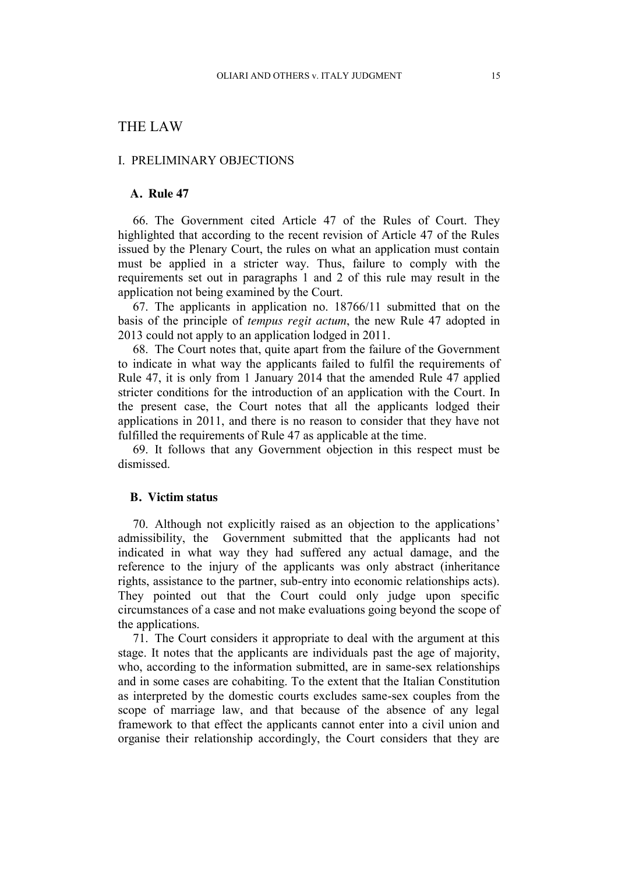# THE LAW

# I. PRELIMINARY OBJECTIONS

# **A. Rule 47**

66. The Government cited Article 47 of the Rules of Court. They highlighted that according to the recent revision of Article 47 of the Rules issued by the Plenary Court, the rules on what an application must contain must be applied in a stricter way. Thus, failure to comply with the requirements set out in paragraphs 1 and 2 of this rule may result in the application not being examined by the Court.

67. The applicants in application no. 18766/11 submitted that on the basis of the principle of *tempus regit actum*, the new Rule 47 adopted in 2013 could not apply to an application lodged in 2011.

68. The Court notes that, quite apart from the failure of the Government to indicate in what way the applicants failed to fulfil the requirements of Rule 47, it is only from 1 January 2014 that the amended Rule 47 applied stricter conditions for the introduction of an application with the Court. In the present case, the Court notes that all the applicants lodged their applications in 2011, and there is no reason to consider that they have not fulfilled the requirements of Rule 47 as applicable at the time.

69. It follows that any Government objection in this respect must be dismissed.

# **B. Victim status**

70. Although not explicitly raised as an objection to the applications' admissibility, the Government submitted that the applicants had not indicated in what way they had suffered any actual damage, and the reference to the injury of the applicants was only abstract (inheritance rights, assistance to the partner, sub-entry into economic relationships acts). They pointed out that the Court could only judge upon specific circumstances of a case and not make evaluations going beyond the scope of the applications.

71. The Court considers it appropriate to deal with the argument at this stage. It notes that the applicants are individuals past the age of majority, who, according to the information submitted, are in same-sex relationships and in some cases are cohabiting. To the extent that the Italian Constitution as interpreted by the domestic courts excludes same-sex couples from the scope of marriage law, and that because of the absence of any legal framework to that effect the applicants cannot enter into a civil union and organise their relationship accordingly, the Court considers that they are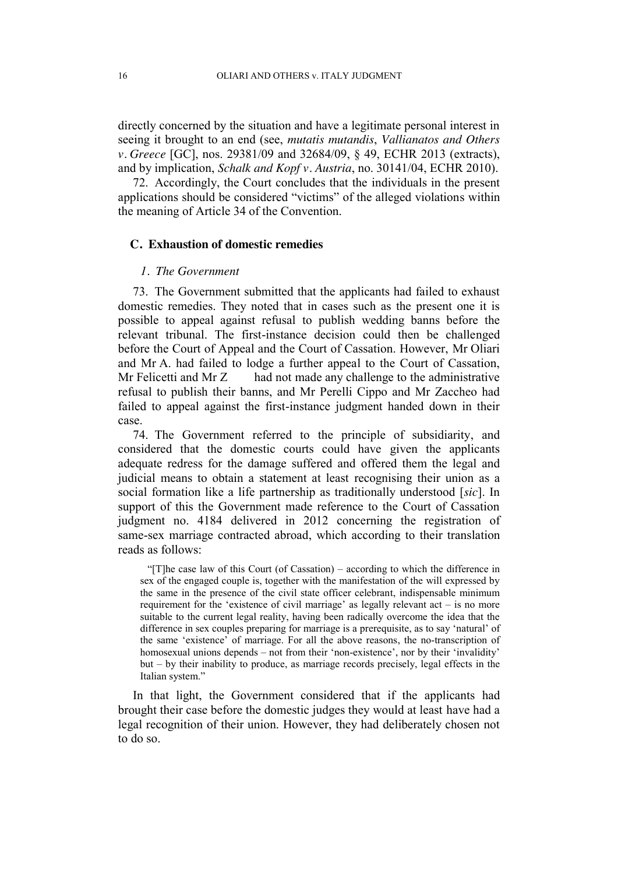directly concerned by the situation and have a legitimate personal interest in seeing it brought to an end (see, *mutatis mutandis*, *Vallianatos and Others v. Greece* [GC], nos. 29381/09 and 32684/09, § 49, ECHR 2013 (extracts), and by implication, *Schalk and Kopf v. Austria*, no. 30141/04, ECHR 2010).

72. Accordingly, the Court concludes that the individuals in the present applications should be considered "victims" of the alleged violations within the meaning of Article 34 of the Convention.

# **C. Exhaustion of domestic remedies**

# *1. The Government*

73. The Government submitted that the applicants had failed to exhaust domestic remedies. They noted that in cases such as the present one it is possible to appeal against refusal to publish wedding banns before the relevant tribunal. The first-instance decision could then be challenged before the Court of Appeal and the Court of Cassation. However, Mr Oliari and Mr A. had failed to lodge a further appeal to the Court of Cassation, had not made any challenge to the administrative refusal to publish their banns, and Mr Perelli Cippo and Mr Zaccheo had failed to appeal against the first-instance judgment handed down in their case. Mr Felicetti and Mr Z

74. The Government referred to the principle of subsidiarity, and considered that the domestic courts could have given the applicants adequate redress for the damage suffered and offered them the legal and judicial means to obtain a statement at least recognising their union as a social formation like a life partnership as traditionally understood [*sic*]. In support of this the Government made reference to the Court of Cassation judgment no. 4184 delivered in 2012 concerning the registration of same-sex marriage contracted abroad, which according to their translation reads as follows:

"[T]he case law of this Court (of Cassation) – according to which the difference in sex of the engaged couple is, together with the manifestation of the will expressed by the same in the presence of the civil state officer celebrant, indispensable minimum requirement for the 'existence of civil marriage' as legally relevant act – is no more suitable to the current legal reality, having been radically overcome the idea that the difference in sex couples preparing for marriage is a prerequisite, as to say 'natural' of the same 'existence' of marriage. For all the above reasons, the no-transcription of homosexual unions depends – not from their 'non-existence', nor by their 'invalidity' but – by their inability to produce, as marriage records precisely, legal effects in the Italian system."

In that light, the Government considered that if the applicants had brought their case before the domestic judges they would at least have had a legal recognition of their union. However, they had deliberately chosen not to do so.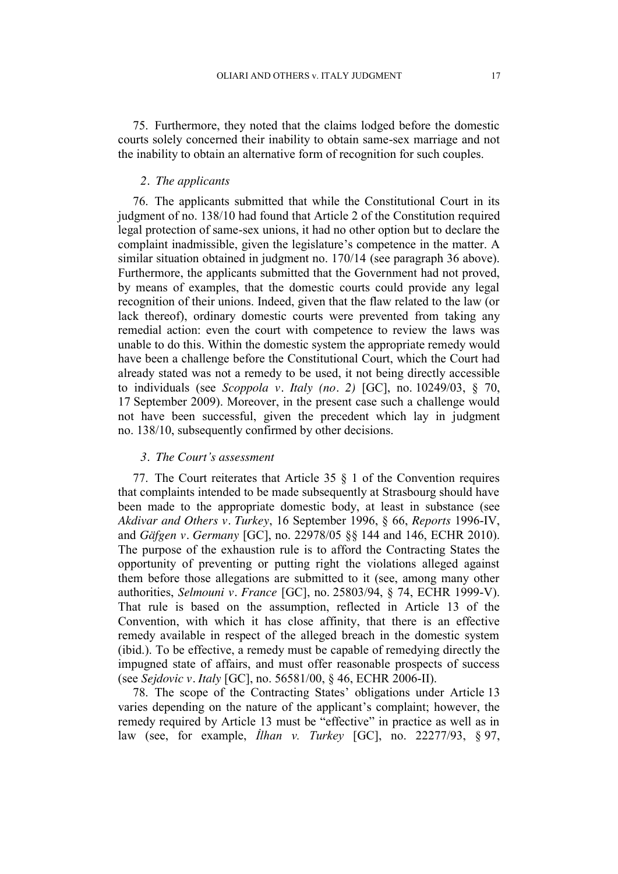75. Furthermore, they noted that the claims lodged before the domestic courts solely concerned their inability to obtain same-sex marriage and not the inability to obtain an alternative form of recognition for such couples.

# *2. The applicants*

76. The applicants submitted that while the Constitutional Court in its judgment of no. 138/10 had found that Article 2 of the Constitution required legal protection of same-sex unions, it had no other option but to declare the complaint inadmissible, given the legislature's competence in the matter. A similar situation obtained in judgment no. 170/14 (see paragraph 36 above). Furthermore, the applicants submitted that the Government had not proved, by means of examples, that the domestic courts could provide any legal recognition of their unions. Indeed, given that the flaw related to the law (or lack thereof), ordinary domestic courts were prevented from taking any remedial action: even the court with competence to review the laws was unable to do this. Within the domestic system the appropriate remedy would have been a challenge before the Constitutional Court, which the Court had already stated was not a remedy to be used, it not being directly accessible to individuals (see *Scoppola v. Italy (no. 2)* [GC], no. 10249/03, § 70, 17 September 2009). Moreover, in the present case such a challenge would not have been successful, given the precedent which lay in judgment no. 138/10, subsequently confirmed by other decisions.

## *3. The Court's assessment*

77. The Court reiterates that Article 35 § 1 of the Convention requires that complaints intended to be made subsequently at Strasbourg should have been made to the appropriate domestic body, at least in substance (see *Akdivar and Others v. Turkey*, 16 September 1996, § 66, *Reports* 1996-IV, and *Gäfgen v. Germany* [GC], no. 22978/05 §§ 144 and 146, ECHR 2010). The purpose of the exhaustion rule is to afford the Contracting States the opportunity of preventing or putting right the violations alleged against them before those allegations are submitted to it (see, among many other authorities, *Selmouni v. France* [GC], no. 25803/94, § 74, ECHR 1999-V). That rule is based on the assumption, reflected in Article 13 of the Convention, with which it has close affinity, that there is an effective remedy available in respect of the alleged breach in the domestic system (ibid.). To be effective, a remedy must be capable of remedying directly the impugned state of affairs, and must offer reasonable prospects of success (see *Sejdovic v. Italy* [GC], no. 56581/00, § 46, ECHR 2006-II).

78. The scope of the Contracting States' obligations under Article 13 varies depending on the nature of the applicant's complaint; however, the remedy required by Article 13 must be "effective" in practice as well as in law (see, for example, *İlhan v. Turkey* [GC], no. 22277/93, § 97,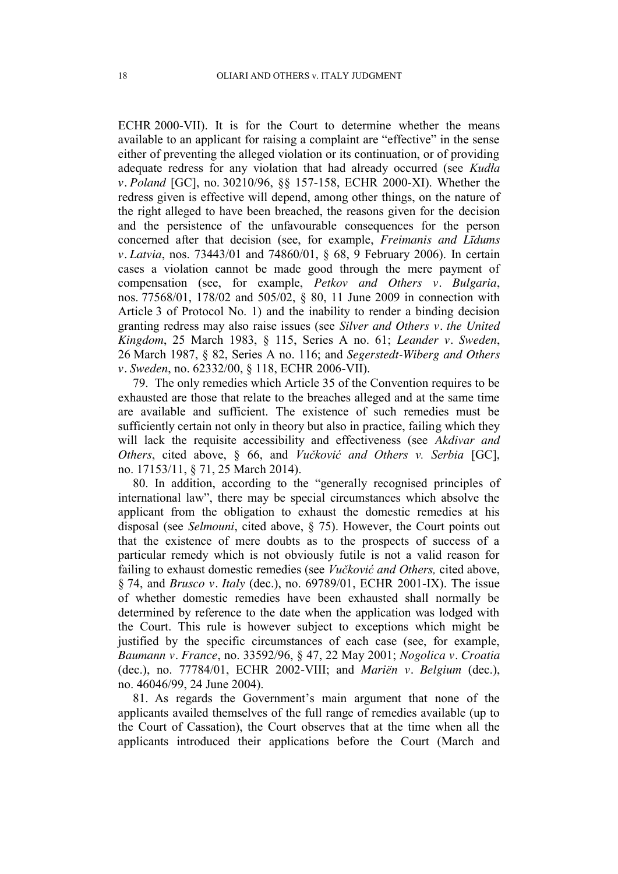ECHR 2000-VII). It is for the Court to determine whether the means available to an applicant for raising a complaint are "effective" in the sense either of preventing the alleged violation or its continuation, or of providing adequate redress for any violation that had already occurred (see *Kudła v. Poland* [GC], no. 30210/96, §§ 157-158, ECHR 2000-XI). Whether the redress given is effective will depend, among other things, on the nature of the right alleged to have been breached, the reasons given for the decision and the persistence of the unfavourable consequences for the person concerned after that decision (see, for example, *Freimanis and Līdums v. Latvia*, nos. 73443/01 and 74860/01, § 68, 9 February 2006). In certain cases a violation cannot be made good through the mere payment of compensation (see, for example, *Petkov and Others v. Bulgaria*, nos. 77568/01, 178/02 and 505/02, § 80, 11 June 2009 in connection with Article 3 of Protocol No. 1) and the inability to render a binding decision granting redress may also raise issues (see *Silver and Others v. the United Kingdom*, 25 March 1983, § 115, Series A no. 61; *Leander v. Sweden*, 26 March 1987, § 82, Series A no. 116; and *Segerstedt-Wiberg and Others v. Sweden*, no. 62332/00, § 118, ECHR 2006-VII).

79. The only remedies which Article 35 of the Convention requires to be exhausted are those that relate to the breaches alleged and at the same time are available and sufficient. The existence of such remedies must be sufficiently certain not only in theory but also in practice, failing which they will lack the requisite accessibility and effectiveness (see *Akdivar and Others*, cited above, § 66, and *Vučković and Others v. Serbia* [GC], no. 17153/11, § 71, 25 March 2014).

80. In addition, according to the "generally recognised principles of international law", there may be special circumstances which absolve the applicant from the obligation to exhaust the domestic remedies at his disposal (see *Selmouni*, cited above, § 75). However, the Court points out that the existence of mere doubts as to the prospects of success of a particular remedy which is not obviously futile is not a valid reason for failing to exhaust domestic remedies (see *Vučković and Others,* cited above, § 74, and *Brusco v. Italy* (dec.), no. 69789/01, ECHR 2001-IX). The issue of whether domestic remedies have been exhausted shall normally be determined by reference to the date when the application was lodged with the Court. This rule is however subject to exceptions which might be justified by the specific circumstances of each case (see, for example, *Baumann v. France*, no. 33592/96, § 47, 22 May 2001; *Nogolica v. Croatia* (dec.), no. 77784/01, ECHR 2002-VIII; and *Mariën v. Belgium* (dec.), no. 46046/99, 24 June 2004).

81. As regards the Government's main argument that none of the applicants availed themselves of the full range of remedies available (up to the Court of Cassation), the Court observes that at the time when all the applicants introduced their applications before the Court (March and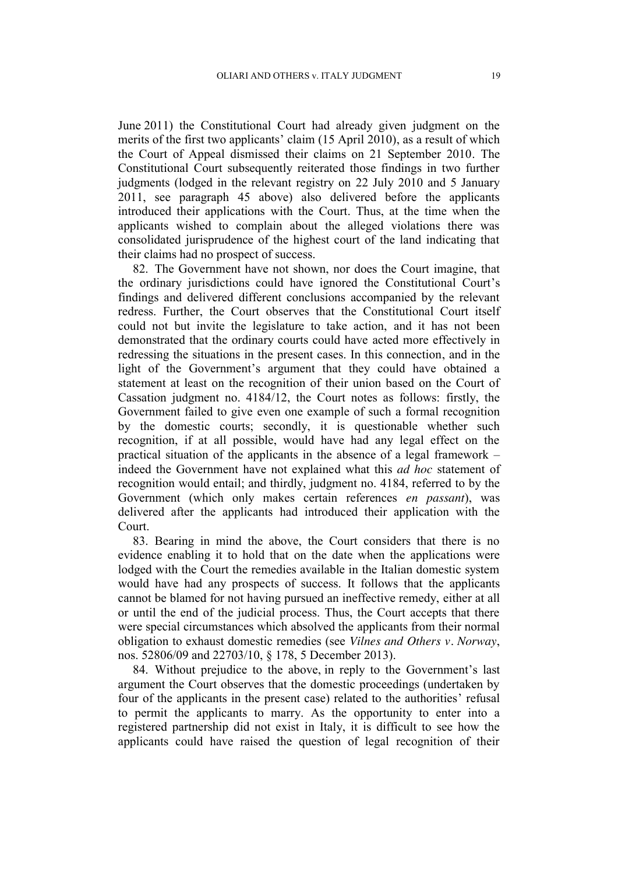June 2011) the Constitutional Court had already given judgment on the merits of the first two applicants' claim (15 April 2010), as a result of which the Court of Appeal dismissed their claims on 21 September 2010. The Constitutional Court subsequently reiterated those findings in two further judgments (lodged in the relevant registry on 22 July 2010 and 5 January 2011, see paragraph 45 above) also delivered before the applicants introduced their applications with the Court. Thus, at the time when the applicants wished to complain about the alleged violations there was consolidated jurisprudence of the highest court of the land indicating that their claims had no prospect of success.

82. The Government have not shown, nor does the Court imagine, that the ordinary jurisdictions could have ignored the Constitutional Court's findings and delivered different conclusions accompanied by the relevant redress. Further, the Court observes that the Constitutional Court itself could not but invite the legislature to take action, and it has not been demonstrated that the ordinary courts could have acted more effectively in redressing the situations in the present cases. In this connection, and in the light of the Government's argument that they could have obtained a statement at least on the recognition of their union based on the Court of Cassation judgment no. 4184/12, the Court notes as follows: firstly, the Government failed to give even one example of such a formal recognition by the domestic courts; secondly, it is questionable whether such recognition, if at all possible, would have had any legal effect on the practical situation of the applicants in the absence of a legal framework – indeed the Government have not explained what this *ad hoc* statement of recognition would entail; and thirdly, judgment no. 4184, referred to by the Government (which only makes certain references *en passant*), was delivered after the applicants had introduced their application with the Court.

83. Bearing in mind the above, the Court considers that there is no evidence enabling it to hold that on the date when the applications were lodged with the Court the remedies available in the Italian domestic system would have had any prospects of success. It follows that the applicants cannot be blamed for not having pursued an ineffective remedy, either at all or until the end of the judicial process. Thus, the Court accepts that there were special circumstances which absolved the applicants from their normal obligation to exhaust domestic remedies (see *Vilnes and Others v. Norway*, nos. 52806/09 and 22703/10, § 178, 5 December 2013).

84. Without prejudice to the above, in reply to the Government's last argument the Court observes that the domestic proceedings (undertaken by four of the applicants in the present case) related to the authorities' refusal to permit the applicants to marry. As the opportunity to enter into a registered partnership did not exist in Italy, it is difficult to see how the applicants could have raised the question of legal recognition of their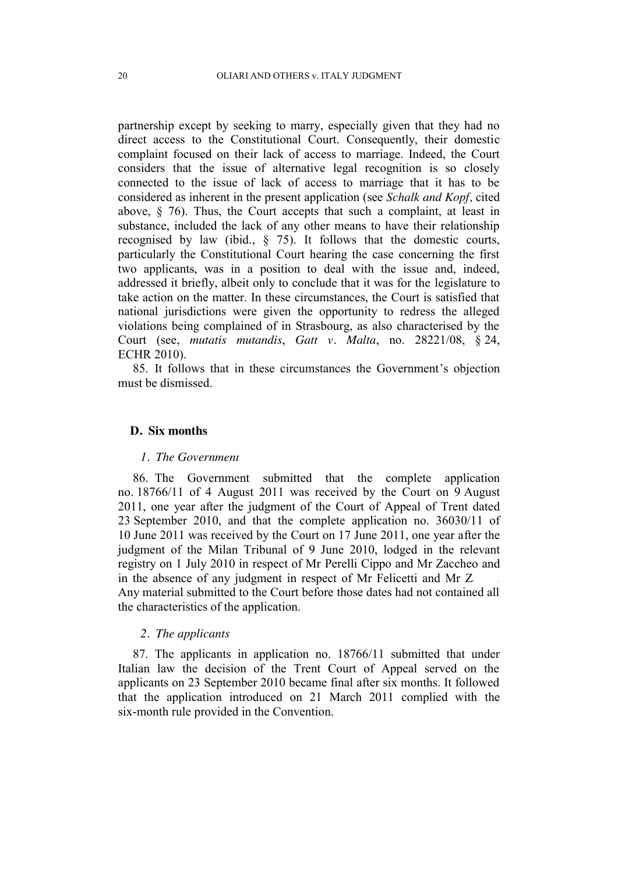partnership except by seeking to marry, especially given that they had no direct access to the Constitutional Court. Consequently, their domestic complaint focused on their lack of access to marriage. Indeed, the Court considers that the issue of alternative legal recognition is so closely connected to the issue of lack of access to marriage that it has to be considered as inherent in the present application (see *Schalk and Kopf,* cited above,  $\S$  76). Thus, the Court accepts that such a complaint, at least in substance, included the lack of any other means to have their relationship recognised by law (ibid., § 75). It follows that the domestic courts, particularly the Constitutional Court hearing the case concerning the first two applicants, was in a position to deal with the issue and, indeed, addressed it briefly, albeit only to conclude that it was for the legislature to take action on the matter. In these circumstances, the Court is satisfied that national jurisdictions were given the opportunity to redress the alleged violations being complained of in Strasbourg, as also characterised by the Court (see, *mutatis mutandis*, *Gatt v. Malta*, no. 28221/08, § 24, ECHR 2010).

85. It follows that in these circumstances the Government's objection must be dismissed.

# **D. Six months**

# *1. The Government*

86. The Government submitted that the complete application no. 18766/11 of 4 August 2011 was received by the Court on 9 August 2011, one year after the judgment of the Court of Appeal of Trent dated 23 September 2010, and that the complete application no. 36030/11 of 10 June 2011 was received by the Court on 17 June 2011, one year after the judgment of the Milan Tribunal of 9 June 2010, lodged in the relevant registry on 1 July 2010 in respect of Mr Perelli Cippo and Mr Zaccheo and in the absence of any judgment in respect of Mr Felicetti and Mr  $Z$ Any material submitted to the Court before those dates had not contained all the characteristics of the application.

# *2. The applicants*

87. The applicants in application no. 18766/11 submitted that under Italian law the decision of the Trent Court of Appeal served on the applicants on 23 September 2010 became final after six months. It followed that the application introduced on 21 March 2011 complied with the six-month rule provided in the Convention.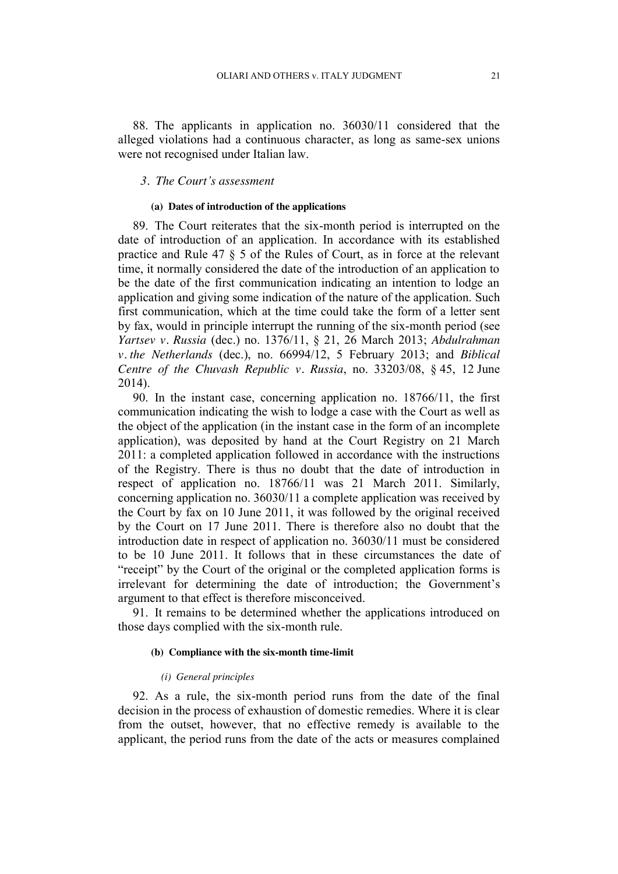88. The applicants in application no. 36030/11 considered that the alleged violations had a continuous character, as long as same-sex unions were not recognised under Italian law.

### *3. The Court's assessment*

#### **(a) Dates of introduction of the applications**

89. The Court reiterates that the six-month period is interrupted on the date of introduction of an application. In accordance with its established practice and Rule 47 § 5 of the Rules of Court, as in force at the relevant time, it normally considered the date of the introduction of an application to be the date of the first communication indicating an intention to lodge an application and giving some indication of the nature of the application. Such first communication, which at the time could take the form of a letter sent by fax, would in principle interrupt the running of the six-month period (see *Yartsev v. Russia* (dec.) no. 1376/11, § 21, 26 March 2013; *Abdulrahman v. the Netherlands* (dec.), no. 66994/12, 5 February 2013; and *Biblical Centre of the Chuvash Republic v. Russia*, no. 33203/08, § 45, 12 June 2014).

90. In the instant case, concerning application no. 18766/11, the first communication indicating the wish to lodge a case with the Court as well as the object of the application (in the instant case in the form of an incomplete application), was deposited by hand at the Court Registry on 21 March 2011: a completed application followed in accordance with the instructions of the Registry. There is thus no doubt that the date of introduction in respect of application no. 18766/11 was 21 March 2011. Similarly, concerning application no. 36030/11 a complete application was received by the Court by fax on 10 June 2011, it was followed by the original received by the Court on 17 June 2011. There is therefore also no doubt that the introduction date in respect of application no. 36030/11 must be considered to be 10 June 2011. It follows that in these circumstances the date of "receipt" by the Court of the original or the completed application forms is irrelevant for determining the date of introduction; the Government's argument to that effect is therefore misconceived.

91. It remains to be determined whether the applications introduced on those days complied with the six-month rule.

# **(b) Compliance with the six-month time-limit**

# *(i) General principles*

92. As a rule, the six-month period runs from the date of the final decision in the process of exhaustion of domestic remedies. Where it is clear from the outset, however, that no effective remedy is available to the applicant, the period runs from the date of the acts or measures complained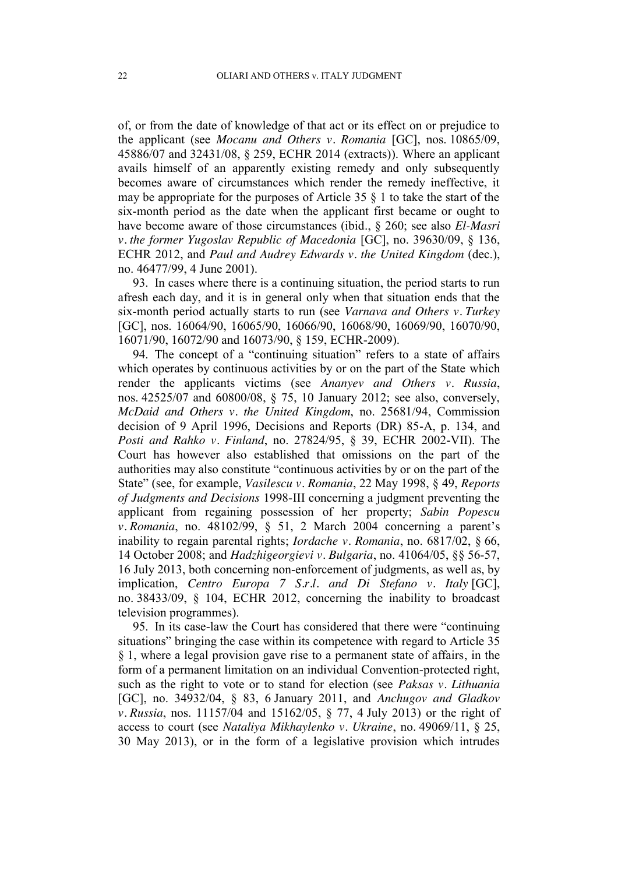of, or from the date of knowledge of that act or its effect on or prejudice to the applicant (see *Mocanu and Others v. Romania* [GC], nos. 10865/09, 45886/07 and 32431/08, § 259, ECHR 2014 (extracts)). Where an applicant avails himself of an apparently existing remedy and only subsequently becomes aware of circumstances which render the remedy ineffective, it may be appropriate for the purposes of Article 35 § 1 to take the start of the six-month period as the date when the applicant first became or ought to have become aware of those circumstances (ibid., § 260; see also *El-Masri v. the former Yugoslav Republic of Macedonia* [GC], no. 39630/09, § 136, ECHR 2012, and *Paul and Audrey Edwards v. the United Kingdom* (dec.), no. 46477/99, 4 June 2001).

93. In cases where there is a continuing situation, the period starts to run afresh each day, and it is in general only when that situation ends that the six-month period actually starts to run (see *Varnava and Others v. Turkey* [GC], nos. 16064/90, 16065/90, 16066/90, 16068/90, 16069/90, 16070/90, 16071/90, 16072/90 and 16073/90, § 159, ECHR-2009).

94. The concept of a "continuing situation" refers to a state of affairs which operates by continuous activities by or on the part of the State which render the applicants victims (see *Ananyev and Others v. Russia*, nos. 42525/07 and 60800/08, § 75, 10 January 2012; see also, conversely, *McDaid and Others v. the United Kingdom*, no. 25681/94, Commission decision of 9 April 1996, Decisions and Reports (DR) 85-A, p. 134, and *Posti and Rahko v. Finland*, no. 27824/95, § 39, ECHR 2002-VII). The Court has however also established that omissions on the part of the authorities may also constitute "continuous activities by or on the part of the State" (see, for example, *Vasilescu v. Romania*, 22 May 1998, § 49, *Reports of Judgments and Decisions* 1998-III concerning a judgment preventing the applicant from regaining possession of her property; *Sabin Popescu v. Romania*, no. 48102/99, § 51, 2 March 2004 concerning a parent's inability to regain parental rights; *Iordache v. Romania*, no. 6817/02, § 66, 14 October 2008; and *Hadzhigeorgievi v. Bulgaria*, no. 41064/05, §§ 56-57, 16 July 2013, both concerning non-enforcement of judgments, as well as, by implication, *Centro Europa 7 S.r.l. and Di Stefano v. Italy* [GC], no. 38433/09, § 104, ECHR 2012, concerning the inability to broadcast television programmes).

95. In its case-law the Court has considered that there were "continuing situations" bringing the case within its competence with regard to Article 35 § 1, where a legal provision gave rise to a permanent state of affairs, in the form of a permanent limitation on an individual Convention-protected right, such as the right to vote or to stand for election (see *Paksas v. Lithuania*  [GC], no. 34932/04, § 83, 6 January 2011, and *Anchugov and Gladkov v. Russia*, nos. 11157/04 and 15162/05, § 77, 4 July 2013) or the right of access to court (see *Nataliya Mikhaylenko v. Ukraine*, no. 49069/11, § 25, 30 May 2013), or in the form of a legislative provision which intrudes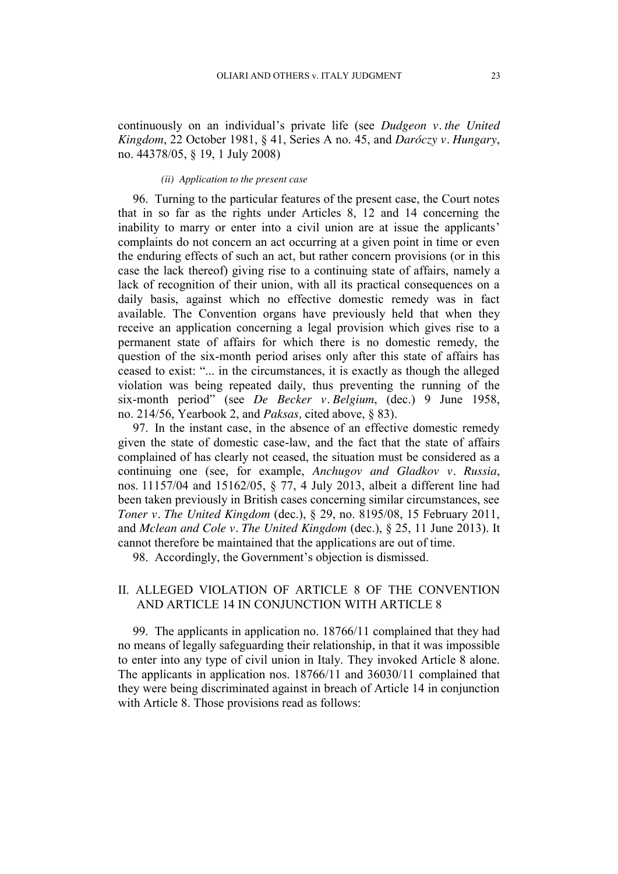continuously on an individual's private life (see *Dudgeon v. the United Kingdom*, 22 October 1981, § 41, Series A no. 45, and *Daróczy v. Hungary*, no. 44378/05, § 19, 1 July 2008)

# *(ii) Application to the present case*

96. Turning to the particular features of the present case, the Court notes that in so far as the rights under Articles 8, 12 and 14 concerning the inability to marry or enter into a civil union are at issue the applicants' complaints do not concern an act occurring at a given point in time or even the enduring effects of such an act, but rather concern provisions (or in this case the lack thereof) giving rise to a continuing state of affairs, namely a lack of recognition of their union, with all its practical consequences on a daily basis, against which no effective domestic remedy was in fact available. The Convention organs have previously held that when they receive an application concerning a legal provision which gives rise to a permanent state of affairs for which there is no domestic remedy, the question of the six-month period arises only after this state of affairs has ceased to exist: "... in the circumstances, it is exactly as though the alleged violation was being repeated daily, thus preventing the running of the six-month period" (see *De Becker v. Belgium*, (dec.) 9 June 1958, no. 214/56, Yearbook 2, and *Paksas,* cited above, § 83).

97. In the instant case, in the absence of an effective domestic remedy given the state of domestic case-law, and the fact that the state of affairs complained of has clearly not ceased, the situation must be considered as a continuing one (see, for example, *Anchugov and Gladkov v. Russia*, nos. 11157/04 and 15162/05, § 77, 4 July 2013, albeit a different line had been taken previously in British cases concerning similar circumstances, see *Toner v. The United Kingdom* (dec.), § 29, no. 8195/08, 15 February 2011, and *Mclean and Cole v. The United Kingdom* (dec.), § 25, 11 June 2013). It cannot therefore be maintained that the applications are out of time.

98. Accordingly, the Government's objection is dismissed.

# II. ALLEGED VIOLATION OF ARTICLE 8 OF THE CONVENTION AND ARTICLE 14 IN CONJUNCTION WITH ARTICLE 8

99. The applicants in application no. 18766/11 complained that they had no means of legally safeguarding their relationship, in that it was impossible to enter into any type of civil union in Italy. They invoked Article 8 alone. The applicants in application nos. 18766/11 and 36030/11 complained that they were being discriminated against in breach of Article 14 in conjunction with Article 8. Those provisions read as follows: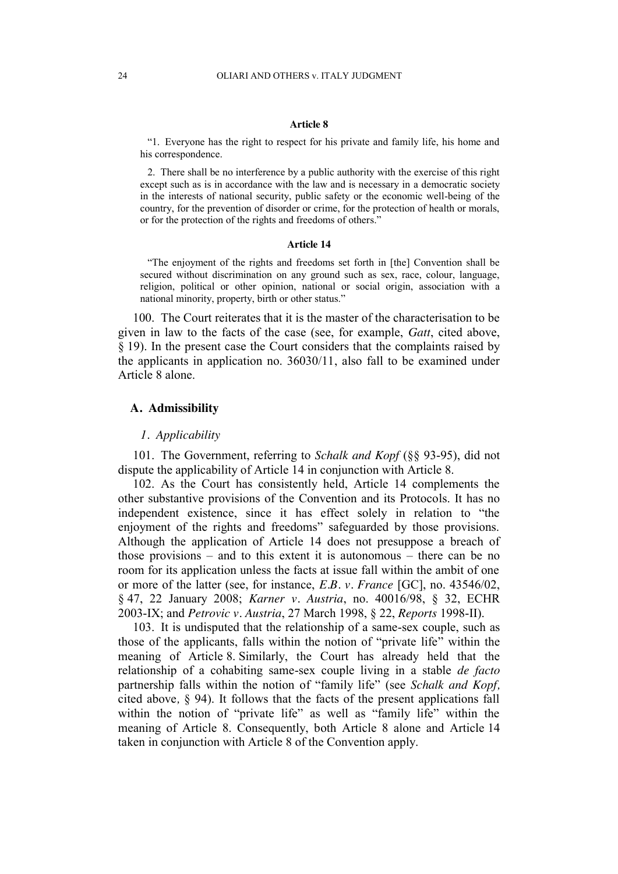#### **Article 8**

"1. Everyone has the right to respect for his private and family life, his home and his correspondence.

2. There shall be no interference by a public authority with the exercise of this right except such as is in accordance with the law and is necessary in a democratic society in the interests of national security, public safety or the economic well-being of the country, for the prevention of disorder or crime, for the protection of health or morals, or for the protection of the rights and freedoms of others."

#### **Article 14**

"The enjoyment of the rights and freedoms set forth in [the] Convention shall be secured without discrimination on any ground such as sex, race, colour, language, religion, political or other opinion, national or social origin, association with a national minority, property, birth or other status."

100. The Court reiterates that it is the master of the characterisation to be given in law to the facts of the case (see, for example, *Gatt*, cited above, § 19). In the present case the Court considers that the complaints raised by the applicants in application no. 36030/11, also fall to be examined under Article 8 alone.

## **A. Admissibility**

## *1. Applicability*

101. The Government, referring to *Schalk and Kopf* (§§ 93-95), did not dispute the applicability of Article 14 in conjunction with Article 8.

102. As the Court has consistently held, Article 14 complements the other substantive provisions of the Convention and its Protocols. It has no independent existence, since it has effect solely in relation to "the enjoyment of the rights and freedoms" safeguarded by those provisions. Although the application of Article 14 does not presuppose a breach of those provisions – and to this extent it is autonomous – there can be no room for its application unless the facts at issue fall within the ambit of one or more of the latter (see, for instance, *E.B. v. France* [GC], no. 43546/02, § 47, 22 January 2008; *Karner v. Austria*, no. 40016/98, § 32, ECHR 2003-IX; and *Petrovic v. Austria*, 27 March 1998, § 22, *Reports* 1998-II).

103. It is undisputed that the relationship of a same-sex couple, such as those of the applicants, falls within the notion of "private life" within the meaning of Article 8. Similarly, the Court has already held that the relationship of a cohabiting same-sex couple living in a stable *de facto* partnership falls within the notion of "family life" (see *Schalk and Kopf,*  cited above*,* § 94). It follows that the facts of the present applications fall within the notion of "private life" as well as "family life" within the meaning of Article 8. Consequently, both Article 8 alone and Article 14 taken in conjunction with Article 8 of the Convention apply.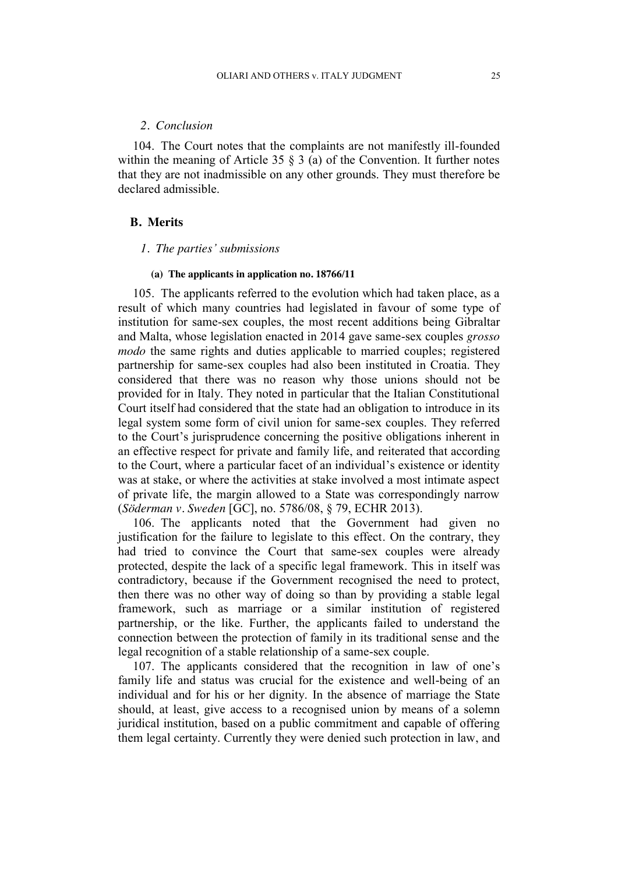# *2. Conclusion*

104. The Court notes that the complaints are not manifestly ill-founded within the meaning of Article 35 § 3 (a) of the Convention. It further notes that they are not inadmissible on any other grounds. They must therefore be declared admissible.

# **B. Merits**

### *1. The parties' submissions*

# **(a) The applicants in application no. 18766/11**

105. The applicants referred to the evolution which had taken place, as a result of which many countries had legislated in favour of some type of institution for same-sex couples, the most recent additions being Gibraltar and Malta, whose legislation enacted in 2014 gave same-sex couples *grosso modo* the same rights and duties applicable to married couples; registered partnership for same-sex couples had also been instituted in Croatia. They considered that there was no reason why those unions should not be provided for in Italy. They noted in particular that the Italian Constitutional Court itself had considered that the state had an obligation to introduce in its legal system some form of civil union for same-sex couples. They referred to the Court's jurisprudence concerning the positive obligations inherent in an effective respect for private and family life, and reiterated that according to the Court, where a particular facet of an individual's existence or identity was at stake, or where the activities at stake involved a most intimate aspect of private life, the margin allowed to a State was correspondingly narrow (*Söderman v. Sweden* [GC], no. 5786/08, § 79, ECHR 2013).

106. The applicants noted that the Government had given no justification for the failure to legislate to this effect. On the contrary, they had tried to convince the Court that same-sex couples were already protected, despite the lack of a specific legal framework. This in itself was contradictory, because if the Government recognised the need to protect, then there was no other way of doing so than by providing a stable legal framework, such as marriage or a similar institution of registered partnership, or the like. Further, the applicants failed to understand the connection between the protection of family in its traditional sense and the legal recognition of a stable relationship of a same-sex couple.

107. The applicants considered that the recognition in law of one's family life and status was crucial for the existence and well-being of an individual and for his or her dignity. In the absence of marriage the State should, at least, give access to a recognised union by means of a solemn juridical institution, based on a public commitment and capable of offering them legal certainty. Currently they were denied such protection in law, and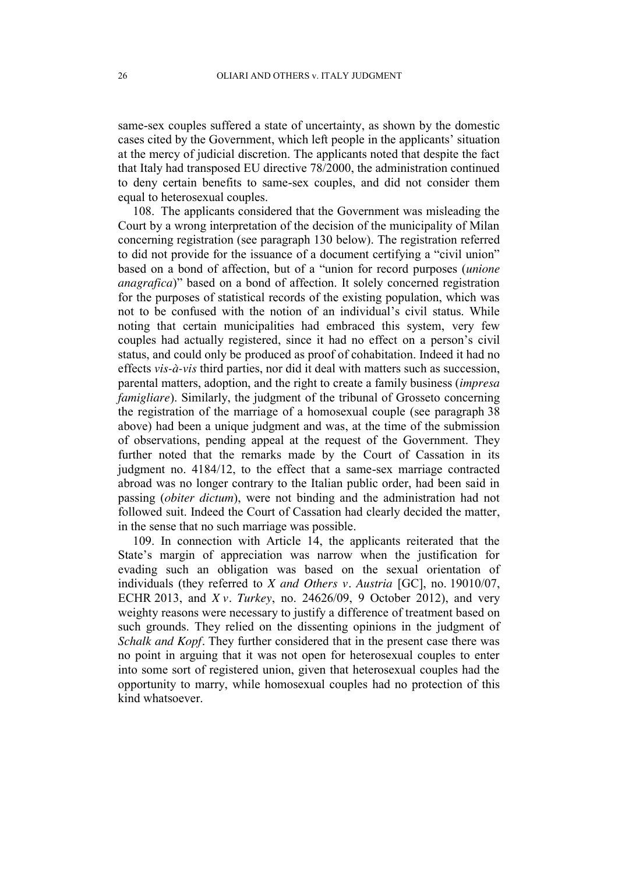same-sex couples suffered a state of uncertainty, as shown by the domestic cases cited by the Government, which left people in the applicants' situation at the mercy of judicial discretion. The applicants noted that despite the fact that Italy had transposed EU directive 78/2000, the administration continued to deny certain benefits to same-sex couples, and did not consider them equal to heterosexual couples.

108. The applicants considered that the Government was misleading the Court by a wrong interpretation of the decision of the municipality of Milan concerning registration (see paragraph 130 below). The registration referred to did not provide for the issuance of a document certifying a "civil union" based on a bond of affection, but of a "union for record purposes (*unione anagrafica*)" based on a bond of affection. It solely concerned registration for the purposes of statistical records of the existing population, which was not to be confused with the notion of an individual's civil status. While noting that certain municipalities had embraced this system, very few couples had actually registered, since it had no effect on a person's civil status, and could only be produced as proof of cohabitation. Indeed it had no effects *vis-à-vis* third parties, nor did it deal with matters such as succession, parental matters, adoption, and the right to create a family business (*impresa famigliare*). Similarly, the judgment of the tribunal of Grosseto concerning the registration of the marriage of a homosexual couple (see paragraph 38 above) had been a unique judgment and was, at the time of the submission of observations, pending appeal at the request of the Government. They further noted that the remarks made by the Court of Cassation in its judgment no. 4184/12, to the effect that a same-sex marriage contracted abroad was no longer contrary to the Italian public order, had been said in passing (*obiter dictum*), were not binding and the administration had not followed suit. Indeed the Court of Cassation had clearly decided the matter, in the sense that no such marriage was possible.

109. In connection with Article 14, the applicants reiterated that the State's margin of appreciation was narrow when the justification for evading such an obligation was based on the sexual orientation of individuals (they referred to *X and Others v. Austria* [GC], no. 19010/07, ECHR 2013, and *X v. Turkey*, no. 24626/09, 9 October 2012), and very weighty reasons were necessary to justify a difference of treatment based on such grounds. They relied on the dissenting opinions in the judgment of *Schalk and Kopf.* They further considered that in the present case there was no point in arguing that it was not open for heterosexual couples to enter into some sort of registered union, given that heterosexual couples had the opportunity to marry, while homosexual couples had no protection of this kind whatsoever.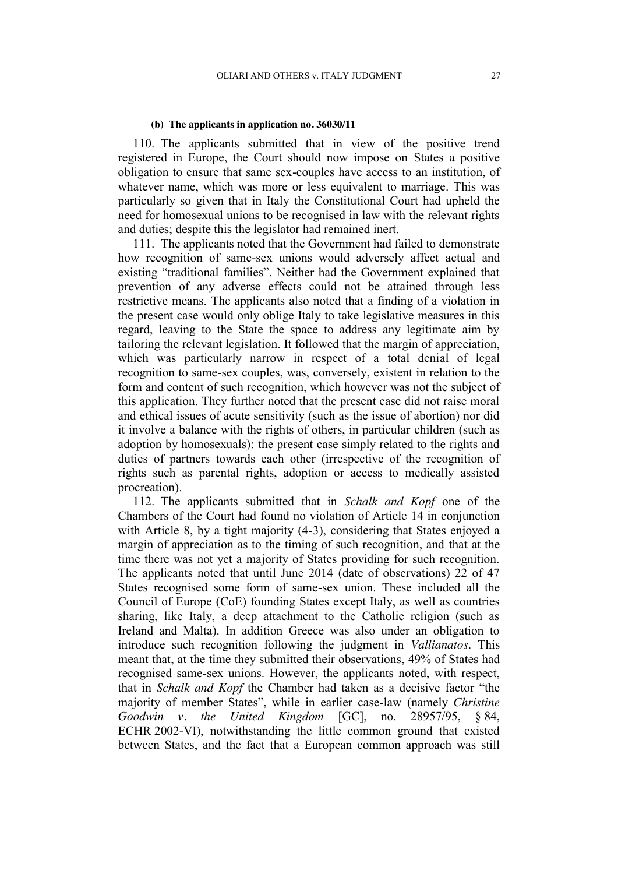#### **(b) The applicants in application no. 36030/11**

110. The applicants submitted that in view of the positive trend registered in Europe, the Court should now impose on States a positive obligation to ensure that same sex-couples have access to an institution, of whatever name, which was more or less equivalent to marriage. This was particularly so given that in Italy the Constitutional Court had upheld the need for homosexual unions to be recognised in law with the relevant rights and duties; despite this the legislator had remained inert.

111. The applicants noted that the Government had failed to demonstrate how recognition of same-sex unions would adversely affect actual and existing "traditional families". Neither had the Government explained that prevention of any adverse effects could not be attained through less restrictive means. The applicants also noted that a finding of a violation in the present case would only oblige Italy to take legislative measures in this regard, leaving to the State the space to address any legitimate aim by tailoring the relevant legislation. It followed that the margin of appreciation, which was particularly narrow in respect of a total denial of legal recognition to same-sex couples, was, conversely, existent in relation to the form and content of such recognition, which however was not the subject of this application. They further noted that the present case did not raise moral and ethical issues of acute sensitivity (such as the issue of abortion) nor did it involve a balance with the rights of others, in particular children (such as adoption by homosexuals): the present case simply related to the rights and duties of partners towards each other (irrespective of the recognition of rights such as parental rights, adoption or access to medically assisted procreation).

112. The applicants submitted that in *Schalk and Kopf* one of the Chambers of the Court had found no violation of Article 14 in conjunction with Article 8, by a tight majority (4-3), considering that States enjoyed a margin of appreciation as to the timing of such recognition, and that at the time there was not yet a majority of States providing for such recognition. The applicants noted that until June 2014 (date of observations) 22 of 47 States recognised some form of same-sex union. These included all the Council of Europe (CoE) founding States except Italy, as well as countries sharing, like Italy, a deep attachment to the Catholic religion (such as Ireland and Malta). In addition Greece was also under an obligation to introduce such recognition following the judgment in *Vallianatos*. This meant that, at the time they submitted their observations, 49% of States had recognised same-sex unions. However, the applicants noted, with respect, that in *Schalk and Kopf* the Chamber had taken as a decisive factor "the majority of member States", while in earlier case-law (namely *Christine Goodwin v. the United Kingdom* [GC], no. 28957/95, § 84, ECHR 2002-VI), notwithstanding the little common ground that existed between States, and the fact that a European common approach was still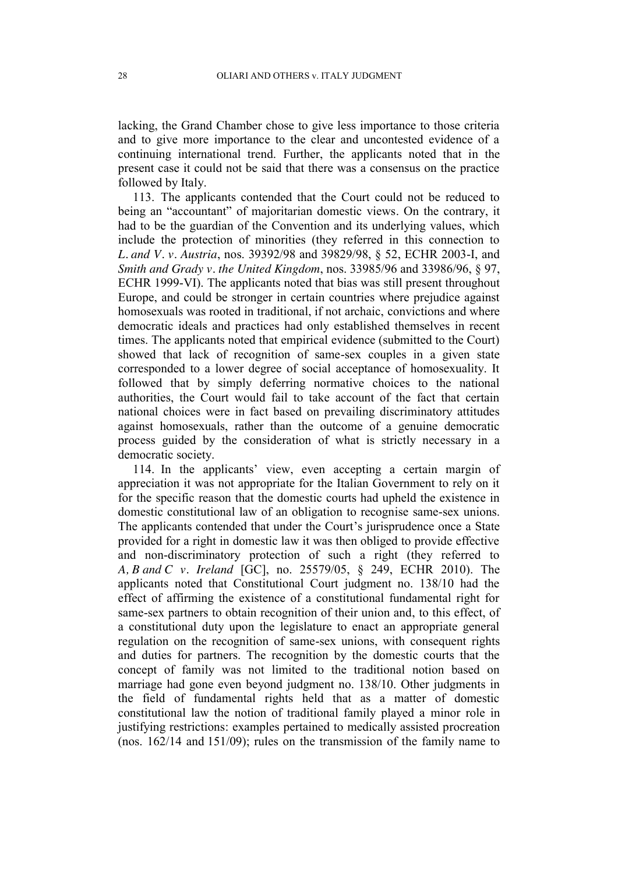lacking, the Grand Chamber chose to give less importance to those criteria and to give more importance to the clear and uncontested evidence of a continuing international trend. Further, the applicants noted that in the present case it could not be said that there was a consensus on the practice followed by Italy.

113. The applicants contended that the Court could not be reduced to being an "accountant" of majoritarian domestic views. On the contrary, it had to be the guardian of the Convention and its underlying values, which include the protection of minorities (they referred in this connection to *L. and V. v. Austria*, nos. 39392/98 and 39829/98, § 52, ECHR 2003-I, and *Smith and Grady v. the United Kingdom*, nos. 33985/96 and 33986/96, § 97, ECHR 1999-VI). The applicants noted that bias was still present throughout Europe, and could be stronger in certain countries where prejudice against homosexuals was rooted in traditional, if not archaic, convictions and where democratic ideals and practices had only established themselves in recent times. The applicants noted that empirical evidence (submitted to the Court) showed that lack of recognition of same-sex couples in a given state corresponded to a lower degree of social acceptance of homosexuality. It followed that by simply deferring normative choices to the national authorities, the Court would fail to take account of the fact that certain national choices were in fact based on prevailing discriminatory attitudes against homosexuals, rather than the outcome of a genuine democratic process guided by the consideration of what is strictly necessary in a democratic society.

114. In the applicants' view, even accepting a certain margin of appreciation it was not appropriate for the Italian Government to rely on it for the specific reason that the domestic courts had upheld the existence in domestic constitutional law of an obligation to recognise same-sex unions. The applicants contended that under the Court's jurisprudence once a State provided for a right in domestic law it was then obliged to provide effective and non-discriminatory protection of such a right (they referred to *A, B and C v. Ireland* [GC], no. 25579/05, § 249, ECHR 2010). The applicants noted that Constitutional Court judgment no. 138/10 had the effect of affirming the existence of a constitutional fundamental right for same-sex partners to obtain recognition of their union and, to this effect, of a constitutional duty upon the legislature to enact an appropriate general regulation on the recognition of same-sex unions, with consequent rights and duties for partners. The recognition by the domestic courts that the concept of family was not limited to the traditional notion based on marriage had gone even beyond judgment no. 138/10. Other judgments in the field of fundamental rights held that as a matter of domestic constitutional law the notion of traditional family played a minor role in justifying restrictions: examples pertained to medically assisted procreation (nos. 162/14 and 151/09); rules on the transmission of the family name to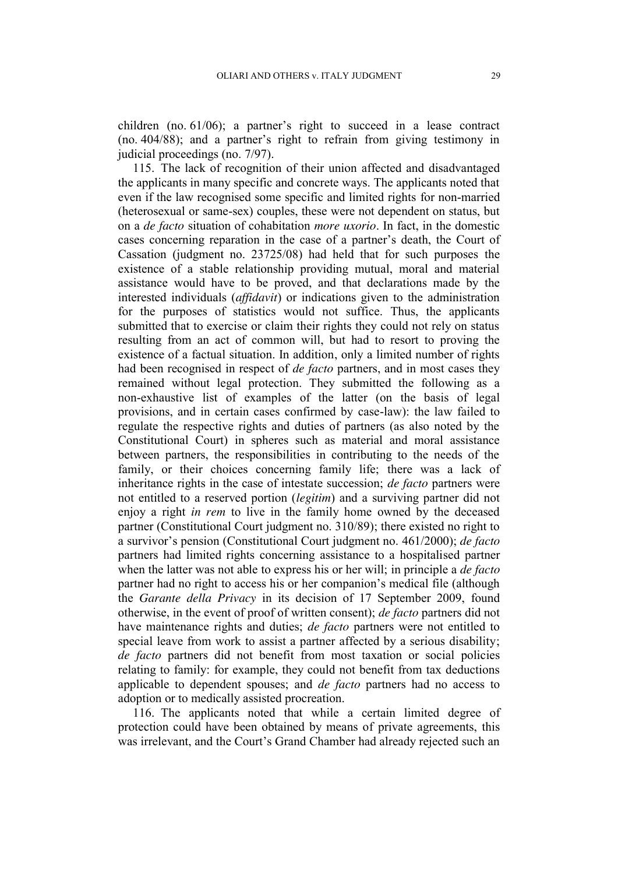children (no. 61/06); a partner's right to succeed in a lease contract (no. 404/88); and a partner's right to refrain from giving testimony in judicial proceedings (no. 7/97).

115. The lack of recognition of their union affected and disadvantaged the applicants in many specific and concrete ways. The applicants noted that even if the law recognised some specific and limited rights for non-married (heterosexual or same-sex) couples, these were not dependent on status, but on a *de facto* situation of cohabitation *more uxorio*. In fact, in the domestic cases concerning reparation in the case of a partner's death, the Court of Cassation (judgment no. 23725/08) had held that for such purposes the existence of a stable relationship providing mutual, moral and material assistance would have to be proved, and that declarations made by the interested individuals (*affidavit*) or indications given to the administration for the purposes of statistics would not suffice. Thus, the applicants submitted that to exercise or claim their rights they could not rely on status resulting from an act of common will, but had to resort to proving the existence of a factual situation. In addition, only a limited number of rights had been recognised in respect of *de facto* partners, and in most cases they remained without legal protection. They submitted the following as a non-exhaustive list of examples of the latter (on the basis of legal provisions, and in certain cases confirmed by case-law): the law failed to regulate the respective rights and duties of partners (as also noted by the Constitutional Court) in spheres such as material and moral assistance between partners, the responsibilities in contributing to the needs of the family, or their choices concerning family life; there was a lack of inheritance rights in the case of intestate succession; *de facto* partners were not entitled to a reserved portion (*legitim*) and a surviving partner did not enjoy a right *in rem* to live in the family home owned by the deceased partner (Constitutional Court judgment no. 310/89); there existed no right to a survivor's pension (Constitutional Court judgment no. 461/2000); *de facto* partners had limited rights concerning assistance to a hospitalised partner when the latter was not able to express his or her will; in principle a *de facto* partner had no right to access his or her companion's medical file (although the *Garante della Privacy* in its decision of 17 September 2009, found otherwise, in the event of proof of written consent); *de facto* partners did not have maintenance rights and duties; *de facto* partners were not entitled to special leave from work to assist a partner affected by a serious disability; *de facto* partners did not benefit from most taxation or social policies relating to family: for example, they could not benefit from tax deductions applicable to dependent spouses; and *de facto* partners had no access to adoption or to medically assisted procreation.

116. The applicants noted that while a certain limited degree of protection could have been obtained by means of private agreements, this was irrelevant, and the Court's Grand Chamber had already rejected such an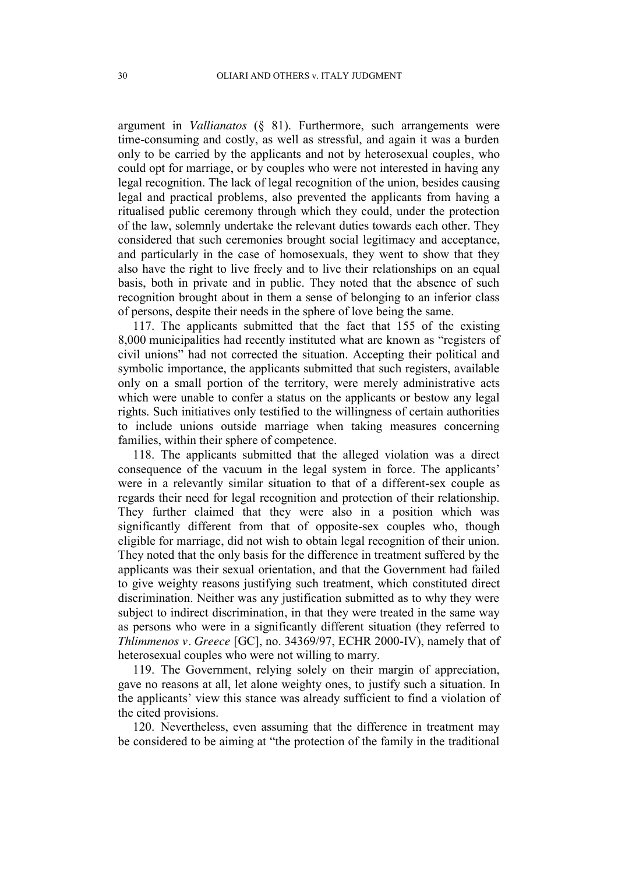argument in *Vallianatos* (§ 81). Furthermore, such arrangements were time-consuming and costly, as well as stressful, and again it was a burden only to be carried by the applicants and not by heterosexual couples, who could opt for marriage, or by couples who were not interested in having any legal recognition. The lack of legal recognition of the union, besides causing legal and practical problems, also prevented the applicants from having a ritualised public ceremony through which they could, under the protection of the law, solemnly undertake the relevant duties towards each other. They considered that such ceremonies brought social legitimacy and acceptance, and particularly in the case of homosexuals, they went to show that they also have the right to live freely and to live their relationships on an equal basis, both in private and in public. They noted that the absence of such recognition brought about in them a sense of belonging to an inferior class of persons, despite their needs in the sphere of love being the same.

117. The applicants submitted that the fact that 155 of the existing 8,000 municipalities had recently instituted what are known as "registers of civil unions" had not corrected the situation. Accepting their political and symbolic importance, the applicants submitted that such registers, available only on a small portion of the territory, were merely administrative acts which were unable to confer a status on the applicants or bestow any legal rights. Such initiatives only testified to the willingness of certain authorities to include unions outside marriage when taking measures concerning families, within their sphere of competence.

118. The applicants submitted that the alleged violation was a direct consequence of the vacuum in the legal system in force. The applicants' were in a relevantly similar situation to that of a different-sex couple as regards their need for legal recognition and protection of their relationship. They further claimed that they were also in a position which was significantly different from that of opposite-sex couples who, though eligible for marriage, did not wish to obtain legal recognition of their union. They noted that the only basis for the difference in treatment suffered by the applicants was their sexual orientation, and that the Government had failed to give weighty reasons justifying such treatment, which constituted direct discrimination. Neither was any justification submitted as to why they were subject to indirect discrimination, in that they were treated in the same way as persons who were in a significantly different situation (they referred to *Thlimmenos v. Greece* [GC], no. 34369/97, ECHR 2000-IV), namely that of heterosexual couples who were not willing to marry.

119. The Government, relying solely on their margin of appreciation, gave no reasons at all, let alone weighty ones, to justify such a situation. In the applicants' view this stance was already sufficient to find a violation of the cited provisions.

120. Nevertheless, even assuming that the difference in treatment may be considered to be aiming at "the protection of the family in the traditional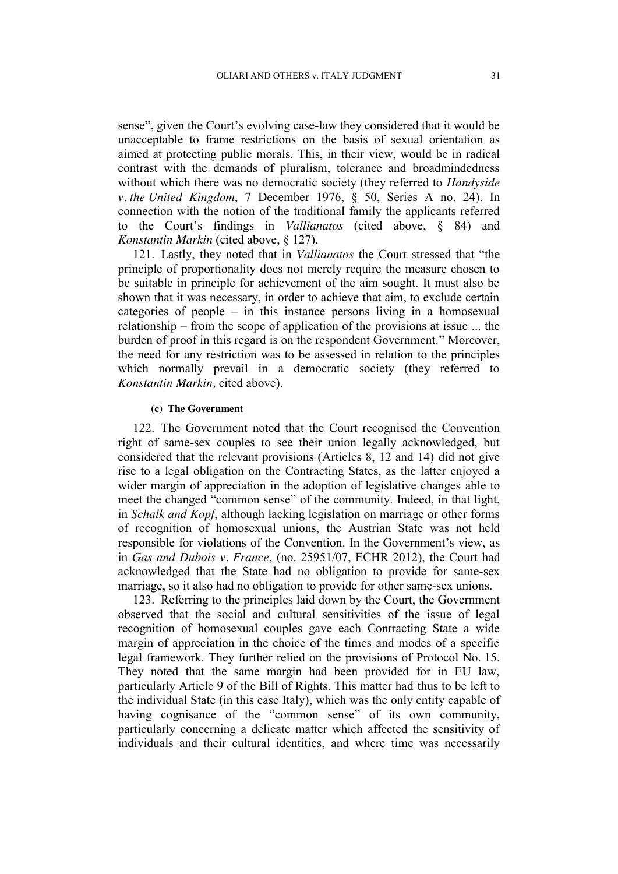sense", given the Court's evolving case-law they considered that it would be unacceptable to frame restrictions on the basis of sexual orientation as aimed at protecting public morals. This, in their view, would be in radical contrast with the demands of pluralism, tolerance and broadmindedness without which there was no democratic society (they referred to *Handyside v. the United Kingdom*, 7 December 1976, § 50, Series A no. 24). In connection with the notion of the traditional family the applicants referred to the Court's findings in *Vallianatos* (cited above, § 84) and *Konstantin Markin* (cited above, § 127).

121. Lastly, they noted that in *Vallianatos* the Court stressed that "the principle of proportionality does not merely require the measure chosen to be suitable in principle for achievement of the aim sought. It must also be shown that it was necessary, in order to achieve that aim, to exclude certain categories of people – in this instance persons living in a homosexual relationship – from the scope of application of the provisions at issue ... the burden of proof in this regard is on the respondent Government." Moreover, the need for any restriction was to be assessed in relation to the principles which normally prevail in a democratic society (they referred to *Konstantin Markin,* cited above).

# **(c) The Government**

122. The Government noted that the Court recognised the Convention right of same-sex couples to see their union legally acknowledged, but considered that the relevant provisions (Articles 8, 12 and 14) did not give rise to a legal obligation on the Contracting States, as the latter enjoyed a wider margin of appreciation in the adoption of legislative changes able to meet the changed "common sense" of the community. Indeed, in that light, in *Schalk and Kopf*, although lacking legislation on marriage or other forms of recognition of homosexual unions, the Austrian State was not held responsible for violations of the Convention. In the Government's view, as in *Gas and Dubois v. France*, (no. 25951/07, ECHR 2012), the Court had acknowledged that the State had no obligation to provide for same-sex marriage, so it also had no obligation to provide for other same-sex unions.

123. Referring to the principles laid down by the Court, the Government observed that the social and cultural sensitivities of the issue of legal recognition of homosexual couples gave each Contracting State a wide margin of appreciation in the choice of the times and modes of a specific legal framework. They further relied on the provisions of Protocol No. 15. They noted that the same margin had been provided for in EU law, particularly Article 9 of the Bill of Rights. This matter had thus to be left to the individual State (in this case Italy), which was the only entity capable of having cognisance of the "common sense" of its own community, particularly concerning a delicate matter which affected the sensitivity of individuals and their cultural identities, and where time was necessarily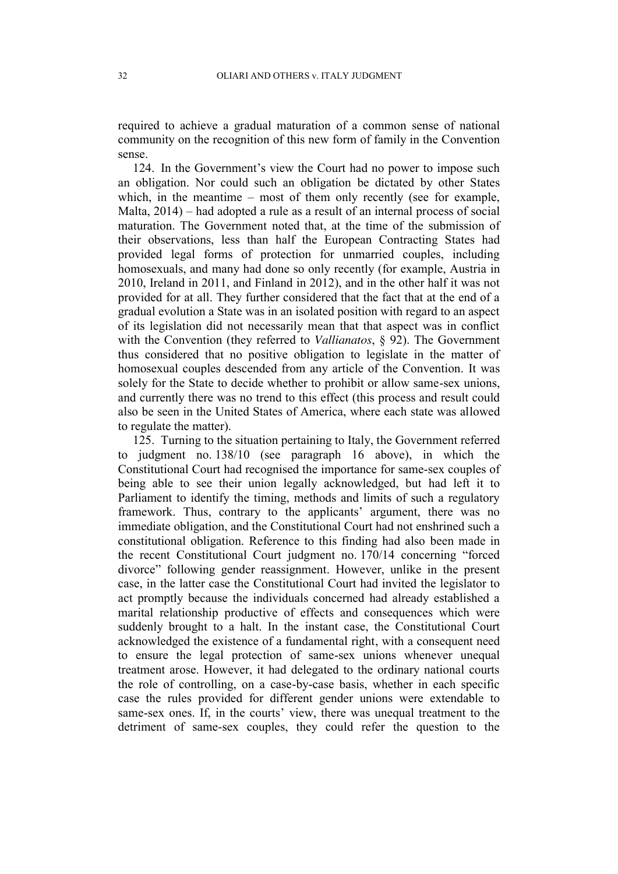required to achieve a gradual maturation of a common sense of national community on the recognition of this new form of family in the Convention sense.

124. In the Government's view the Court had no power to impose such an obligation. Nor could such an obligation be dictated by other States which, in the meantime – most of them only recently (see for example, Malta, 2014) – had adopted a rule as a result of an internal process of social maturation. The Government noted that, at the time of the submission of their observations, less than half the European Contracting States had provided legal forms of protection for unmarried couples, including homosexuals, and many had done so only recently (for example, Austria in 2010, Ireland in 2011, and Finland in 2012), and in the other half it was not provided for at all. They further considered that the fact that at the end of a gradual evolution a State was in an isolated position with regard to an aspect of its legislation did not necessarily mean that that aspect was in conflict with the Convention (they referred to *Vallianatos*, § 92). The Government thus considered that no positive obligation to legislate in the matter of homosexual couples descended from any article of the Convention. It was solely for the State to decide whether to prohibit or allow same-sex unions, and currently there was no trend to this effect (this process and result could also be seen in the United States of America, where each state was allowed to regulate the matter).

125. Turning to the situation pertaining to Italy, the Government referred to judgment no. 138/10 (see paragraph 16 above), in which the Constitutional Court had recognised the importance for same-sex couples of being able to see their union legally acknowledged, but had left it to Parliament to identify the timing, methods and limits of such a regulatory framework. Thus, contrary to the applicants' argument, there was no immediate obligation, and the Constitutional Court had not enshrined such a constitutional obligation. Reference to this finding had also been made in the recent Constitutional Court judgment no. 170/14 concerning "forced divorce" following gender reassignment. However, unlike in the present case, in the latter case the Constitutional Court had invited the legislator to act promptly because the individuals concerned had already established a marital relationship productive of effects and consequences which were suddenly brought to a halt. In the instant case, the Constitutional Court acknowledged the existence of a fundamental right, with a consequent need to ensure the legal protection of same-sex unions whenever unequal treatment arose. However, it had delegated to the ordinary national courts the role of controlling, on a case-by-case basis, whether in each specific case the rules provided for different gender unions were extendable to same-sex ones. If, in the courts' view, there was unequal treatment to the detriment of same-sex couples, they could refer the question to the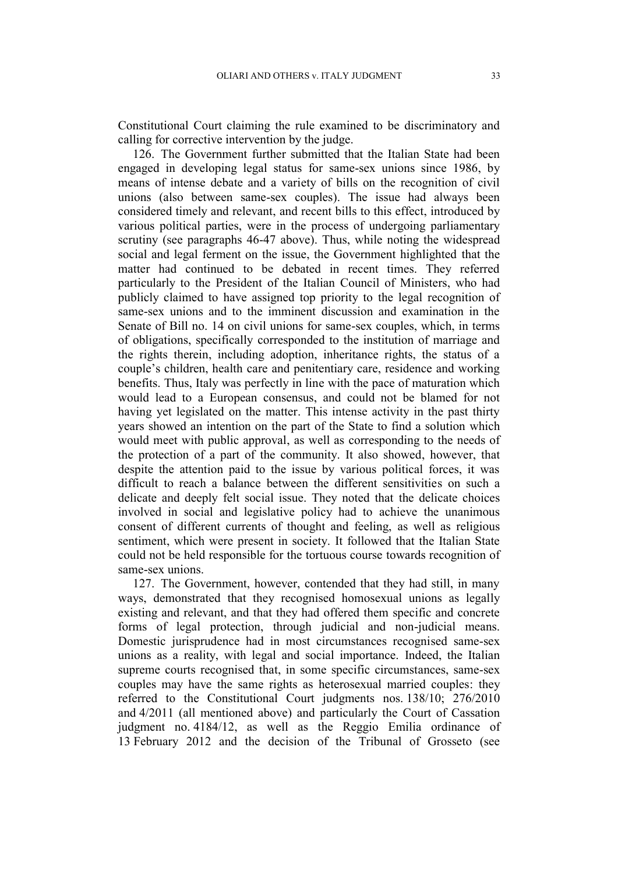Constitutional Court claiming the rule examined to be discriminatory and calling for corrective intervention by the judge.

126. The Government further submitted that the Italian State had been engaged in developing legal status for same-sex unions since 1986, by means of intense debate and a variety of bills on the recognition of civil unions (also between same-sex couples). The issue had always been considered timely and relevant, and recent bills to this effect, introduced by various political parties, were in the process of undergoing parliamentary scrutiny (see paragraphs 46-47 above). Thus, while noting the widespread social and legal ferment on the issue, the Government highlighted that the matter had continued to be debated in recent times. They referred particularly to the President of the Italian Council of Ministers, who had publicly claimed to have assigned top priority to the legal recognition of same-sex unions and to the imminent discussion and examination in the Senate of Bill no. 14 on civil unions for same-sex couples, which, in terms of obligations, specifically corresponded to the institution of marriage and the rights therein, including adoption, inheritance rights, the status of a couple's children, health care and penitentiary care, residence and working benefits. Thus, Italy was perfectly in line with the pace of maturation which would lead to a European consensus, and could not be blamed for not having yet legislated on the matter. This intense activity in the past thirty years showed an intention on the part of the State to find a solution which would meet with public approval, as well as corresponding to the needs of the protection of a part of the community. It also showed, however, that despite the attention paid to the issue by various political forces, it was difficult to reach a balance between the different sensitivities on such a delicate and deeply felt social issue. They noted that the delicate choices involved in social and legislative policy had to achieve the unanimous consent of different currents of thought and feeling, as well as religious sentiment, which were present in society. It followed that the Italian State could not be held responsible for the tortuous course towards recognition of same-sex unions.

127. The Government, however, contended that they had still, in many ways, demonstrated that they recognised homosexual unions as legally existing and relevant, and that they had offered them specific and concrete forms of legal protection, through judicial and non-judicial means. Domestic jurisprudence had in most circumstances recognised same-sex unions as a reality, with legal and social importance. Indeed, the Italian supreme courts recognised that, in some specific circumstances, same-sex couples may have the same rights as heterosexual married couples: they referred to the Constitutional Court judgments nos. 138/10; 276/2010 and 4/2011 (all mentioned above) and particularly the Court of Cassation judgment no. 4184/12, as well as the Reggio Emilia ordinance of 13 February 2012 and the decision of the Tribunal of Grosseto (see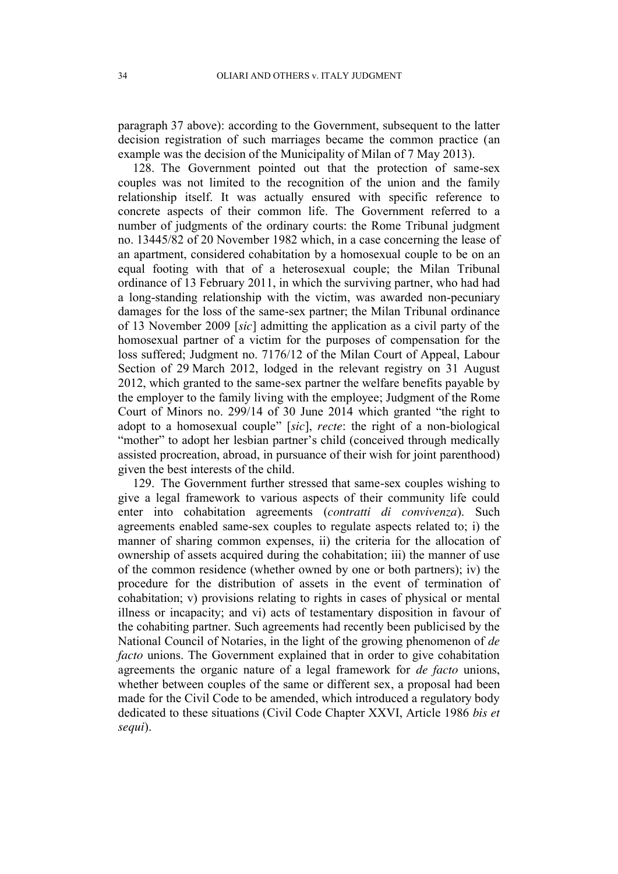paragraph 37 above): according to the Government, subsequent to the latter decision registration of such marriages became the common practice (an example was the decision of the Municipality of Milan of 7 May 2013).

128. The Government pointed out that the protection of same-sex couples was not limited to the recognition of the union and the family relationship itself. It was actually ensured with specific reference to concrete aspects of their common life. The Government referred to a number of judgments of the ordinary courts: the Rome Tribunal judgment no. 13445/82 of 20 November 1982 which, in a case concerning the lease of an apartment, considered cohabitation by a homosexual couple to be on an equal footing with that of a heterosexual couple; the Milan Tribunal ordinance of 13 February 2011, in which the surviving partner, who had had a long-standing relationship with the victim, was awarded non-pecuniary damages for the loss of the same-sex partner; the Milan Tribunal ordinance of 13 November 2009 [*sic*] admitting the application as a civil party of the homosexual partner of a victim for the purposes of compensation for the loss suffered; Judgment no. 7176/12 of the Milan Court of Appeal, Labour Section of 29 March 2012, lodged in the relevant registry on 31 August 2012, which granted to the same-sex partner the welfare benefits payable by the employer to the family living with the employee; Judgment of the Rome Court of Minors no. 299/14 of 30 June 2014 which granted "the right to adopt to a homosexual couple" [*sic*], *recte*: the right of a non-biological "mother" to adopt her lesbian partner's child (conceived through medically assisted procreation, abroad, in pursuance of their wish for joint parenthood) given the best interests of the child.

129. The Government further stressed that same-sex couples wishing to give a legal framework to various aspects of their community life could enter into cohabitation agreements (*contratti di convivenza*). Such agreements enabled same-sex couples to regulate aspects related to; i) the manner of sharing common expenses, ii) the criteria for the allocation of ownership of assets acquired during the cohabitation; iii) the manner of use of the common residence (whether owned by one or both partners); iv) the procedure for the distribution of assets in the event of termination of cohabitation; v) provisions relating to rights in cases of physical or mental illness or incapacity; and vi) acts of testamentary disposition in favour of the cohabiting partner. Such agreements had recently been publicised by the National Council of Notaries, in the light of the growing phenomenon of *de facto* unions. The Government explained that in order to give cohabitation agreements the organic nature of a legal framework for *de facto* unions, whether between couples of the same or different sex, a proposal had been made for the Civil Code to be amended, which introduced a regulatory body dedicated to these situations (Civil Code Chapter XXVI, Article 1986 *bis et sequi*).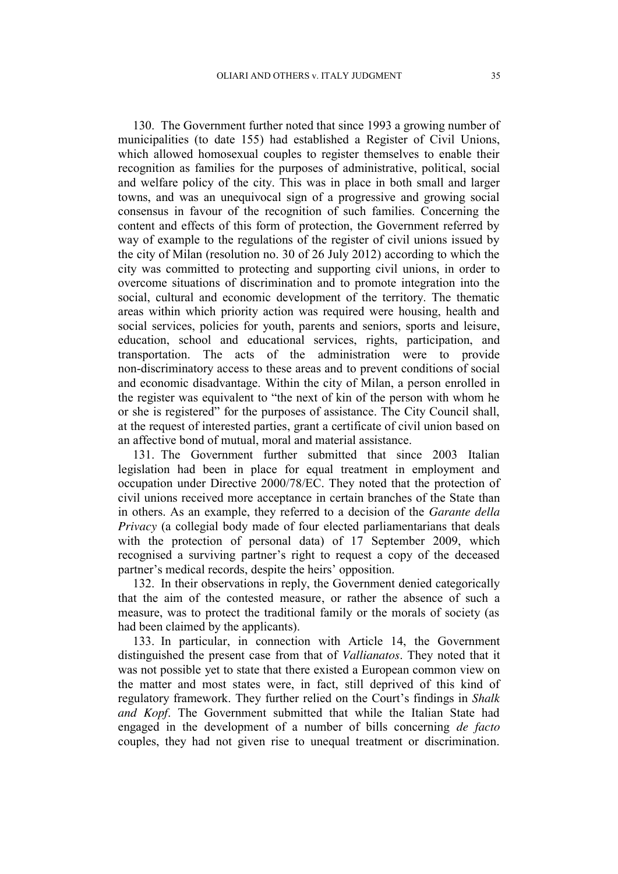130. The Government further noted that since 1993 a growing number of municipalities (to date 155) had established a Register of Civil Unions, which allowed homosexual couples to register themselves to enable their recognition as families for the purposes of administrative, political, social and welfare policy of the city. This was in place in both small and larger towns, and was an unequivocal sign of a progressive and growing social consensus in favour of the recognition of such families. Concerning the content and effects of this form of protection, the Government referred by way of example to the regulations of the register of civil unions issued by the city of Milan (resolution no. 30 of 26 July 2012) according to which the city was committed to protecting and supporting civil unions, in order to overcome situations of discrimination and to promote integration into the social, cultural and economic development of the territory. The thematic areas within which priority action was required were housing, health and social services, policies for youth, parents and seniors, sports and leisure, education, school and educational services, rights, participation, and transportation. The acts of the administration were to provide non-discriminatory access to these areas and to prevent conditions of social and economic disadvantage. Within the city of Milan, a person enrolled in the register was equivalent to "the next of kin of the person with whom he or she is registered" for the purposes of assistance. The City Council shall, at the request of interested parties, grant a certificate of civil union based on an affective bond of mutual, moral and material assistance.

131. The Government further submitted that since 2003 Italian legislation had been in place for equal treatment in employment and occupation under Directive 2000/78/EC. They noted that the protection of civil unions received more acceptance in certain branches of the State than in others. As an example, they referred to a decision of the *Garante della Privacy* (a collegial body made of four elected parliamentarians that deals with the protection of personal data) of 17 September 2009, which recognised a surviving partner's right to request a copy of the deceased partner's medical records, despite the heirs' opposition.

132. In their observations in reply, the Government denied categorically that the aim of the contested measure, or rather the absence of such a measure, was to protect the traditional family or the morals of society (as had been claimed by the applicants).

133. In particular, in connection with Article 14, the Government distinguished the present case from that of *Vallianatos*. They noted that it was not possible yet to state that there existed a European common view on the matter and most states were, in fact, still deprived of this kind of regulatory framework. They further relied on the Court's findings in *Shalk and Kopf*. The Government submitted that while the Italian State had engaged in the development of a number of bills concerning *de facto* couples, they had not given rise to unequal treatment or discrimination.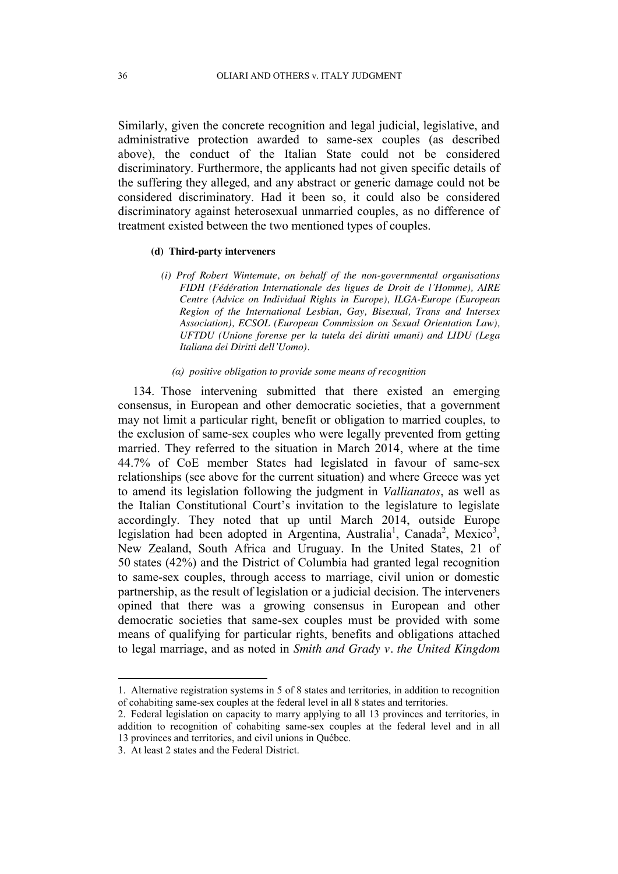Similarly, given the concrete recognition and legal judicial, legislative, and administrative protection awarded to same-sex couples (as described above), the conduct of the Italian State could not be considered discriminatory. Furthermore, the applicants had not given specific details of the suffering they alleged, and any abstract or generic damage could not be considered discriminatory. Had it been so, it could also be considered discriminatory against heterosexual unmarried couples, as no difference of treatment existed between the two mentioned types of couples.

#### **(d) Third-party interveners**

*(i) Prof Robert Wintemute, on behalf of the non-governmental organisations FIDH (Fédération Internationale des ligues de Droit de l'Homme), AIRE Centre (Advice on Individual Rights in Europe), ILGA-Europe (European Region of the International Lesbian, Gay, Bisexual, Trans and Intersex Association), ECSOL (European Commission on Sexual Orientation Law), UFTDU (Unione forense per la tutela dei diritti umani) and LIDU (Lega Italiana dei Diritti dell'Uomo).*

# *(α) positive obligation to provide some means of recognition*

134. Those intervening submitted that there existed an emerging consensus, in European and other democratic societies, that a government may not limit a particular right, benefit or obligation to married couples, to the exclusion of same-sex couples who were legally prevented from getting married. They referred to the situation in March 2014, where at the time 44.7% of CoE member States had legislated in favour of same-sex relationships (see above for the current situation) and where Greece was yet to amend its legislation following the judgment in *Vallianatos*, as well as the Italian Constitutional Court's invitation to the legislature to legislate accordingly. They noted that up until March 2014, outside Europe legislation had been adopted in Argentina, Australia<sup>1</sup>, Canada<sup>2</sup>, Mexico<sup>3</sup>, New Zealand, South Africa and Uruguay. In the United States, 21 of 50 states (42%) and the District of Columbia had granted legal recognition to same-sex couples, through access to marriage, civil union or domestic partnership, as the result of legislation or a judicial decision. The interveners opined that there was a growing consensus in European and other democratic societies that same-sex couples must be provided with some means of qualifying for particular rights, benefits and obligations attached to legal marriage, and as noted in *Smith and Grady v. the United Kingdom*

 <sup>1.</sup> Alternative registration systems in 5 of 8 states and territories, in addition to recognition of cohabiting same-sex couples at the federal level in all 8 states and territories.

<sup>2.</sup> Federal legislation on capacity to marry applying to all 13 provinces and territories, in addition to recognition of cohabiting same-sex couples at the federal level and in all 13 provinces and territories, and civil unions in Québec.

<sup>3.</sup> At least 2 states and the Federal District.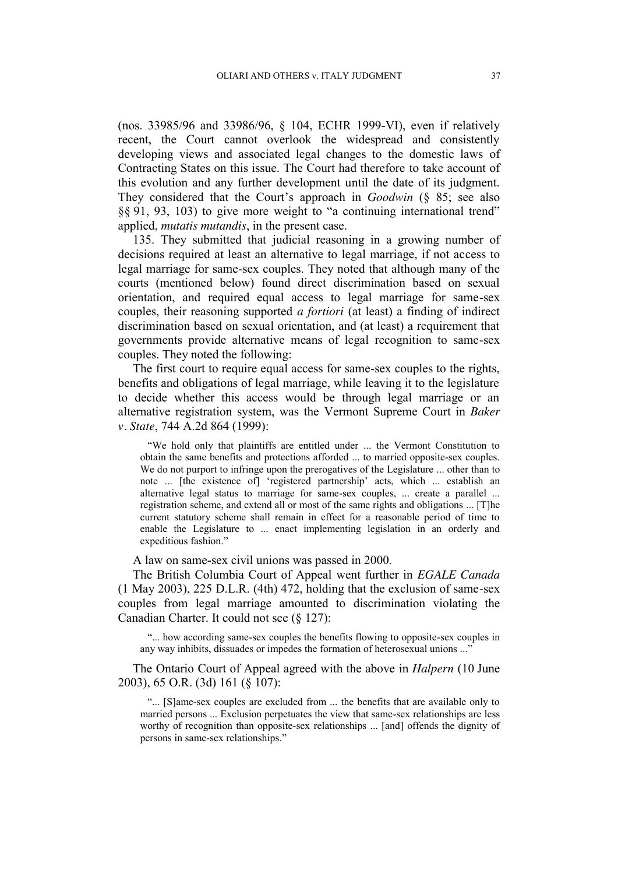(nos. 33985/96 and 33986/96, § 104, ECHR 1999-VI), even if relatively recent, the Court cannot overlook the widespread and consistently developing views and associated legal changes to the domestic laws of Contracting States on this issue. The Court had therefore to take account of this evolution and any further development until the date of its judgment. They considered that the Court's approach in *Goodwin* (§ 85; see also §§ 91, 93, 103) to give more weight to "a continuing international trend" applied, *mutatis mutandis*, in the present case.

135. They submitted that judicial reasoning in a growing number of decisions required at least an alternative to legal marriage, if not access to legal marriage for same-sex couples. They noted that although many of the courts (mentioned below) found direct discrimination based on sexual orientation, and required equal access to legal marriage for same-sex couples, their reasoning supported *a fortiori* (at least) a finding of indirect discrimination based on sexual orientation, and (at least) a requirement that governments provide alternative means of legal recognition to same-sex couples. They noted the following:

The first court to require equal access for same-sex couples to the rights, benefits and obligations of legal marriage, while leaving it to the legislature to decide whether this access would be through legal marriage or an alternative registration system, was the Vermont Supreme Court in *Baker v. State*, 744 A.2d 864 (1999):

"We hold only that plaintiffs are entitled under ... the Vermont Constitution to obtain the same benefits and protections afforded ... to married opposite-sex couples. We do not purport to infringe upon the prerogatives of the Legislature ... other than to note ... [the existence of] 'registered partnership' acts, which ... establish an alternative legal status to marriage for same-sex couples, ... create a parallel ... registration scheme, and extend all or most of the same rights and obligations ... [T]he current statutory scheme shall remain in effect for a reasonable period of time to enable the Legislature to ... enact implementing legislation in an orderly and expeditious fashion."

A law on same-sex civil unions was passed in 2000.

The British Columbia Court of Appeal went further in *EGALE Canada* (1 May 2003), 225 D.L.R. (4th) 472, holding that the exclusion of same-sex couples from legal marriage amounted to discrimination violating the Canadian Charter. It could not see (§ 127):

"... how according same-sex couples the benefits flowing to opposite-sex couples in any way inhibits, dissuades or impedes the formation of heterosexual unions ..."

The Ontario Court of Appeal agreed with the above in *Halpern* (10 June 2003), 65 O.R. (3d) 161 (§ 107):

"... [S]ame-sex couples are excluded from ... the benefits that are available only to married persons ... Exclusion perpetuates the view that same-sex relationships are less worthy of recognition than opposite-sex relationships ... [and] offends the dignity of persons in same-sex relationships."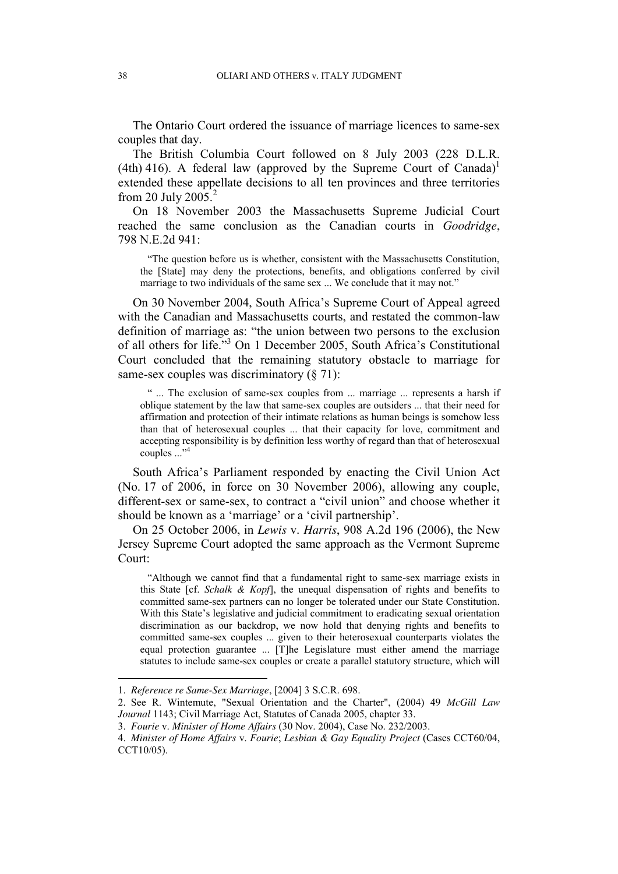The Ontario Court ordered the issuance of marriage licences to same-sex couples that day.

The British Columbia Court followed on 8 July 2003 (228 D.L.R. (4th) 416). A federal law (approved by the Supreme Court of Canada)<sup>1</sup> extended these appellate decisions to all ten provinces and three territories from 20 July 2005. $^2$ 

On 18 November 2003 the Massachusetts Supreme Judicial Court reached the same conclusion as the Canadian courts in *Goodridge*, 798 N.E.2d 941:

"The question before us is whether, consistent with the Massachusetts Constitution, the [State] may deny the protections, benefits, and obligations conferred by civil marriage to two individuals of the same sex ... We conclude that it may not."

On 30 November 2004, South Africa's Supreme Court of Appeal agreed with the Canadian and Massachusetts courts, and restated the common-law definition of marriage as: "the union between two persons to the exclusion of all others for life."<sup>3</sup> On 1 December 2005, South Africa's Constitutional Court concluded that the remaining statutory obstacle to marriage for same-sex couples was discriminatory  $(\S 71)$ :

" ... The exclusion of same-sex couples from ... marriage ... represents a harsh if oblique statement by the law that same-sex couples are outsiders ... that their need for affirmation and protection of their intimate relations as human beings is somehow less than that of heterosexual couples ... that their capacity for love, commitment and accepting responsibility is by definition less worthy of regard than that of heterosexual couples ..."<sup>4</sup>

South Africa's Parliament responded by enacting the Civil Union Act (No. 17 of 2006, in force on 30 November 2006), allowing any couple, different-sex or same-sex, to contract a "civil union" and choose whether it should be known as a 'marriage' or a 'civil partnership'.

On 25 October 2006, in *Lewis* v. *Harris*, 908 A.2d 196 (2006), the New Jersey Supreme Court adopted the same approach as the Vermont Supreme Court:

"Although we cannot find that a fundamental right to same-sex marriage exists in this State [cf. *Schalk & Kopf*], the unequal dispensation of rights and benefits to committed same-sex partners can no longer be tolerated under our State Constitution. With this State's legislative and judicial commitment to eradicating sexual orientation discrimination as our backdrop, we now hold that denying rights and benefits to committed same-sex couples ... given to their heterosexual counterparts violates the equal protection guarantee ... [T]he Legislature must either amend the marriage statutes to include same-sex couples or create a parallel statutory structure, which will

 <sup>1.</sup> *Reference re Same-Sex Marriage*, [2004] 3 S.C.R. 698.

<sup>2.</sup> See R. Wintemute, "Sexual Orientation and the Charter", (2004) 49 *McGill Law Journal* 1143; Civil Marriage Act, Statutes of Canada 2005, chapter 33.

<sup>3.</sup> *Fourie* v. *Minister of Home Affairs* (30 Nov. 2004), Case No. 232/2003.

<sup>4.</sup> *Minister of Home Affairs* v. *Fourie*; *Lesbian & Gay Equality Project* (Cases CCT60/04, CCT10/05).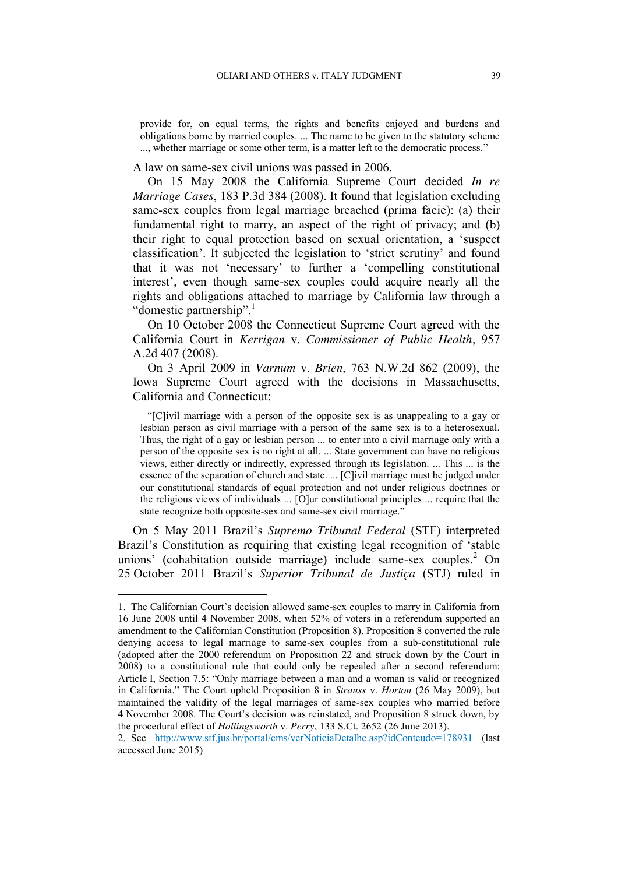provide for, on equal terms, the rights and benefits enjoyed and burdens and obligations borne by married couples. ... The name to be given to the statutory scheme ..., whether marriage or some other term, is a matter left to the democratic process."

A law on same-sex civil unions was passed in 2006.

On 15 May 2008 the California Supreme Court decided *In re Marriage Cases*, 183 P.3d 384 (2008). It found that legislation excluding same-sex couples from legal marriage breached (prima facie): (a) their fundamental right to marry, an aspect of the right of privacy; and (b) their right to equal protection based on sexual orientation, a 'suspect classification'. It subjected the legislation to 'strict scrutiny' and found that it was not 'necessary' to further a 'compelling constitutional interest', even though same-sex couples could acquire nearly all the rights and obligations attached to marriage by California law through a "domestic partnership".<sup>1</sup>

On 10 October 2008 the Connecticut Supreme Court agreed with the California Court in *Kerrigan* v. *Commissioner of Public Health*, 957 A.2d 407 (2008).

On 3 April 2009 in *Varnum* v. *Brien*, 763 N.W.2d 862 (2009), the Iowa Supreme Court agreed with the decisions in Massachusetts, California and Connecticut:

"[C]ivil marriage with a person of the opposite sex is as unappealing to a gay or lesbian person as civil marriage with a person of the same sex is to a heterosexual. Thus, the right of a gay or lesbian person ... to enter into a civil marriage only with a person of the opposite sex is no right at all. ... State government can have no religious views, either directly or indirectly, expressed through its legislation. ... This ... is the essence of the separation of church and state. ... [C]ivil marriage must be judged under our constitutional standards of equal protection and not under religious doctrines or the religious views of individuals ... [O]ur constitutional principles ... require that the state recognize both opposite-sex and same-sex civil marriage."

On 5 May 2011 Brazil's *Supremo Tribunal Federal* (STF) interpreted Brazil's Constitution as requiring that existing legal recognition of 'stable unions' (cohabitation outside marriage) include same-sex couples.<sup>2</sup> On 25 October 2011 Brazil's *Superior Tribunal de Justiça* (STJ) ruled in

 <sup>1.</sup> The Californian Court's decision allowed same-sex couples to marry in California from 16 June 2008 until 4 November 2008, when 52% of voters in a referendum supported an amendment to the Californian Constitution (Proposition 8). Proposition 8 converted the rule denying access to legal marriage to same-sex couples from a sub-constitutional rule (adopted after the 2000 referendum on Proposition 22 and struck down by the Court in 2008) to a constitutional rule that could only be repealed after a second referendum: Article I, Section 7.5: "Only marriage between a man and a woman is valid or recognized in California." The Court upheld Proposition 8 in *Strauss* v. *Horton* (26 May 2009), but maintained the validity of the legal marriages of same-sex couples who married before 4 November 2008. The Court's decision was reinstated, and Proposition 8 struck down, by the procedural effect of *Hollingsworth* v. *Perry*, 133 S.Ct. 2652 (26 June 2013).

<sup>2.</sup> See <http://www.stf.jus.br/portal/cms/verNoticiaDetalhe.asp?idConteudo=178931> (last accessed June 2015)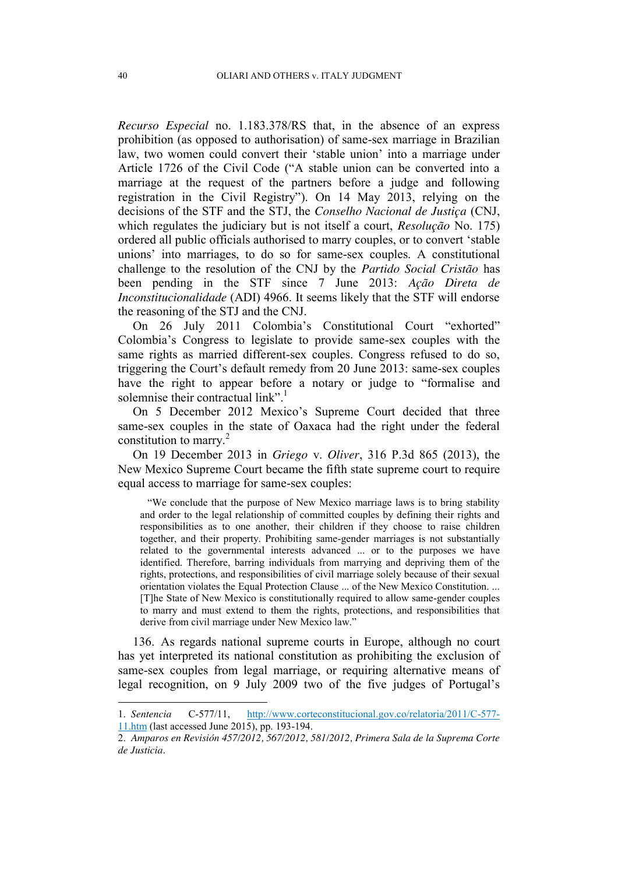*Recurso Especial* no. 1.183.378/RS that, in the absence of an express prohibition (as opposed to authorisation) of same-sex marriage in Brazilian law, two women could convert their 'stable union' into a marriage under Article 1726 of the Civil Code ("A stable union can be converted into a marriage at the request of the partners before a judge and following registration in the Civil Registry"). On 14 May 2013, relying on the decisions of the STF and the STJ, the *Conselho Nacional de Justiça* (CNJ, which regulates the judiciary but is not itself a court, *Resolução* No. 175) ordered all public officials authorised to marry couples, or to convert 'stable unions' into marriages, to do so for same-sex couples. A constitutional challenge to the resolution of the CNJ by the *Partido Social Cristão* has been pending in the STF since 7 June 2013: *Ação Direta de Inconstitucionalidade* (ADI) 4966. It seems likely that the STF will endorse the reasoning of the STJ and the CNJ.

On 26 July 2011 Colombia's Constitutional Court "exhorted" Colombia's Congress to legislate to provide same-sex couples with the same rights as married different-sex couples. Congress refused to do so, triggering the Court's default remedy from 20 June 2013: same-sex couples have the right to appear before a notary or judge to "formalise and solemnise their contractual link".<sup>1</sup>

On 5 December 2012 Mexico's Supreme Court decided that three same-sex couples in the state of Oaxaca had the right under the federal constitution to marry. $^{2}$ 

On 19 December 2013 in *Griego* v. *Oliver*, 316 P.3d 865 (2013), the New Mexico Supreme Court became the fifth state supreme court to require equal access to marriage for same-sex couples:

"We conclude that the purpose of New Mexico marriage laws is to bring stability and order to the legal relationship of committed couples by defining their rights and responsibilities as to one another, their children if they choose to raise children together, and their property. Prohibiting same-gender marriages is not substantially related to the governmental interests advanced ... or to the purposes we have identified. Therefore, barring individuals from marrying and depriving them of the rights, protections, and responsibilities of civil marriage solely because of their sexual orientation violates the Equal Protection Clause ... of the New Mexico Constitution. ... [T]he State of New Mexico is constitutionally required to allow same-gender couples to marry and must extend to them the rights, protections, and responsibilities that derive from civil marriage under New Mexico law."

136. As regards national supreme courts in Europe, although no court has yet interpreted its national constitution as prohibiting the exclusion of same-sex couples from legal marriage, or requiring alternative means of legal recognition, on 9 July 2009 two of the five judges of Portugal's

 $\overline{a}$ 

<sup>1.</sup> *Sentencia* C-577/11, [http://www.corteconstitucional.gov.co/relatoria/2011/C-577-](http://www.corteconstitucional.gov.co/relatoria/2011/C-577-11.htm) [11.htm](http://www.corteconstitucional.gov.co/relatoria/2011/C-577-11.htm) (last accessed June 2015), pp. 193-194.

<sup>2.</sup> *Amparos en Revisión 457/2012, 567/2012, 581/2012, Primera Sala de la Suprema Corte de Justicia*.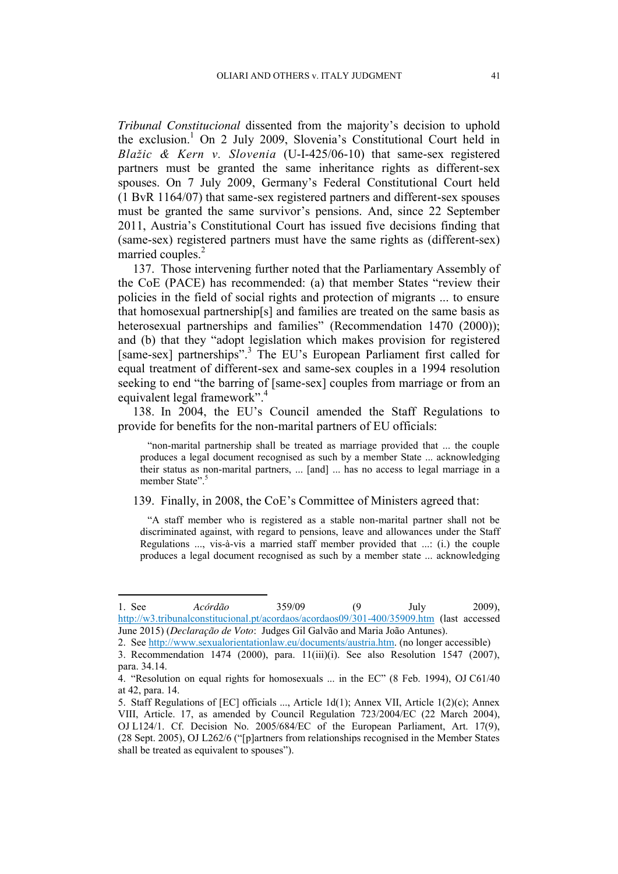*Tribunal Constitucional* dissented from the majority's decision to uphold the exclusion.1 On 2 July 2009, Slovenia's Constitutional Court held in *Blažic & Kern v. Slovenia* (U-I-425/06-10) that same-sex registered partners must be granted the same inheritance rights as different-sex spouses. On 7 July 2009, Germany's Federal Constitutional Court held (1 BvR 1164/07) that same-sex registered partners and different-sex spouses must be granted the same survivor's pensions. And, since 22 September 2011, Austria's Constitutional Court has issued five decisions finding that (same-sex) registered partners must have the same rights as (different-sex) married couples.<sup>2</sup>

137. Those intervening further noted that the Parliamentary Assembly of the CoE (PACE) has recommended: (a) that member States "review their policies in the field of social rights and protection of migrants ... to ensure that homosexual partnership[s] and families are treated on the same basis as heterosexual partnerships and families" (Recommendation 1470 (2000)); and (b) that they "adopt legislation which makes provision for registered [same-sex] partnerships".<sup>3</sup> The EU's European Parliament first called for equal treatment of different-sex and same-sex couples in a 1994 resolution seeking to end "the barring of [same-sex] couples from marriage or from an equivalent legal framework".<sup>4</sup>

138. In 2004, the EU's Council amended the Staff Regulations to provide for benefits for the non-marital partners of EU officials:

"non-marital partnership shall be treated as marriage provided that ... the couple produces a legal document recognised as such by a member State ... acknowledging their status as non-marital partners, ... [and] ... has no access to legal marriage in a member State". 5

139. Finally, in 2008, the CoE's Committee of Ministers agreed that:

"A staff member who is registered as a stable non-marital partner shall not be discriminated against, with regard to pensions, leave and allowances under the Staff Regulations ..., vis-à-vis a married staff member provided that ...: (i.) the couple produces a legal document recognised as such by a member state ... acknowledging

 <sup>1.</sup> See *Acórdão* 359/09 (9 July 2009), <http://w3.tribunalconstitucional.pt/acordaos/acordaos09/301-400/35909.htm> (last accessed June 2015) (*Declaração de Voto*: Judges Gil Galvão and Maria João Antunes).

<sup>2.</sup> See [http://www.sexualorientationlaw.eu/documents/austria.htm.](http://www.sexualorientationlaw.eu/documents/austria.htm) (no longer accessible)

<sup>3.</sup> Recommendation 1474 (2000), para. 11(iii)(i). See also Resolution 1547 (2007), para. 34.14.

<sup>4.</sup> "Resolution on equal rights for homosexuals ... in the EC" (8 Feb. 1994), OJ C61/40 at 42, para. 14.

<sup>5.</sup> Staff Regulations of [EC] officials ..., Article 1d(1); Annex VII, Article 1(2)(c); Annex VIII, Article. 17, as amended by Council Regulation 723/2004/EC (22 March 2004), OJ L124/1. Cf. Decision No. 2005/684/EC of the European Parliament, Art. 17(9), (28 Sept. 2005), OJ L262/6 ("[p]artners from relationships recognised in the Member States shall be treated as equivalent to spouses").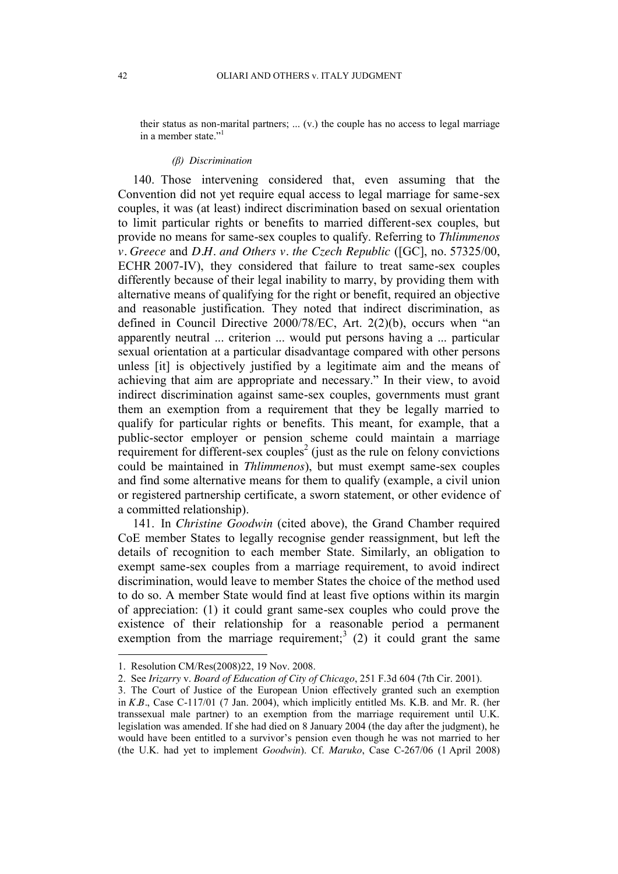their status as non-marital partners; ... (v.) the couple has no access to legal marriage in a member state."<sup>1</sup>

#### *(β) Discrimination*

140. Those intervening considered that, even assuming that the Convention did not yet require equal access to legal marriage for same-sex couples, it was (at least) indirect discrimination based on sexual orientation to limit particular rights or benefits to married different-sex couples, but provide no means for same-sex couples to qualify. Referring to *Thlimmenos v. Greece* and *D.H. and Others v. the Czech Republic* ([GC], no. 57325/00, ECHR 2007-IV), they considered that failure to treat same-sex couples differently because of their legal inability to marry, by providing them with alternative means of qualifying for the right or benefit, required an objective and reasonable justification. They noted that indirect discrimination, as defined in Council Directive 2000/78/EC, Art. 2(2)(b), occurs when "an apparently neutral ... criterion ... would put persons having a ... particular sexual orientation at a particular disadvantage compared with other persons unless [it] is objectively justified by a legitimate aim and the means of achieving that aim are appropriate and necessary." In their view, to avoid indirect discrimination against same-sex couples, governments must grant them an exemption from a requirement that they be legally married to qualify for particular rights or benefits. This meant, for example, that a public-sector employer or pension scheme could maintain a marriage requirement for different-sex couples<sup>2</sup> (just as the rule on felony convictions could be maintained in *Thlimmenos*), but must exempt same-sex couples and find some alternative means for them to qualify (example, a civil union or registered partnership certificate, a sworn statement, or other evidence of a committed relationship).

141. In *Christine Goodwin* (cited above), the Grand Chamber required CoE member States to legally recognise gender reassignment, but left the details of recognition to each member State. Similarly, an obligation to exempt same-sex couples from a marriage requirement, to avoid indirect discrimination, would leave to member States the choice of the method used to do so. A member State would find at least five options within its margin of appreciation: (1) it could grant same-sex couples who could prove the existence of their relationship for a reasonable period a permanent exemption from the marriage requirement;<sup>3</sup> (2) it could grant the same

<sup>1.</sup> Resolution CM/Res(2008)22, 19 Nov. 2008.

<sup>2.</sup> See *Irizarry* v. *Board of Education of City of Chicago*, 251 F.3d 604 (7th Cir. 2001).

<sup>3.</sup> The Court of Justice of the European Union effectively granted such an exemption in *K.B.*, Case C-117/01 (7 Jan. 2004), which implicitly entitled Ms. K.B. and Mr. R. (her transsexual male partner) to an exemption from the marriage requirement until U.K. legislation was amended. If she had died on 8 January 2004 (the day after the judgment), he would have been entitled to a survivor's pension even though he was not married to her (the U.K. had yet to implement *Goodwin*). Cf. *Maruko*, Case C-267/06 (1 April 2008)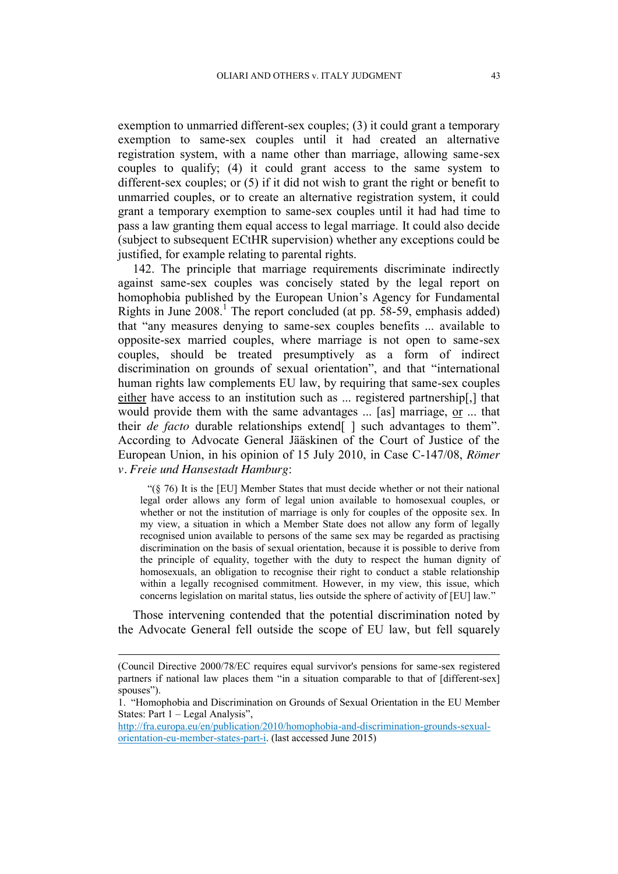exemption to unmarried different-sex couples; (3) it could grant a temporary exemption to same-sex couples until it had created an alternative registration system, with a name other than marriage, allowing same-sex couples to qualify; (4) it could grant access to the same system to different-sex couples; or (5) if it did not wish to grant the right or benefit to unmarried couples, or to create an alternative registration system, it could grant a temporary exemption to same-sex couples until it had had time to pass a law granting them equal access to legal marriage. It could also decide (subject to subsequent ECtHR supervision) whether any exceptions could be justified, for example relating to parental rights.

142. The principle that marriage requirements discriminate indirectly against same-sex couples was concisely stated by the legal report on homophobia published by the European Union's Agency for Fundamental Rights in June  $2008<sup>1</sup>$ . The report concluded (at pp. 58-59, emphasis added) that "any measures denying to same-sex couples benefits ... available to opposite-sex married couples, where marriage is not open to same-sex couples, should be treated presumptively as a form of indirect discrimination on grounds of sexual orientation", and that "international human rights law complements EU law, by requiring that same-sex couples either have access to an institution such as ... registered partnership[,] that would provide them with the same advantages ... [as] marriage, or ... that their *de facto* durable relationships extend[ ] such advantages to them". According to Advocate General Jääskinen of the Court of Justice of the European Union, in his opinion of 15 July 2010, in Case C-147/08, *Römer v. Freie und Hansestadt Hamburg*:

"(§ 76) It is the [EU] Member States that must decide whether or not their national legal order allows any form of legal union available to homosexual couples, or whether or not the institution of marriage is only for couples of the opposite sex. In my view, a situation in which a Member State does not allow any form of legally recognised union available to persons of the same sex may be regarded as practising discrimination on the basis of sexual orientation, because it is possible to derive from the principle of equality, together with the duty to respect the human dignity of homosexuals, an obligation to recognise their right to conduct a stable relationship within a legally recognised commitment. However, in my view, this issue, which concerns legislation on marital status, lies outside the sphere of activity of [EU] law."

Those intervening contended that the potential discrimination noted by the Advocate General fell outside the scope of EU law, but fell squarely

<sup>(</sup>Council Directive 2000/78/EC requires equal survivor's pensions for same-sex registered partners if national law places them "in a situation comparable to that of [different-sex] spouses").

<sup>1.</sup> "Homophobia and Discrimination on Grounds of Sexual Orientation in the EU Member States: Part 1 – Legal Analysis",

[http://fra.europa.eu/en/publication/2010/homophobia-and-discrimination-grounds-sexual](http://fra.europa.eu/en/publication/2010/homophobia-and-discrimination-grounds-sexual-orientation-eu-member-states-part-i)[orientation-eu-member-states-part-i.](http://fra.europa.eu/en/publication/2010/homophobia-and-discrimination-grounds-sexual-orientation-eu-member-states-part-i) (last accessed June 2015)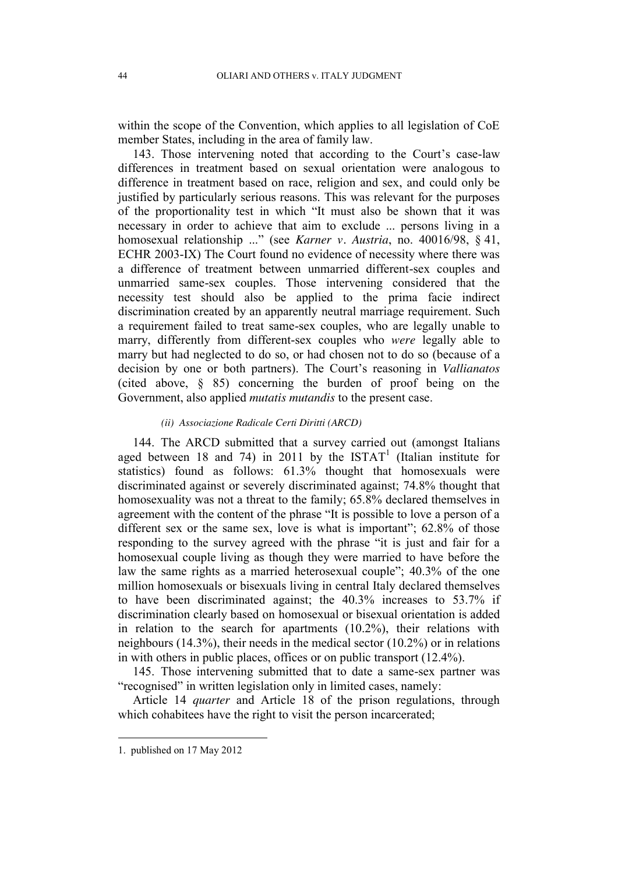within the scope of the Convention, which applies to all legislation of CoE member States, including in the area of family law.

143. Those intervening noted that according to the Court's case-law differences in treatment based on sexual orientation were analogous to difference in treatment based on race, religion and sex, and could only be justified by particularly serious reasons. This was relevant for the purposes of the proportionality test in which "It must also be shown that it was necessary in order to achieve that aim to exclude ... persons living in a homosexual relationship ..." (see *Karner v. Austria*, no. 40016/98, § 41, ECHR 2003-IX) The Court found no evidence of necessity where there was a difference of treatment between unmarried different-sex couples and unmarried same-sex couples. Those intervening considered that the necessity test should also be applied to the prima facie indirect discrimination created by an apparently neutral marriage requirement. Such a requirement failed to treat same-sex couples, who are legally unable to marry, differently from different-sex couples who *were* legally able to marry but had neglected to do so, or had chosen not to do so (because of a decision by one or both partners). The Court's reasoning in *Vallianatos* (cited above, § 85) concerning the burden of proof being on the Government, also applied *mutatis mutandis* to the present case.

#### *(ii) Associazione Radicale Certi Diritti (ARCD)*

144. The ARCD submitted that a survey carried out (amongst Italians aged between 18 and 74) in 2011 by the  $ISTAT<sup>1</sup>$  (Italian institute for statistics) found as follows: 61.3% thought that homosexuals were discriminated against or severely discriminated against; 74.8% thought that homosexuality was not a threat to the family; 65.8% declared themselves in agreement with the content of the phrase "It is possible to love a person of a different sex or the same sex, love is what is important"; 62.8% of those responding to the survey agreed with the phrase "it is just and fair for a homosexual couple living as though they were married to have before the law the same rights as a married heterosexual couple"; 40.3% of the one million homosexuals or bisexuals living in central Italy declared themselves to have been discriminated against; the 40.3% increases to 53.7% if discrimination clearly based on homosexual or bisexual orientation is added in relation to the search for apartments (10.2%), their relations with neighbours (14.3%), their needs in the medical sector (10.2%) or in relations in with others in public places, offices or on public transport (12.4%).

145. Those intervening submitted that to date a same-sex partner was "recognised" in written legislation only in limited cases, namely:

Article 14 *quarter* and Article 18 of the prison regulations, through which cohabitees have the right to visit the person incarcerated;

 $\overline{a}$ 

<sup>1.</sup> published on 17 May 2012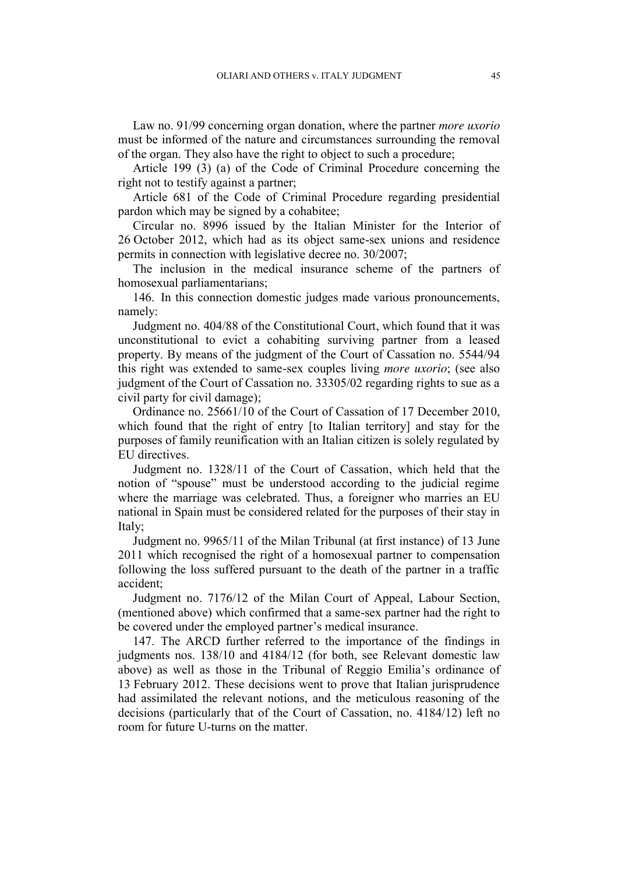Law no. 91/99 concerning organ donation, where the partner *more uxorio* must be informed of the nature and circumstances surrounding the removal of the organ. They also have the right to object to such a procedure;

Article 199 (3) (a) of the Code of Criminal Procedure concerning the right not to testify against a partner;

Article 681 of the Code of Criminal Procedure regarding presidential pardon which may be signed by a cohabitee;

Circular no. 8996 issued by the Italian Minister for the Interior of 26 October 2012, which had as its object same-sex unions and residence permits in connection with legislative decree no. 30/2007;

The inclusion in the medical insurance scheme of the partners of homosexual parliamentarians;

146. In this connection domestic judges made various pronouncements, namely:

Judgment no. 404/88 of the Constitutional Court, which found that it was unconstitutional to evict a cohabiting surviving partner from a leased property. By means of the judgment of the Court of Cassation no. 5544/94 this right was extended to same-sex couples living *more uxorio*; (see also judgment of the Court of Cassation no. 33305/02 regarding rights to sue as a civil party for civil damage);

Ordinance no. 25661/10 of the Court of Cassation of 17 December 2010, which found that the right of entry [to Italian territory] and stay for the purposes of family reunification with an Italian citizen is solely regulated by EU directives.

Judgment no. 1328/11 of the Court of Cassation, which held that the notion of "spouse" must be understood according to the judicial regime where the marriage was celebrated. Thus, a foreigner who marries an EU national in Spain must be considered related for the purposes of their stay in Italy;

Judgment no. 9965/11 of the Milan Tribunal (at first instance) of 13 June 2011 which recognised the right of a homosexual partner to compensation following the loss suffered pursuant to the death of the partner in a traffic accident;

Judgment no. 7176/12 of the Milan Court of Appeal, Labour Section, (mentioned above) which confirmed that a same-sex partner had the right to be covered under the employed partner's medical insurance.

147. The ARCD further referred to the importance of the findings in judgments nos. 138/10 and 4184/12 (for both, see Relevant domestic law above) as well as those in the Tribunal of Reggio Emilia's ordinance of 13 February 2012. These decisions went to prove that Italian jurisprudence had assimilated the relevant notions, and the meticulous reasoning of the decisions (particularly that of the Court of Cassation, no. 4184/12) left no room for future U-turns on the matter.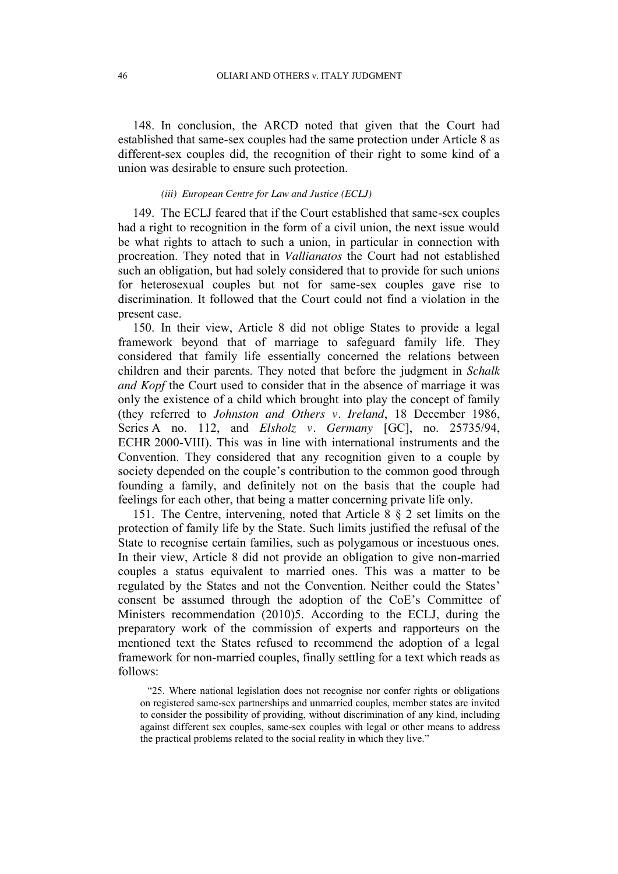148. In conclusion, the ARCD noted that given that the Court had established that same-sex couples had the same protection under Article 8 as different-sex couples did, the recognition of their right to some kind of a union was desirable to ensure such protection.

# *(iii) European Centre for Law and Justice (ECLJ)*

149. The ECLJ feared that if the Court established that same-sex couples had a right to recognition in the form of a civil union, the next issue would be what rights to attach to such a union, in particular in connection with procreation. They noted that in *Vallianatos* the Court had not established such an obligation, but had solely considered that to provide for such unions for heterosexual couples but not for same-sex couples gave rise to discrimination. It followed that the Court could not find a violation in the present case.

150. In their view, Article 8 did not oblige States to provide a legal framework beyond that of marriage to safeguard family life. They considered that family life essentially concerned the relations between children and their parents. They noted that before the judgment in *Schalk and Kopf* the Court used to consider that in the absence of marriage it was only the existence of a child which brought into play the concept of family (they referred to *Johnston and Others v. Ireland*, 18 December 1986, Series A no. 112, and *Elsholz v. Germany* [GC], no. 25735/94, ECHR 2000-VIII). This was in line with international instruments and the Convention. They considered that any recognition given to a couple by society depended on the couple's contribution to the common good through founding a family, and definitely not on the basis that the couple had feelings for each other, that being a matter concerning private life only.

151. The Centre, intervening, noted that Article 8 § 2 set limits on the protection of family life by the State. Such limits justified the refusal of the State to recognise certain families, such as polygamous or incestuous ones. In their view, Article 8 did not provide an obligation to give non-married couples a status equivalent to married ones. This was a matter to be regulated by the States and not the Convention. Neither could the States' consent be assumed through the adoption of the CoE's Committee of Ministers recommendation (2010)5. According to the ECLJ, during the preparatory work of the commission of experts and rapporteurs on the mentioned text the States refused to recommend the adoption of a legal framework for non-married couples, finally settling for a text which reads as follows:

"25. Where national legislation does not recognise nor confer rights or obligations on registered same-sex partnerships and unmarried couples, member states are invited to consider the possibility of providing, without discrimination of any kind, including against different sex couples, same-sex couples with legal or other means to address the practical problems related to the social reality in which they live."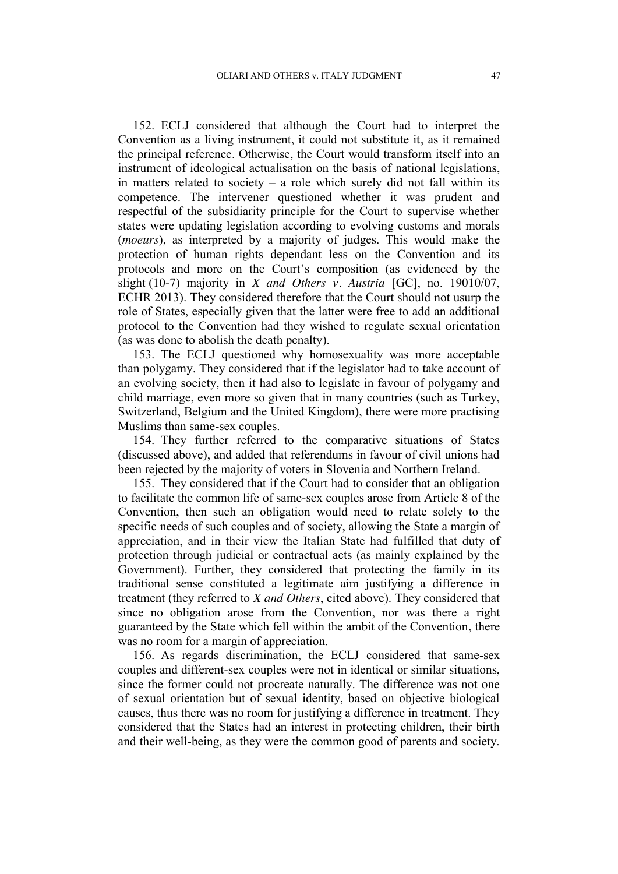152. ECLJ considered that although the Court had to interpret the Convention as a living instrument, it could not substitute it, as it remained the principal reference. Otherwise, the Court would transform itself into an instrument of ideological actualisation on the basis of national legislations, in matters related to society – a role which surely did not fall within its competence. The intervener questioned whether it was prudent and respectful of the subsidiarity principle for the Court to supervise whether states were updating legislation according to evolving customs and morals (*moeurs*), as interpreted by a majority of judges. This would make the protection of human rights dependant less on the Convention and its protocols and more on the Court's composition (as evidenced by the slight (10-7) majority in *X and Others v. Austria* [GC], no. 19010/07, ECHR 2013). They considered therefore that the Court should not usurp the role of States, especially given that the latter were free to add an additional protocol to the Convention had they wished to regulate sexual orientation (as was done to abolish the death penalty).

153. The ECLJ questioned why homosexuality was more acceptable than polygamy. They considered that if the legislator had to take account of an evolving society, then it had also to legislate in favour of polygamy and child marriage, even more so given that in many countries (such as Turkey, Switzerland, Belgium and the United Kingdom), there were more practising Muslims than same-sex couples.

154. They further referred to the comparative situations of States (discussed above), and added that referendums in favour of civil unions had been rejected by the majority of voters in Slovenia and Northern Ireland.

155. They considered that if the Court had to consider that an obligation to facilitate the common life of same-sex couples arose from Article 8 of the Convention, then such an obligation would need to relate solely to the specific needs of such couples and of society, allowing the State a margin of appreciation, and in their view the Italian State had fulfilled that duty of protection through judicial or contractual acts (as mainly explained by the Government). Further, they considered that protecting the family in its traditional sense constituted a legitimate aim justifying a difference in treatment (they referred to *X and Others*, cited above). They considered that since no obligation arose from the Convention, nor was there a right guaranteed by the State which fell within the ambit of the Convention, there was no room for a margin of appreciation.

156. As regards discrimination, the ECLJ considered that same-sex couples and different-sex couples were not in identical or similar situations, since the former could not procreate naturally. The difference was not one of sexual orientation but of sexual identity, based on objective biological causes, thus there was no room for justifying a difference in treatment. They considered that the States had an interest in protecting children, their birth and their well-being, as they were the common good of parents and society.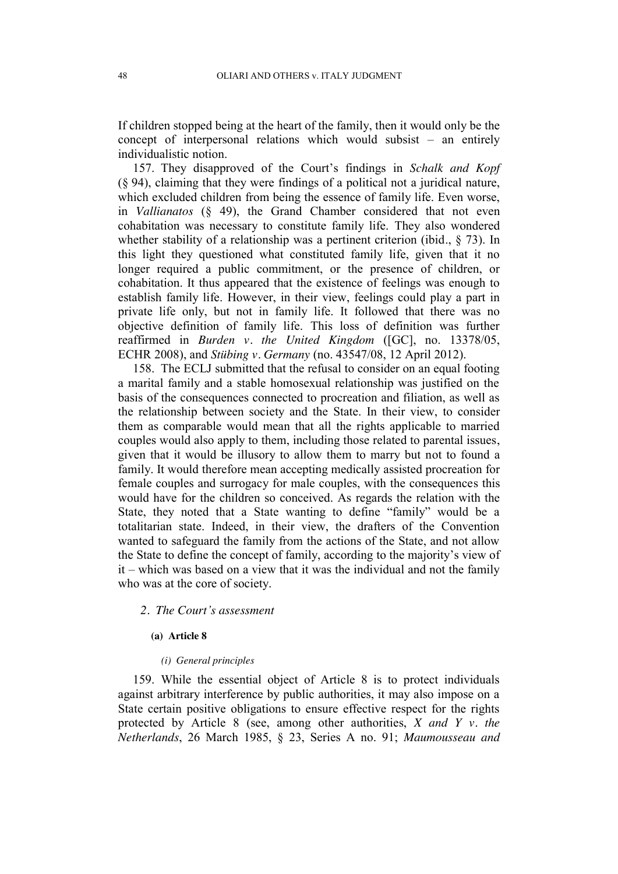If children stopped being at the heart of the family, then it would only be the concept of interpersonal relations which would subsist – an entirely individualistic notion.

157. They disapproved of the Court's findings in *Schalk and Kopf* (§ 94), claiming that they were findings of a political not a juridical nature, which excluded children from being the essence of family life. Even worse, in *Vallianatos* (§ 49), the Grand Chamber considered that not even cohabitation was necessary to constitute family life. They also wondered whether stability of a relationship was a pertinent criterion (ibid., § 73). In this light they questioned what constituted family life, given that it no longer required a public commitment, or the presence of children, or cohabitation. It thus appeared that the existence of feelings was enough to establish family life. However, in their view, feelings could play a part in private life only, but not in family life. It followed that there was no objective definition of family life. This loss of definition was further reaffirmed in *Burden v. the United Kingdom* ([GC], no. 13378/05, ECHR 2008), and *Stübing v. Germany* (no. 43547/08, 12 April 2012).

158. The ECLJ submitted that the refusal to consider on an equal footing a marital family and a stable homosexual relationship was justified on the basis of the consequences connected to procreation and filiation, as well as the relationship between society and the State. In their view, to consider them as comparable would mean that all the rights applicable to married couples would also apply to them, including those related to parental issues, given that it would be illusory to allow them to marry but not to found a family. It would therefore mean accepting medically assisted procreation for female couples and surrogacy for male couples, with the consequences this would have for the children so conceived. As regards the relation with the State, they noted that a State wanting to define "family" would be a totalitarian state. Indeed, in their view, the drafters of the Convention wanted to safeguard the family from the actions of the State, and not allow the State to define the concept of family, according to the majority's view of it – which was based on a view that it was the individual and not the family who was at the core of society.

# *2. The Court's assessment*

#### **(a) Article 8**

#### *(i) General principles*

159. While the essential object of Article 8 is to protect individuals against arbitrary interference by public authorities, it may also impose on a State certain positive obligations to ensure effective respect for the rights protected by Article 8 (see, among other authorities, *X and Y v. the Netherlands*, 26 March 1985, § 23, Series A no. 91; *Maumousseau and*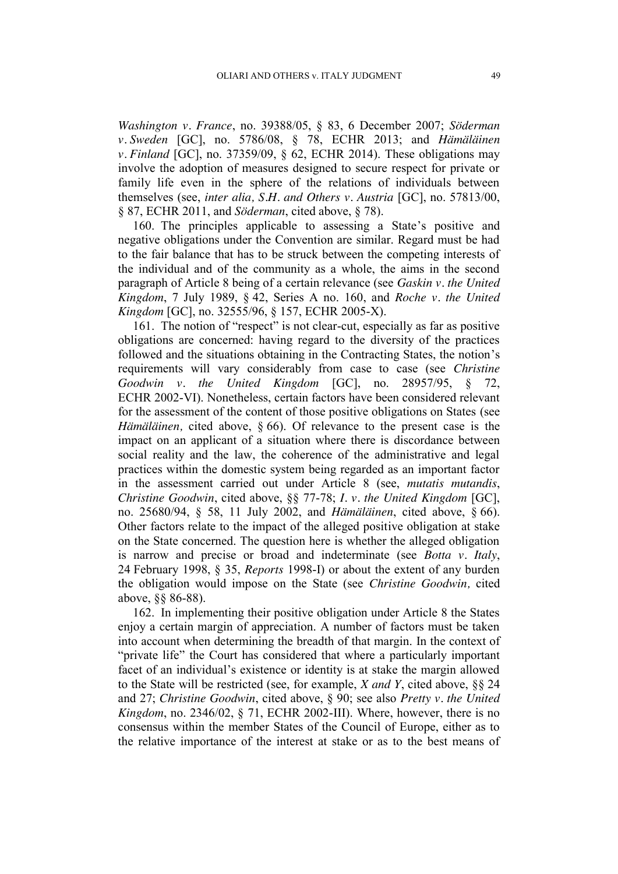*Washington v. France*, no. 39388/05, § 83, 6 December 2007; *Söderman v. Sweden* [GC], no. 5786/08, § 78, ECHR 2013; and *Hämäläinen v. Finland* [GC], no. 37359/09, § 62, ECHR 2014). These obligations may involve the adoption of measures designed to secure respect for private or family life even in the sphere of the relations of individuals between themselves (see, *inter alia, S.H. and Others v. Austria* [GC], no. 57813/00, § 87, ECHR 2011, and *Söderman*, cited above, § 78).

160. The principles applicable to assessing a State's positive and negative obligations under the Convention are similar. Regard must be had to the fair balance that has to be struck between the competing interests of the individual and of the community as a whole, the aims in the second paragraph of Article 8 being of a certain relevance (see *Gaskin v. the United Kingdom*, 7 July 1989, § 42, Series A no. 160, and *Roche v. the United Kingdom* [GC], no. 32555/96, § 157, ECHR 2005-X).

161. The notion of "respect" is not clear-cut, especially as far as positive obligations are concerned: having regard to the diversity of the practices followed and the situations obtaining in the Contracting States, the notion's requirements will vary considerably from case to case (see *Christine Goodwin v. the United Kingdom* [GC], no. 28957/95, § 72, ECHR 2002-VI). Nonetheless, certain factors have been considered relevant for the assessment of the content of those positive obligations on States (see *Hämäläinen, cited above, § 66).* Of relevance to the present case is the impact on an applicant of a situation where there is discordance between social reality and the law, the coherence of the administrative and legal practices within the domestic system being regarded as an important factor in the assessment carried out under Article 8 (see, *mutatis mutandis*, *Christine Goodwin*, cited above, §§ 77-78; *I. v. the United Kingdom* [GC], no. 25680/94, § 58, 11 July 2002, and *Hämäläinen*, cited above, § 66). Other factors relate to the impact of the alleged positive obligation at stake on the State concerned. The question here is whether the alleged obligation is narrow and precise or broad and indeterminate (see *Botta v. Italy*, 24 February 1998, § 35, *Reports* 1998-I) or about the extent of any burden the obligation would impose on the State (see *Christine Goodwin,* cited above, §§ 86-88).

162. In implementing their positive obligation under Article 8 the States enjoy a certain margin of appreciation. A number of factors must be taken into account when determining the breadth of that margin. In the context of "private life" the Court has considered that where a particularly important facet of an individual's existence or identity is at stake the margin allowed to the State will be restricted (see, for example, *X and Y*, cited above, §§ 24 and 27; *Christine Goodwin*, cited above, § 90; see also *Pretty v. the United Kingdom*, no. 2346/02, § 71, ECHR 2002-III). Where, however, there is no consensus within the member States of the Council of Europe, either as to the relative importance of the interest at stake or as to the best means of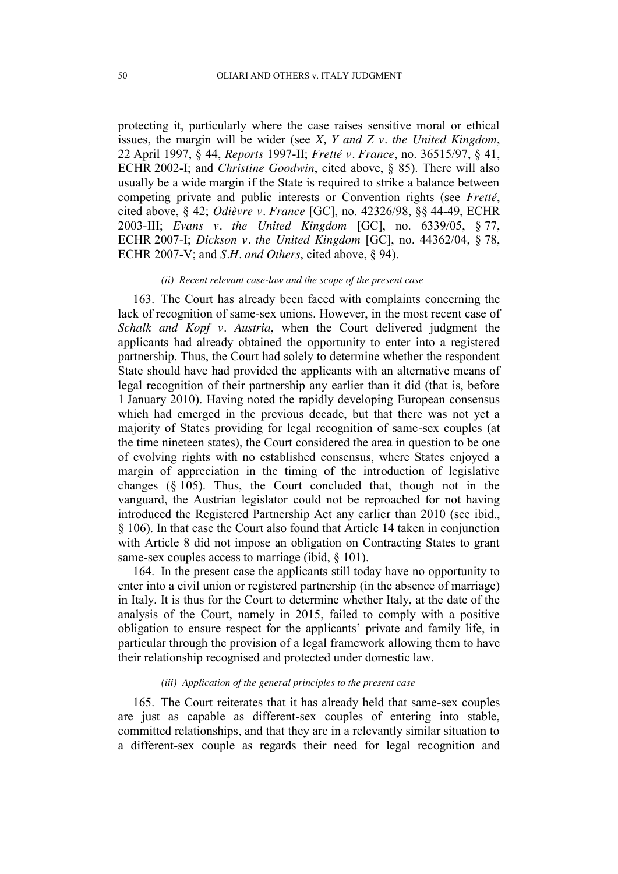protecting it, particularly where the case raises sensitive moral or ethical issues, the margin will be wider (see *X, Y and Z v. the United Kingdom*, 22 April 1997, § 44, *Reports* 1997-II; *Fretté v. France*, no. 36515/97, § 41, ECHR 2002-I; and *Christine Goodwin*, cited above, § 85). There will also usually be a wide margin if the State is required to strike a balance between competing private and public interests or Convention rights (see *Fretté*, cited above, § 42; *Odièvre v. France* [GC], no. 42326/98, §§ 44-49, ECHR 2003-III; *Evans v. the United Kingdom* [GC], no. 6339/05, § 77, ECHR 2007-I; *Dickson v. the United Kingdom* [GC], no. 44362/04, § 78, ECHR 2007-V; and *S.H. and Others*, cited above, § 94).

# *(ii) Recent relevant case-law and the scope of the present case*

163. The Court has already been faced with complaints concerning the lack of recognition of same-sex unions. However, in the most recent case of *Schalk and Kopf v. Austria*, when the Court delivered judgment the applicants had already obtained the opportunity to enter into a registered partnership. Thus, the Court had solely to determine whether the respondent State should have had provided the applicants with an alternative means of legal recognition of their partnership any earlier than it did (that is, before 1 January 2010). Having noted the rapidly developing European consensus which had emerged in the previous decade, but that there was not yet a majority of States providing for legal recognition of same-sex couples (at the time nineteen states), the Court considered the area in question to be one of evolving rights with no established consensus, where States enjoyed a margin of appreciation in the timing of the introduction of legislative changes (§ 105). Thus, the Court concluded that, though not in the vanguard, the Austrian legislator could not be reproached for not having introduced the Registered Partnership Act any earlier than 2010 (see ibid., § 106). In that case the Court also found that Article 14 taken in conjunction with Article 8 did not impose an obligation on Contracting States to grant same-sex couples access to marriage (ibid, § 101).

164. In the present case the applicants still today have no opportunity to enter into a civil union or registered partnership (in the absence of marriage) in Italy. It is thus for the Court to determine whether Italy, at the date of the analysis of the Court, namely in 2015, failed to comply with a positive obligation to ensure respect for the applicants' private and family life, in particular through the provision of a legal framework allowing them to have their relationship recognised and protected under domestic law.

#### *(iii) Application of the general principles to the present case*

165. The Court reiterates that it has already held that same-sex couples are just as capable as different-sex couples of entering into stable, committed relationships, and that they are in a relevantly similar situation to a different-sex couple as regards their need for legal recognition and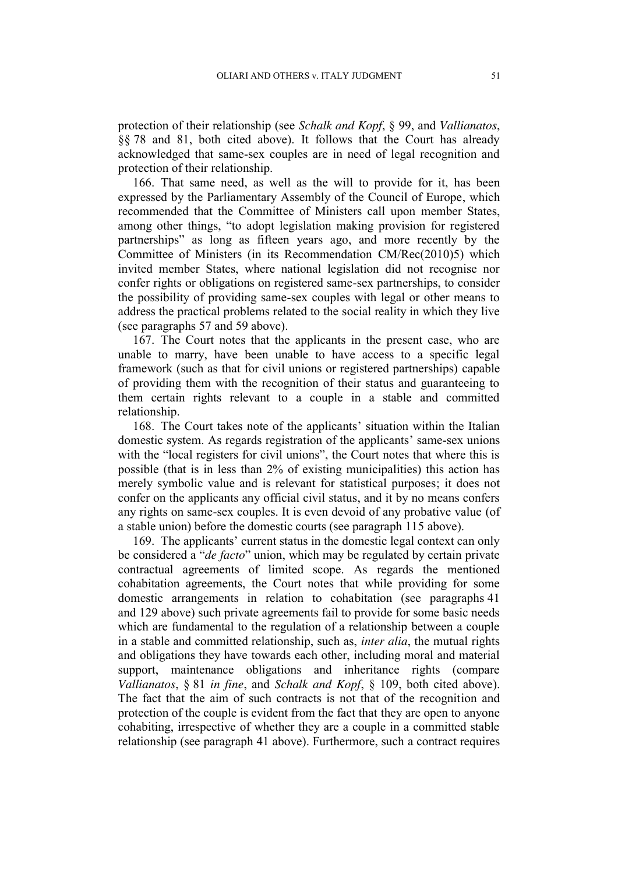protection of their relationship (see *Schalk and Kopf*, § 99, and *Vallianatos*, §§ 78 and 81, both cited above). It follows that the Court has already acknowledged that same-sex couples are in need of legal recognition and protection of their relationship.

166. That same need, as well as the will to provide for it, has been expressed by the Parliamentary Assembly of the Council of Europe, which recommended that the Committee of Ministers call upon member States, among other things, "to adopt legislation making provision for registered partnerships" as long as fifteen years ago, and more recently by the Committee of Ministers (in its Recommendation CM/Rec(2010)5) which invited member States, where national legislation did not recognise nor confer rights or obligations on registered same-sex partnerships, to consider the possibility of providing same-sex couples with legal or other means to address the practical problems related to the social reality in which they live (see paragraphs 57 and 59 above).

167. The Court notes that the applicants in the present case, who are unable to marry, have been unable to have access to a specific legal framework (such as that for civil unions or registered partnerships) capable of providing them with the recognition of their status and guaranteeing to them certain rights relevant to a couple in a stable and committed relationship.

168. The Court takes note of the applicants' situation within the Italian domestic system. As regards registration of the applicants' same-sex unions with the "local registers for civil unions", the Court notes that where this is possible (that is in less than 2% of existing municipalities) this action has merely symbolic value and is relevant for statistical purposes; it does not confer on the applicants any official civil status, and it by no means confers any rights on same-sex couples. It is even devoid of any probative value (of a stable union) before the domestic courts (see paragraph 115 above).

169. The applicants' current status in the domestic legal context can only be considered a "*de facto*" union, which may be regulated by certain private contractual agreements of limited scope. As regards the mentioned cohabitation agreements, the Court notes that while providing for some domestic arrangements in relation to cohabitation (see paragraphs 41 and 129 above) such private agreements fail to provide for some basic needs which are fundamental to the regulation of a relationship between a couple in a stable and committed relationship, such as, *inter alia*, the mutual rights and obligations they have towards each other, including moral and material support, maintenance obligations and inheritance rights (compare *Vallianatos*, § 81 *in fine*, and *Schalk and Kopf*, § 109, both cited above). The fact that the aim of such contracts is not that of the recognition and protection of the couple is evident from the fact that they are open to anyone cohabiting, irrespective of whether they are a couple in a committed stable relationship (see paragraph 41 above). Furthermore, such a contract requires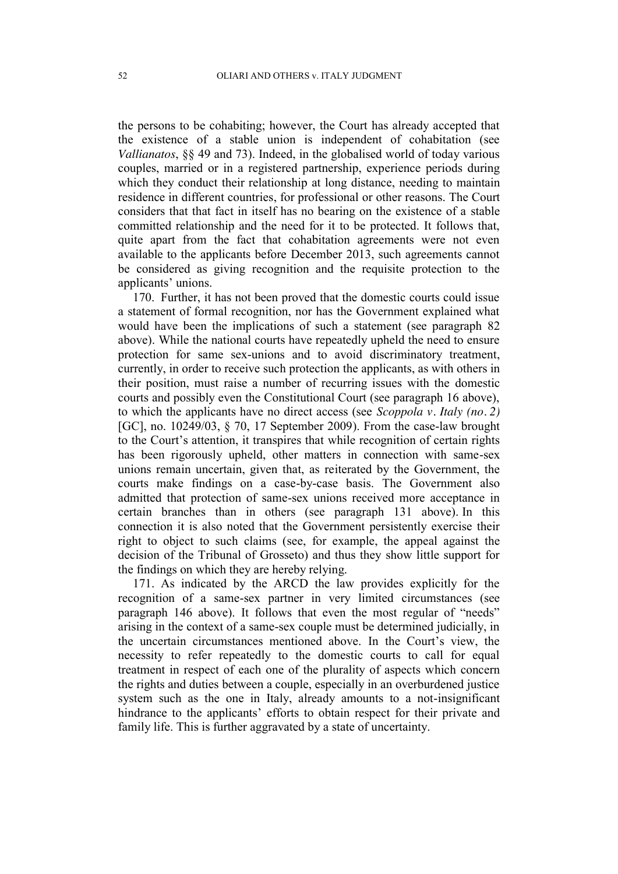the persons to be cohabiting; however, the Court has already accepted that the existence of a stable union is independent of cohabitation (see *Vallianatos*, §§ 49 and 73). Indeed, in the globalised world of today various couples, married or in a registered partnership, experience periods during which they conduct their relationship at long distance, needing to maintain residence in different countries, for professional or other reasons. The Court considers that that fact in itself has no bearing on the existence of a stable committed relationship and the need for it to be protected. It follows that, quite apart from the fact that cohabitation agreements were not even available to the applicants before December 2013, such agreements cannot be considered as giving recognition and the requisite protection to the applicants' unions.

170. Further, it has not been proved that the domestic courts could issue a statement of formal recognition, nor has the Government explained what would have been the implications of such a statement (see paragraph 82 above). While the national courts have repeatedly upheld the need to ensure protection for same sex-unions and to avoid discriminatory treatment, currently, in order to receive such protection the applicants, as with others in their position, must raise a number of recurring issues with the domestic courts and possibly even the Constitutional Court (see paragraph 16 above), to which the applicants have no direct access (see *Scoppola v. Italy (no. 2)*  [GC], no. 10249/03, § 70, 17 September 2009). From the case-law brought to the Court's attention, it transpires that while recognition of certain rights has been rigorously upheld, other matters in connection with same-sex unions remain uncertain, given that, as reiterated by the Government, the courts make findings on a case-by-case basis. The Government also admitted that protection of same-sex unions received more acceptance in certain branches than in others (see paragraph 131 above). In this connection it is also noted that the Government persistently exercise their right to object to such claims (see, for example, the appeal against the decision of the Tribunal of Grosseto) and thus they show little support for the findings on which they are hereby relying.

171. As indicated by the ARCD the law provides explicitly for the recognition of a same-sex partner in very limited circumstances (see paragraph 146 above). It follows that even the most regular of "needs" arising in the context of a same-sex couple must be determined judicially, in the uncertain circumstances mentioned above. In the Court's view, the necessity to refer repeatedly to the domestic courts to call for equal treatment in respect of each one of the plurality of aspects which concern the rights and duties between a couple, especially in an overburdened justice system such as the one in Italy, already amounts to a not-insignificant hindrance to the applicants' efforts to obtain respect for their private and family life. This is further aggravated by a state of uncertainty.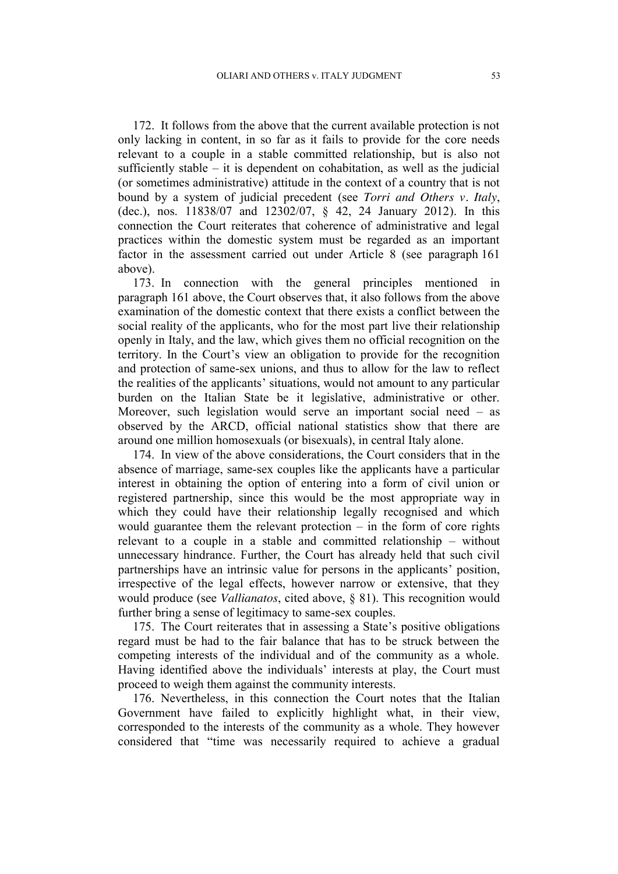172. It follows from the above that the current available protection is not only lacking in content, in so far as it fails to provide for the core needs relevant to a couple in a stable committed relationship, but is also not sufficiently stable  $-$  it is dependent on cohabitation, as well as the judicial (or sometimes administrative) attitude in the context of a country that is not bound by a system of judicial precedent (see *Torri and Others v. Italy*, (dec.), nos. 11838/07 and 12302/07, § 42, 24 January 2012). In this connection the Court reiterates that coherence of administrative and legal practices within the domestic system must be regarded as an important factor in the assessment carried out under Article 8 (see paragraph 161 above).

173. In connection with the general principles mentioned in paragraph 161 above, the Court observes that, it also follows from the above examination of the domestic context that there exists a conflict between the social reality of the applicants, who for the most part live their relationship openly in Italy, and the law, which gives them no official recognition on the territory. In the Court's view an obligation to provide for the recognition and protection of same-sex unions, and thus to allow for the law to reflect the realities of the applicants' situations, would not amount to any particular burden on the Italian State be it legislative, administrative or other. Moreover, such legislation would serve an important social need – as observed by the ARCD, official national statistics show that there are around one million homosexuals (or bisexuals), in central Italy alone.

174. In view of the above considerations, the Court considers that in the absence of marriage, same-sex couples like the applicants have a particular interest in obtaining the option of entering into a form of civil union or registered partnership, since this would be the most appropriate way in which they could have their relationship legally recognised and which would guarantee them the relevant protection – in the form of core rights relevant to a couple in a stable and committed relationship – without unnecessary hindrance. Further, the Court has already held that such civil partnerships have an intrinsic value for persons in the applicants' position, irrespective of the legal effects, however narrow or extensive, that they would produce (see *Vallianatos*, cited above, § 81). This recognition would further bring a sense of legitimacy to same-sex couples.

175. The Court reiterates that in assessing a State's positive obligations regard must be had to the fair balance that has to be struck between the competing interests of the individual and of the community as a whole. Having identified above the individuals' interests at play, the Court must proceed to weigh them against the community interests.

176. Nevertheless, in this connection the Court notes that the Italian Government have failed to explicitly highlight what, in their view, corresponded to the interests of the community as a whole. They however considered that "time was necessarily required to achieve a gradual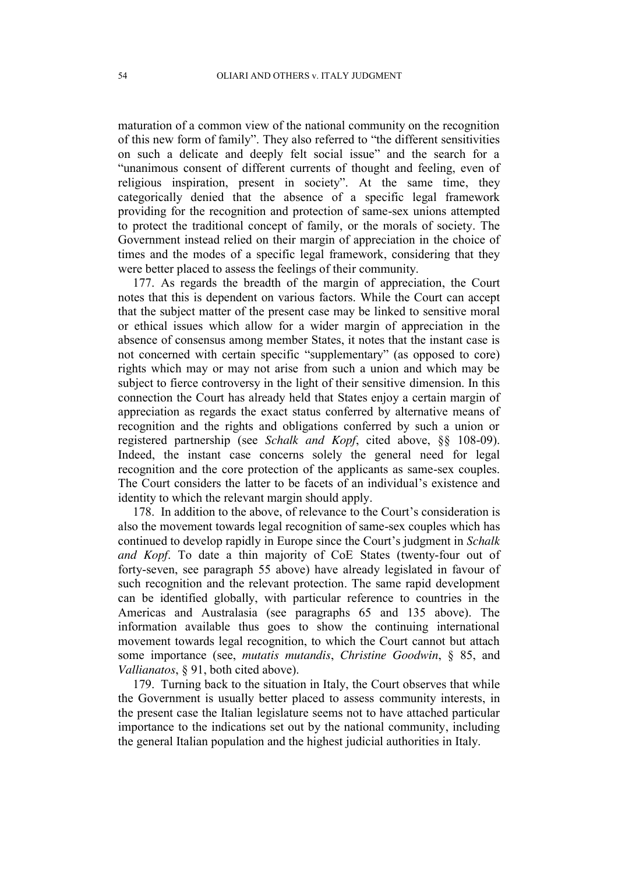maturation of a common view of the national community on the recognition of this new form of family". They also referred to "the different sensitivities on such a delicate and deeply felt social issue" and the search for a "unanimous consent of different currents of thought and feeling, even of religious inspiration, present in society". At the same time, they categorically denied that the absence of a specific legal framework providing for the recognition and protection of same-sex unions attempted to protect the traditional concept of family, or the morals of society. The Government instead relied on their margin of appreciation in the choice of times and the modes of a specific legal framework, considering that they were better placed to assess the feelings of their community.

177. As regards the breadth of the margin of appreciation, the Court notes that this is dependent on various factors. While the Court can accept that the subject matter of the present case may be linked to sensitive moral or ethical issues which allow for a wider margin of appreciation in the absence of consensus among member States, it notes that the instant case is not concerned with certain specific "supplementary" (as opposed to core) rights which may or may not arise from such a union and which may be subject to fierce controversy in the light of their sensitive dimension. In this connection the Court has already held that States enjoy a certain margin of appreciation as regards the exact status conferred by alternative means of recognition and the rights and obligations conferred by such a union or registered partnership (see *Schalk and Kopf*, cited above, §§ 108-09). Indeed, the instant case concerns solely the general need for legal recognition and the core protection of the applicants as same-sex couples. The Court considers the latter to be facets of an individual's existence and identity to which the relevant margin should apply.

178. In addition to the above, of relevance to the Court's consideration is also the movement towards legal recognition of same-sex couples which has continued to develop rapidly in Europe since the Court's judgment in *Schalk and Kopf*. To date a thin majority of CoE States (twenty-four out of forty-seven, see paragraph 55 above) have already legislated in favour of such recognition and the relevant protection. The same rapid development can be identified globally, with particular reference to countries in the Americas and Australasia (see paragraphs 65 and 135 above). The information available thus goes to show the continuing international movement towards legal recognition, to which the Court cannot but attach some importance (see, *mutatis mutandis*, *Christine Goodwin*, § 85, and *Vallianatos*, § 91, both cited above).

179. Turning back to the situation in Italy, the Court observes that while the Government is usually better placed to assess community interests, in the present case the Italian legislature seems not to have attached particular importance to the indications set out by the national community, including the general Italian population and the highest judicial authorities in Italy.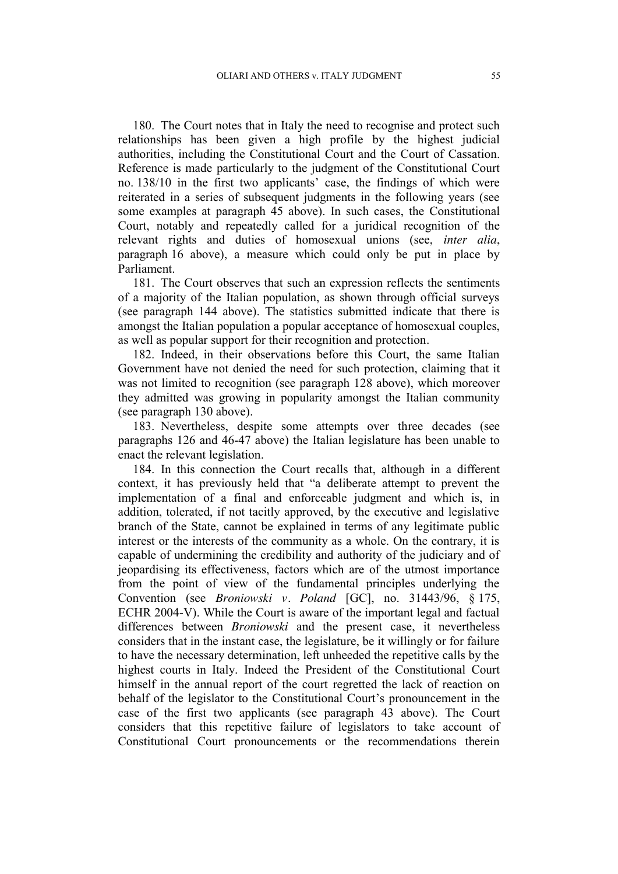180. The Court notes that in Italy the need to recognise and protect such relationships has been given a high profile by the highest judicial authorities, including the Constitutional Court and the Court of Cassation. Reference is made particularly to the judgment of the Constitutional Court no. 138/10 in the first two applicants' case, the findings of which were reiterated in a series of subsequent judgments in the following years (see some examples at paragraph 45 above). In such cases, the Constitutional Court, notably and repeatedly called for a juridical recognition of the relevant rights and duties of homosexual unions (see, *inter alia*, paragraph 16 above), a measure which could only be put in place by Parliament.

181. The Court observes that such an expression reflects the sentiments of a majority of the Italian population, as shown through official surveys (see paragraph 144 above). The statistics submitted indicate that there is amongst the Italian population a popular acceptance of homosexual couples, as well as popular support for their recognition and protection.

182. Indeed, in their observations before this Court, the same Italian Government have not denied the need for such protection, claiming that it was not limited to recognition (see paragraph 128 above), which moreover they admitted was growing in popularity amongst the Italian community (see paragraph 130 above).

183. Nevertheless, despite some attempts over three decades (see paragraphs 126 and 46-47 above) the Italian legislature has been unable to enact the relevant legislation.

184. In this connection the Court recalls that, although in a different context, it has previously held that "a deliberate attempt to prevent the implementation of a final and enforceable judgment and which is, in addition, tolerated, if not tacitly approved, by the executive and legislative branch of the State, cannot be explained in terms of any legitimate public interest or the interests of the community as a whole. On the contrary, it is capable of undermining the credibility and authority of the judiciary and of jeopardising its effectiveness, factors which are of the utmost importance from the point of view of the fundamental principles underlying the Convention (see *Broniowski v. Poland* [GC], no. 31443/96, § 175, ECHR 2004-V). While the Court is aware of the important legal and factual differences between *Broniowski* and the present case, it nevertheless considers that in the instant case, the legislature, be it willingly or for failure to have the necessary determination, left unheeded the repetitive calls by the highest courts in Italy. Indeed the President of the Constitutional Court himself in the annual report of the court regretted the lack of reaction on behalf of the legislator to the Constitutional Court's pronouncement in the case of the first two applicants (see paragraph 43 above). The Court considers that this repetitive failure of legislators to take account of Constitutional Court pronouncements or the recommendations therein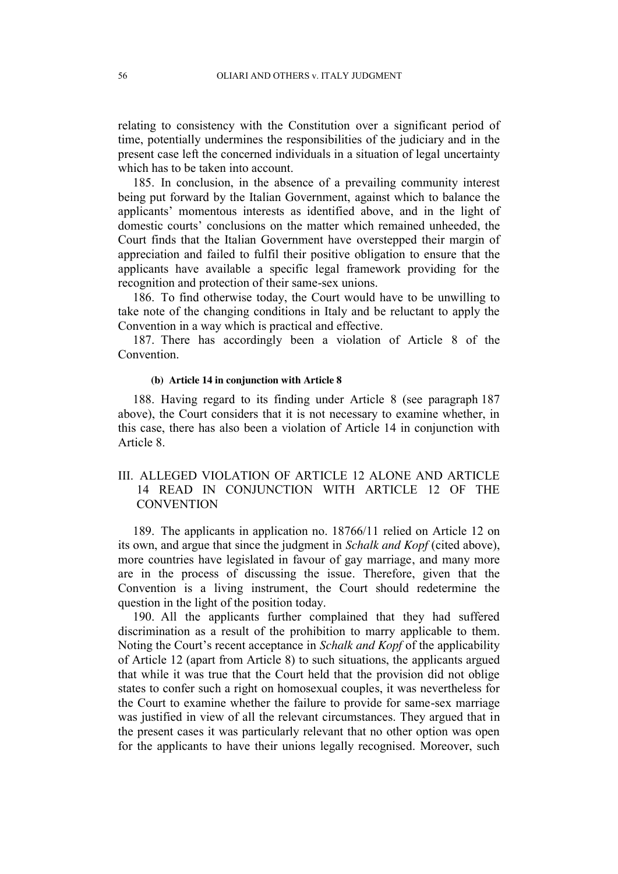relating to consistency with the Constitution over a significant period of time, potentially undermines the responsibilities of the judiciary and in the present case left the concerned individuals in a situation of legal uncertainty which has to be taken into account.

185. In conclusion, in the absence of a prevailing community interest being put forward by the Italian Government, against which to balance the applicants' momentous interests as identified above, and in the light of domestic courts' conclusions on the matter which remained unheeded, the Court finds that the Italian Government have overstepped their margin of appreciation and failed to fulfil their positive obligation to ensure that the applicants have available a specific legal framework providing for the recognition and protection of their same-sex unions.

186. To find otherwise today, the Court would have to be unwilling to take note of the changing conditions in Italy and be reluctant to apply the Convention in a way which is practical and effective.

187. There has accordingly been a violation of Article 8 of the Convention.

## **(b) Article 14 in conjunction with Article 8**

188. Having regard to its finding under Article 8 (see paragraph 187 above), the Court considers that it is not necessary to examine whether, in this case, there has also been a violation of Article 14 in conjunction with Article 8.

# III. ALLEGED VIOLATION OF ARTICLE 12 ALONE AND ARTICLE 14 READ IN CONJUNCTION WITH ARTICLE 12 OF THE **CONVENTION**

189. The applicants in application no. 18766/11 relied on Article 12 on its own, and argue that since the judgment in *Schalk and Kopf* (cited above), more countries have legislated in favour of gay marriage, and many more are in the process of discussing the issue. Therefore, given that the Convention is a living instrument, the Court should redetermine the question in the light of the position today.

190. All the applicants further complained that they had suffered discrimination as a result of the prohibition to marry applicable to them. Noting the Court's recent acceptance in *Schalk and Kopf* of the applicability of Article 12 (apart from Article 8) to such situations, the applicants argued that while it was true that the Court held that the provision did not oblige states to confer such a right on homosexual couples, it was nevertheless for the Court to examine whether the failure to provide for same-sex marriage was justified in view of all the relevant circumstances. They argued that in the present cases it was particularly relevant that no other option was open for the applicants to have their unions legally recognised. Moreover, such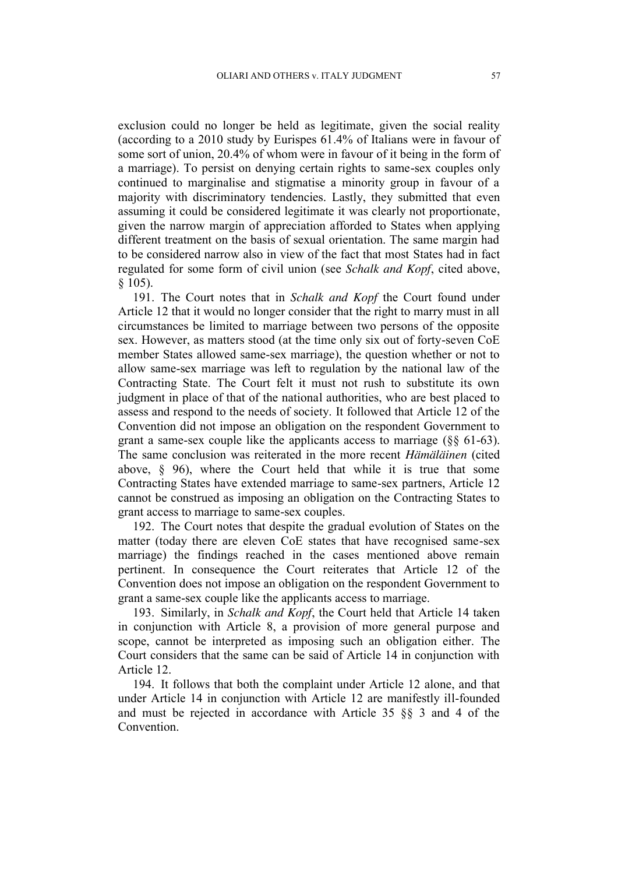exclusion could no longer be held as legitimate, given the social reality (according to a 2010 study by Eurispes 61.4% of Italians were in favour of some sort of union, 20.4% of whom were in favour of it being in the form of a marriage). To persist on denying certain rights to same-sex couples only continued to marginalise and stigmatise a minority group in favour of a majority with discriminatory tendencies. Lastly, they submitted that even assuming it could be considered legitimate it was clearly not proportionate, given the narrow margin of appreciation afforded to States when applying different treatment on the basis of sexual orientation. The same margin had to be considered narrow also in view of the fact that most States had in fact regulated for some form of civil union (see *Schalk and Kopf*, cited above, § 105).

191. The Court notes that in *Schalk and Kopf* the Court found under Article 12 that it would no longer consider that the right to marry must in all circumstances be limited to marriage between two persons of the opposite sex. However, as matters stood (at the time only six out of forty-seven CoE member States allowed same-sex marriage), the question whether or not to allow same-sex marriage was left to regulation by the national law of the Contracting State. The Court felt it must not rush to substitute its own judgment in place of that of the national authorities, who are best placed to assess and respond to the needs of society. It followed that Article 12 of the Convention did not impose an obligation on the respondent Government to grant a same-sex couple like the applicants access to marriage (§§ 61-63). The same conclusion was reiterated in the more recent *Hämäläinen* (cited above, § 96), where the Court held that while it is true that some Contracting States have extended marriage to same-sex partners, Article 12 cannot be construed as imposing an obligation on the Contracting States to grant access to marriage to same-sex couples.

192. The Court notes that despite the gradual evolution of States on the matter (today there are eleven CoE states that have recognised same-sex marriage) the findings reached in the cases mentioned above remain pertinent. In consequence the Court reiterates that Article 12 of the Convention does not impose an obligation on the respondent Government to grant a same-sex couple like the applicants access to marriage.

193. Similarly, in *Schalk and Kopf*, the Court held that Article 14 taken in conjunction with Article 8, a provision of more general purpose and scope, cannot be interpreted as imposing such an obligation either. The Court considers that the same can be said of Article 14 in conjunction with Article 12.

194. It follows that both the complaint under Article 12 alone, and that under Article 14 in conjunction with Article 12 are manifestly ill-founded and must be rejected in accordance with Article 35 §§ 3 and 4 of the **Convention**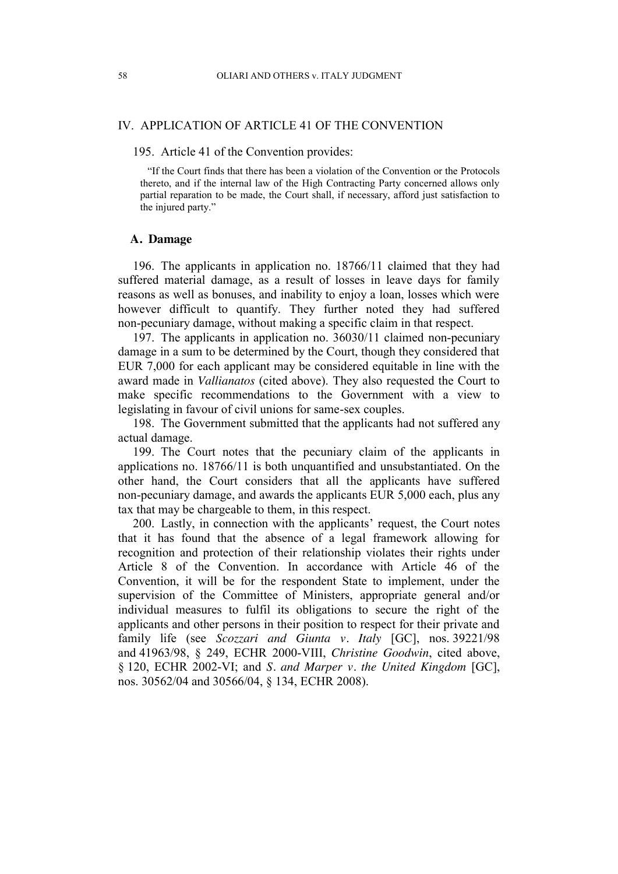# IV. APPLICATION OF ARTICLE 41 OF THE CONVENTION

# 195. Article 41 of the Convention provides:

"If the Court finds that there has been a violation of the Convention or the Protocols thereto, and if the internal law of the High Contracting Party concerned allows only partial reparation to be made, the Court shall, if necessary, afford just satisfaction to the injured party."

# **A. Damage**

196. The applicants in application no. 18766/11 claimed that they had suffered material damage, as a result of losses in leave days for family reasons as well as bonuses, and inability to enjoy a loan, losses which were however difficult to quantify. They further noted they had suffered non-pecuniary damage, without making a specific claim in that respect.

197. The applicants in application no. 36030/11 claimed non-pecuniary damage in a sum to be determined by the Court, though they considered that EUR 7,000 for each applicant may be considered equitable in line with the award made in *Vallianatos* (cited above). They also requested the Court to make specific recommendations to the Government with a view to legislating in favour of civil unions for same-sex couples.

198. The Government submitted that the applicants had not suffered any actual damage.

199. The Court notes that the pecuniary claim of the applicants in applications no. 18766/11 is both unquantified and unsubstantiated. On the other hand, the Court considers that all the applicants have suffered non-pecuniary damage, and awards the applicants EUR 5,000 each, plus any tax that may be chargeable to them, in this respect.

200. Lastly, in connection with the applicants' request, the Court notes that it has found that the absence of a legal framework allowing for recognition and protection of their relationship violates their rights under Article 8 of the Convention. In accordance with Article 46 of the Convention, it will be for the respondent State to implement, under the supervision of the Committee of Ministers, appropriate general and/or individual measures to fulfil its obligations to secure the right of the applicants and other persons in their position to respect for their private and family life (see *Scozzari and Giunta v. Italy* [GC], nos. 39221/98 and 41963/98, § 249, ECHR 2000-VIII, *Christine Goodwin*, cited above, § 120, ECHR 2002-VI; and *S. and Marper v. the United Kingdom* [GC], nos. 30562/04 and 30566/04, § 134, ECHR 2008).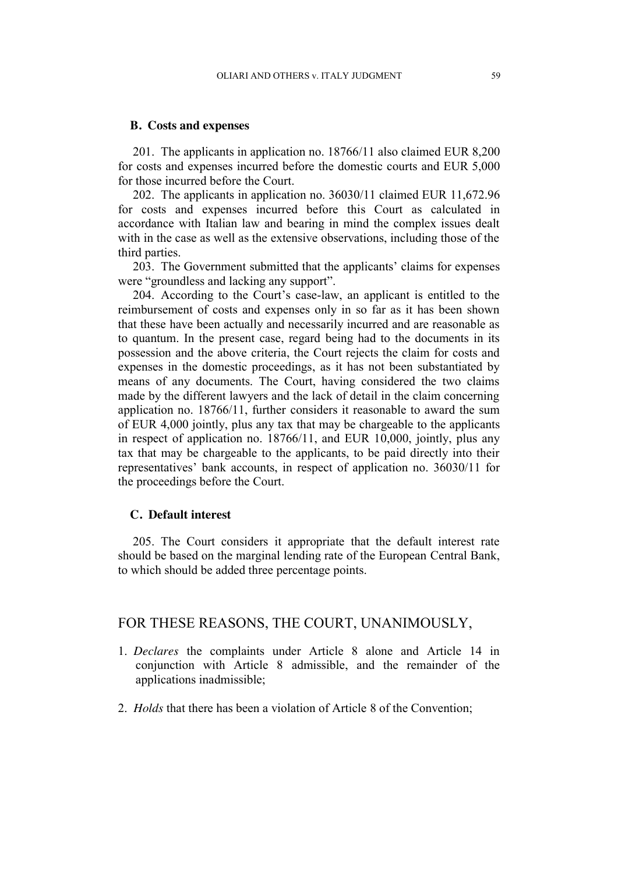### **B. Costs and expenses**

201. The applicants in application no. 18766/11 also claimed EUR 8,200 for costs and expenses incurred before the domestic courts and EUR 5,000 for those incurred before the Court.

202. The applicants in application no. 36030/11 claimed EUR 11,672.96 for costs and expenses incurred before this Court as calculated in accordance with Italian law and bearing in mind the complex issues dealt with in the case as well as the extensive observations, including those of the third parties.

203. The Government submitted that the applicants' claims for expenses were "groundless and lacking any support".

204. According to the Court's case-law, an applicant is entitled to the reimbursement of costs and expenses only in so far as it has been shown that these have been actually and necessarily incurred and are reasonable as to quantum. In the present case, regard being had to the documents in its possession and the above criteria, the Court rejects the claim for costs and expenses in the domestic proceedings, as it has not been substantiated by means of any documents. The Court, having considered the two claims made by the different lawyers and the lack of detail in the claim concerning application no. 18766/11, further considers it reasonable to award the sum of EUR 4,000 jointly, plus any tax that may be chargeable to the applicants in respect of application no. 18766/11, and EUR 10,000, jointly, plus any tax that may be chargeable to the applicants, to be paid directly into their representatives' bank accounts, in respect of application no. 36030/11 for the proceedings before the Court.

# **C. Default interest**

205. The Court considers it appropriate that the default interest rate should be based on the marginal lending rate of the European Central Bank, to which should be added three percentage points.

# FOR THESE REASONS, THE COURT, UNANIMOUSLY,

- 1. *Declares* the complaints under Article 8 alone and Article 14 in conjunction with Article 8 admissible, and the remainder of the applications inadmissible;
- 2. *Holds* that there has been a violation of Article 8 of the Convention;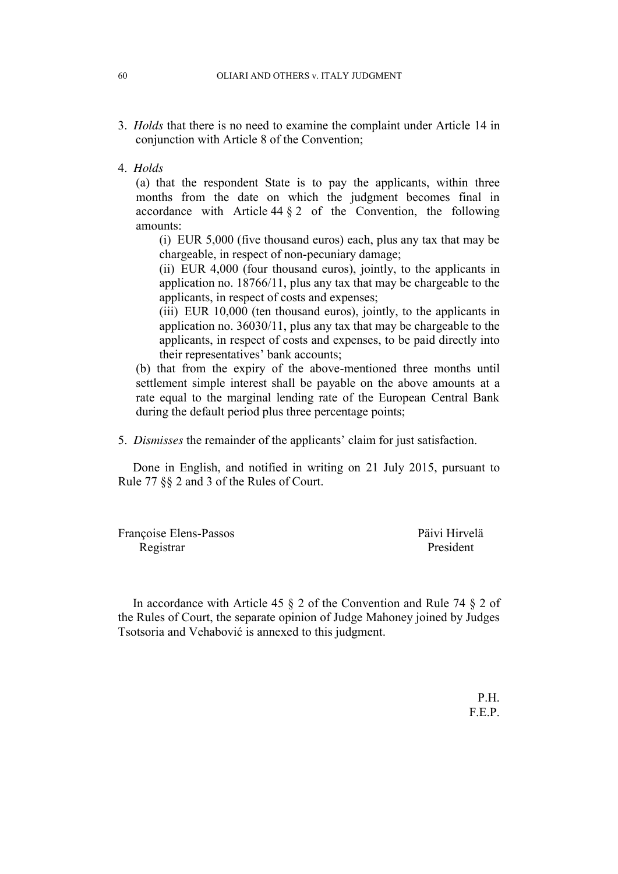- 3. *Holds* that there is no need to examine the complaint under Article 14 in conjunction with Article 8 of the Convention;
- 4. *Holds*

(a) that the respondent State is to pay the applicants, within three months from the date on which the judgment becomes final in accordance with Article 44  $\S$  2 of the Convention, the following amounts:

(i) EUR 5,000 (five thousand euros) each, plus any tax that may be chargeable, in respect of non-pecuniary damage;

(ii) EUR 4,000 (four thousand euros), jointly, to the applicants in application no. 18766/11, plus any tax that may be chargeable to the applicants, in respect of costs and expenses;

(iii) EUR 10,000 (ten thousand euros), jointly, to the applicants in application no. 36030/11, plus any tax that may be chargeable to the applicants, in respect of costs and expenses, to be paid directly into their representatives' bank accounts;

(b) that from the expiry of the above-mentioned three months until settlement simple interest shall be payable on the above amounts at a rate equal to the marginal lending rate of the European Central Bank during the default period plus three percentage points;

5. *Dismisses* the remainder of the applicants' claim for just satisfaction.

Done in English, and notified in writing on 21 July 2015, pursuant to Rule 77 §§ 2 and 3 of the Rules of Court.

| Françoise Elens-Passos | Päivi Hirvelä |
|------------------------|---------------|
| Registrar              | President     |

In accordance with Article 45  $\S$  2 of the Convention and Rule 74  $\S$  2 of the Rules of Court, the separate opinion of Judge Mahoney joined by Judges Tsotsoria and Vehabović is annexed to this judgment.

> P.H. F.E.P.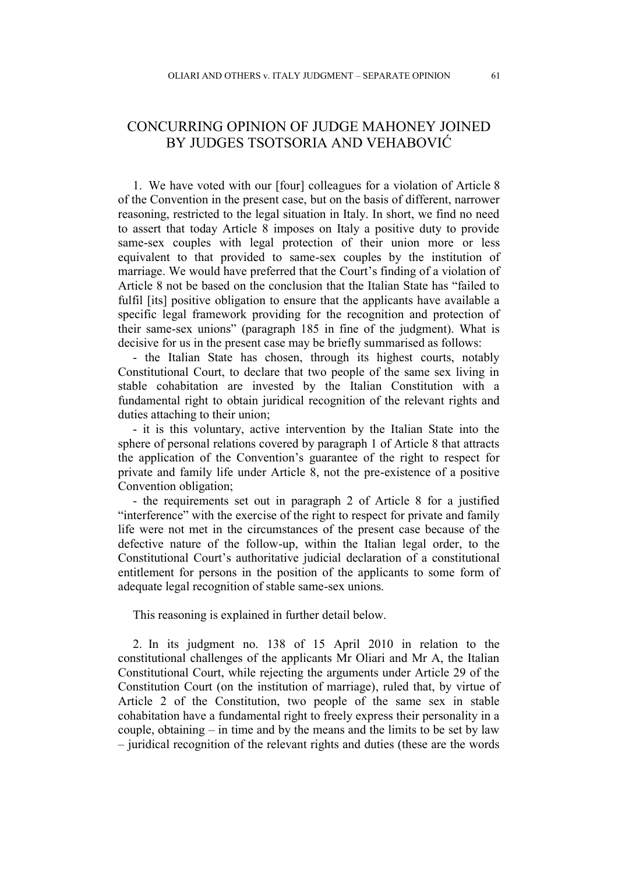# CONCURRING OPINION OF JUDGE MAHONEY JOINED BY JUDGES TSOTSORIA AND VEHABOVIĆ

1. We have voted with our [four] colleagues for a violation of Article 8 of the Convention in the present case, but on the basis of different, narrower reasoning, restricted to the legal situation in Italy. In short, we find no need to assert that today Article 8 imposes on Italy a positive duty to provide same-sex couples with legal protection of their union more or less equivalent to that provided to same-sex couples by the institution of marriage. We would have preferred that the Court's finding of a violation of Article 8 not be based on the conclusion that the Italian State has "failed to fulfil [its] positive obligation to ensure that the applicants have available a specific legal framework providing for the recognition and protection of their same-sex unions" (paragraph 185 in fine of the judgment). What is decisive for us in the present case may be briefly summarised as follows:

- the Italian State has chosen, through its highest courts, notably Constitutional Court, to declare that two people of the same sex living in stable cohabitation are invested by the Italian Constitution with a fundamental right to obtain juridical recognition of the relevant rights and duties attaching to their union;

- it is this voluntary, active intervention by the Italian State into the sphere of personal relations covered by paragraph 1 of Article 8 that attracts the application of the Convention's guarantee of the right to respect for private and family life under Article 8, not the pre-existence of a positive Convention obligation;

- the requirements set out in paragraph 2 of Article 8 for a justified "interference" with the exercise of the right to respect for private and family life were not met in the circumstances of the present case because of the defective nature of the follow-up, within the Italian legal order, to the Constitutional Court's authoritative judicial declaration of a constitutional entitlement for persons in the position of the applicants to some form of adequate legal recognition of stable same-sex unions.

This reasoning is explained in further detail below.

2. In its judgment no. 138 of 15 April 2010 in relation to the constitutional challenges of the applicants Mr Oliari and Mr A, the Italian Constitutional Court, while rejecting the arguments under Article 29 of the Constitution Court (on the institution of marriage), ruled that, by virtue of Article 2 of the Constitution, two people of the same sex in stable cohabitation have a fundamental right to freely express their personality in a couple, obtaining – in time and by the means and the limits to be set by law – juridical recognition of the relevant rights and duties (these are the words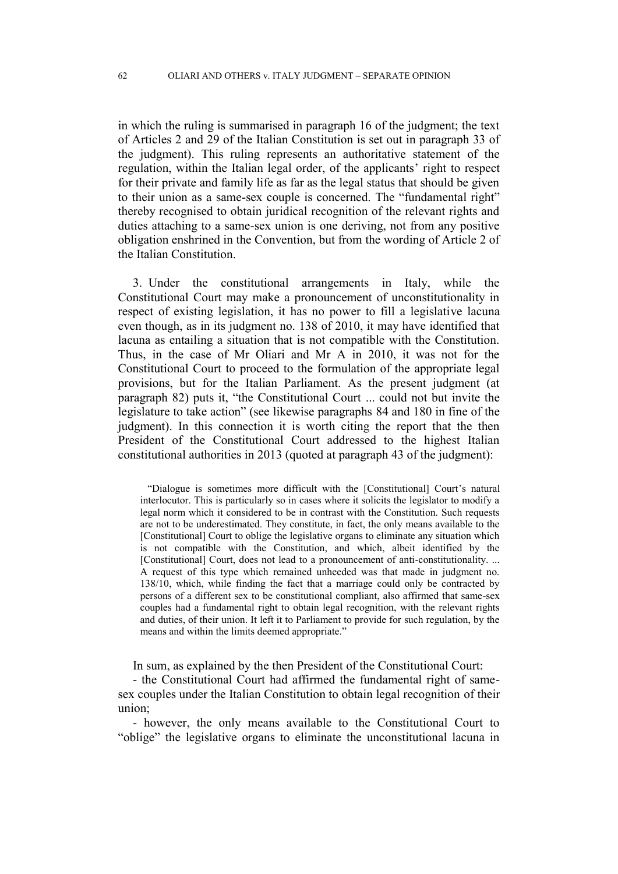in which the ruling is summarised in paragraph 16 of the judgment; the text of Articles 2 and 29 of the Italian Constitution is set out in paragraph 33 of the judgment). This ruling represents an authoritative statement of the regulation, within the Italian legal order, of the applicants' right to respect for their private and family life as far as the legal status that should be given to their union as a same-sex couple is concerned. The "fundamental right" thereby recognised to obtain juridical recognition of the relevant rights and duties attaching to a same-sex union is one deriving, not from any positive obligation enshrined in the Convention, but from the wording of Article 2 of the Italian Constitution.

3. Under the constitutional arrangements in Italy, while the Constitutional Court may make a pronouncement of unconstitutionality in respect of existing legislation, it has no power to fill a legislative lacuna even though, as in its judgment no. 138 of 2010, it may have identified that lacuna as entailing a situation that is not compatible with the Constitution. Thus, in the case of Mr Oliari and Mr A in 2010, it was not for the Constitutional Court to proceed to the formulation of the appropriate legal provisions, but for the Italian Parliament. As the present judgment (at paragraph 82) puts it, "the Constitutional Court ... could not but invite the legislature to take action" (see likewise paragraphs 84 and 180 in fine of the judgment). In this connection it is worth citing the report that the then President of the Constitutional Court addressed to the highest Italian constitutional authorities in 2013 (quoted at paragraph 43 of the judgment):

"Dialogue is sometimes more difficult with the [Constitutional] Court's natural interlocutor. This is particularly so in cases where it solicits the legislator to modify a legal norm which it considered to be in contrast with the Constitution. Such requests are not to be underestimated. They constitute, in fact, the only means available to the [Constitutional] Court to oblige the legislative organs to eliminate any situation which is not compatible with the Constitution, and which, albeit identified by the [Constitutional] Court, does not lead to a pronouncement of anti-constitutionality. ... A request of this type which remained unheeded was that made in judgment no. 138/10, which, while finding the fact that a marriage could only be contracted by persons of a different sex to be constitutional compliant, also affirmed that same-sex couples had a fundamental right to obtain legal recognition, with the relevant rights and duties, of their union. It left it to Parliament to provide for such regulation, by the means and within the limits deemed appropriate."

In sum, as explained by the then President of the Constitutional Court:

- the Constitutional Court had affirmed the fundamental right of samesex couples under the Italian Constitution to obtain legal recognition of their union;

- however, the only means available to the Constitutional Court to "oblige" the legislative organs to eliminate the unconstitutional lacuna in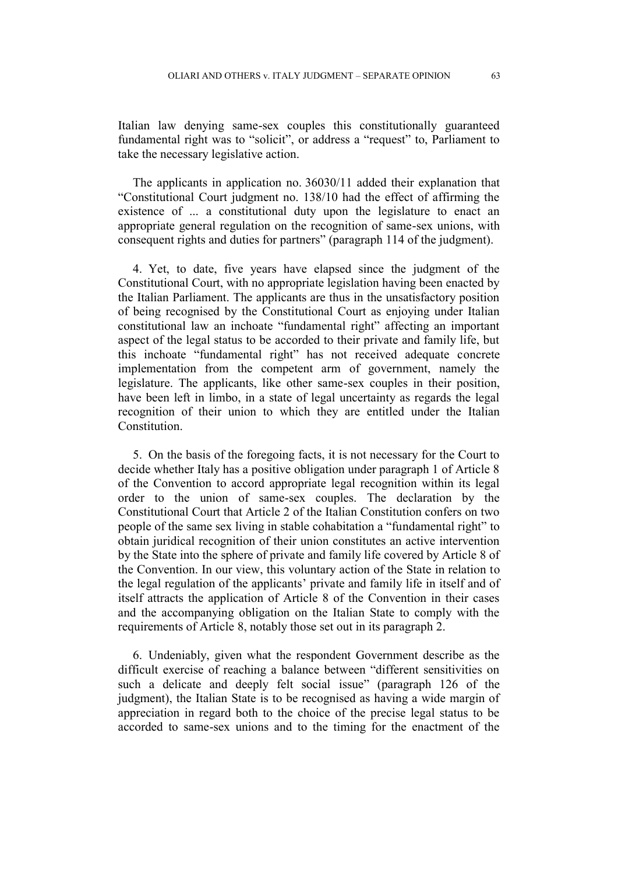Italian law denying same-sex couples this constitutionally guaranteed fundamental right was to "solicit", or address a "request" to, Parliament to take the necessary legislative action.

The applicants in application no. 36030/11 added their explanation that "Constitutional Court judgment no. 138/10 had the effect of affirming the existence of ... a constitutional duty upon the legislature to enact an appropriate general regulation on the recognition of same-sex unions, with consequent rights and duties for partners" (paragraph 114 of the judgment).

4. Yet, to date, five years have elapsed since the judgment of the Constitutional Court, with no appropriate legislation having been enacted by the Italian Parliament. The applicants are thus in the unsatisfactory position of being recognised by the Constitutional Court as enjoying under Italian constitutional law an inchoate "fundamental right" affecting an important aspect of the legal status to be accorded to their private and family life, but this inchoate "fundamental right" has not received adequate concrete implementation from the competent arm of government, namely the legislature. The applicants, like other same-sex couples in their position, have been left in limbo, in a state of legal uncertainty as regards the legal recognition of their union to which they are entitled under the Italian Constitution.

5. On the basis of the foregoing facts, it is not necessary for the Court to decide whether Italy has a positive obligation under paragraph 1 of Article 8 of the Convention to accord appropriate legal recognition within its legal order to the union of same-sex couples. The declaration by the Constitutional Court that Article 2 of the Italian Constitution confers on two people of the same sex living in stable cohabitation a "fundamental right" to obtain juridical recognition of their union constitutes an active intervention by the State into the sphere of private and family life covered by Article 8 of the Convention. In our view, this voluntary action of the State in relation to the legal regulation of the applicants' private and family life in itself and of itself attracts the application of Article 8 of the Convention in their cases and the accompanying obligation on the Italian State to comply with the requirements of Article 8, notably those set out in its paragraph 2.

6. Undeniably, given what the respondent Government describe as the difficult exercise of reaching a balance between "different sensitivities on such a delicate and deeply felt social issue" (paragraph 126 of the judgment), the Italian State is to be recognised as having a wide margin of appreciation in regard both to the choice of the precise legal status to be accorded to same-sex unions and to the timing for the enactment of the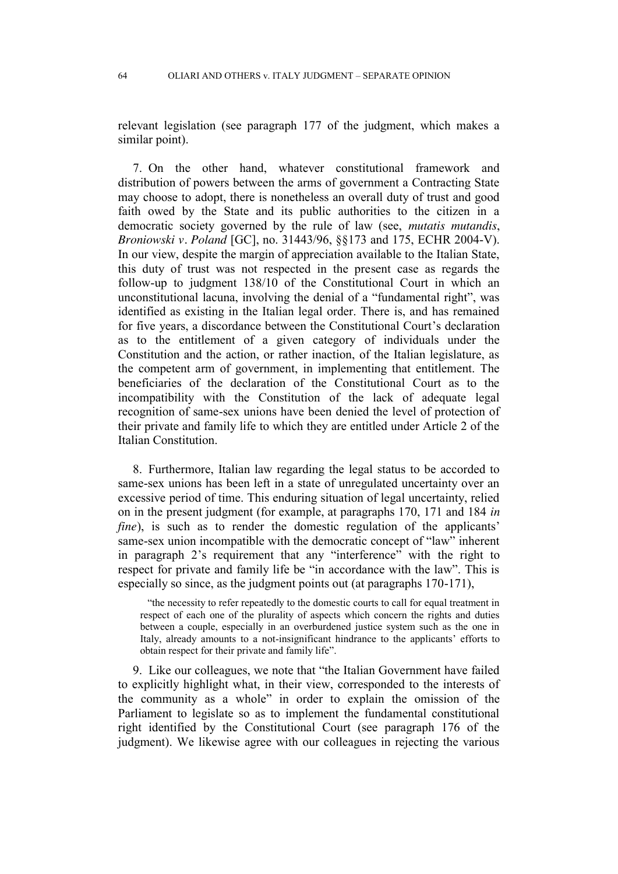relevant legislation (see paragraph 177 of the judgment, which makes a similar point).

7. On the other hand, whatever constitutional framework and distribution of powers between the arms of government a Contracting State may choose to adopt, there is nonetheless an overall duty of trust and good faith owed by the State and its public authorities to the citizen in a democratic society governed by the rule of law (see, *mutatis mutandis*, *Broniowski v. Poland* [GC], no. 31443/96, §§173 and 175, ECHR 2004-V). In our view, despite the margin of appreciation available to the Italian State, this duty of trust was not respected in the present case as regards the follow-up to judgment 138/10 of the Constitutional Court in which an unconstitutional lacuna, involving the denial of a "fundamental right", was identified as existing in the Italian legal order. There is, and has remained for five years, a discordance between the Constitutional Court's declaration as to the entitlement of a given category of individuals under the Constitution and the action, or rather inaction, of the Italian legislature, as the competent arm of government, in implementing that entitlement. The beneficiaries of the declaration of the Constitutional Court as to the incompatibility with the Constitution of the lack of adequate legal recognition of same-sex unions have been denied the level of protection of their private and family life to which they are entitled under Article 2 of the Italian Constitution.

8. Furthermore, Italian law regarding the legal status to be accorded to same-sex unions has been left in a state of unregulated uncertainty over an excessive period of time. This enduring situation of legal uncertainty, relied on in the present judgment (for example, at paragraphs 170, 171 and 184 *in fine*), is such as to render the domestic regulation of the applicants' same-sex union incompatible with the democratic concept of "law" inherent in paragraph 2's requirement that any "interference" with the right to respect for private and family life be "in accordance with the law". This is especially so since, as the judgment points out (at paragraphs 170-171),

"the necessity to refer repeatedly to the domestic courts to call for equal treatment in respect of each one of the plurality of aspects which concern the rights and duties between a couple, especially in an overburdened justice system such as the one in Italy, already amounts to a not-insignificant hindrance to the applicants' efforts to obtain respect for their private and family life".

9. Like our colleagues, we note that "the Italian Government have failed to explicitly highlight what, in their view, corresponded to the interests of the community as a whole" in order to explain the omission of the Parliament to legislate so as to implement the fundamental constitutional right identified by the Constitutional Court (see paragraph 176 of the judgment). We likewise agree with our colleagues in rejecting the various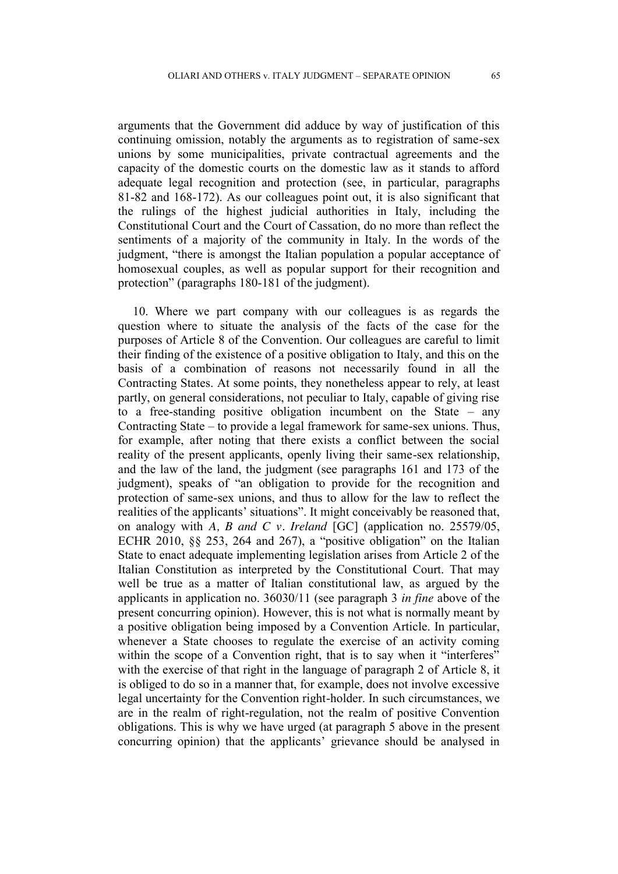arguments that the Government did adduce by way of justification of this continuing omission, notably the arguments as to registration of same-sex unions by some municipalities, private contractual agreements and the capacity of the domestic courts on the domestic law as it stands to afford adequate legal recognition and protection (see, in particular, paragraphs 81-82 and 168-172). As our colleagues point out, it is also significant that the rulings of the highest judicial authorities in Italy, including the Constitutional Court and the Court of Cassation, do no more than reflect the sentiments of a majority of the community in Italy. In the words of the judgment, "there is amongst the Italian population a popular acceptance of homosexual couples, as well as popular support for their recognition and protection" (paragraphs 180-181 of the judgment).

10. Where we part company with our colleagues is as regards the question where to situate the analysis of the facts of the case for the purposes of Article 8 of the Convention. Our colleagues are careful to limit their finding of the existence of a positive obligation to Italy, and this on the basis of a combination of reasons not necessarily found in all the Contracting States. At some points, they nonetheless appear to rely, at least partly, on general considerations, not peculiar to Italy, capable of giving rise to a free-standing positive obligation incumbent on the State – any Contracting State – to provide a legal framework for same-sex unions. Thus, for example, after noting that there exists a conflict between the social reality of the present applicants, openly living their same-sex relationship, and the law of the land, the judgment (see paragraphs 161 and 173 of the judgment), speaks of "an obligation to provide for the recognition and protection of same-sex unions, and thus to allow for the law to reflect the realities of the applicants' situations". It might conceivably be reasoned that, on analogy with *A, B and C v. Ireland* [GC] (application no. 25579/05, ECHR 2010, §§ 253, 264 and 267), a "positive obligation" on the Italian State to enact adequate implementing legislation arises from Article 2 of the Italian Constitution as interpreted by the Constitutional Court. That may well be true as a matter of Italian constitutional law, as argued by the applicants in application no. 36030/11 (see paragraph 3 *in fine* above of the present concurring opinion). However, this is not what is normally meant by a positive obligation being imposed by a Convention Article. In particular, whenever a State chooses to regulate the exercise of an activity coming within the scope of a Convention right, that is to say when it "interferes" with the exercise of that right in the language of paragraph 2 of Article 8, it is obliged to do so in a manner that, for example, does not involve excessive legal uncertainty for the Convention right-holder. In such circumstances, we are in the realm of right-regulation, not the realm of positive Convention obligations. This is why we have urged (at paragraph 5 above in the present concurring opinion) that the applicants' grievance should be analysed in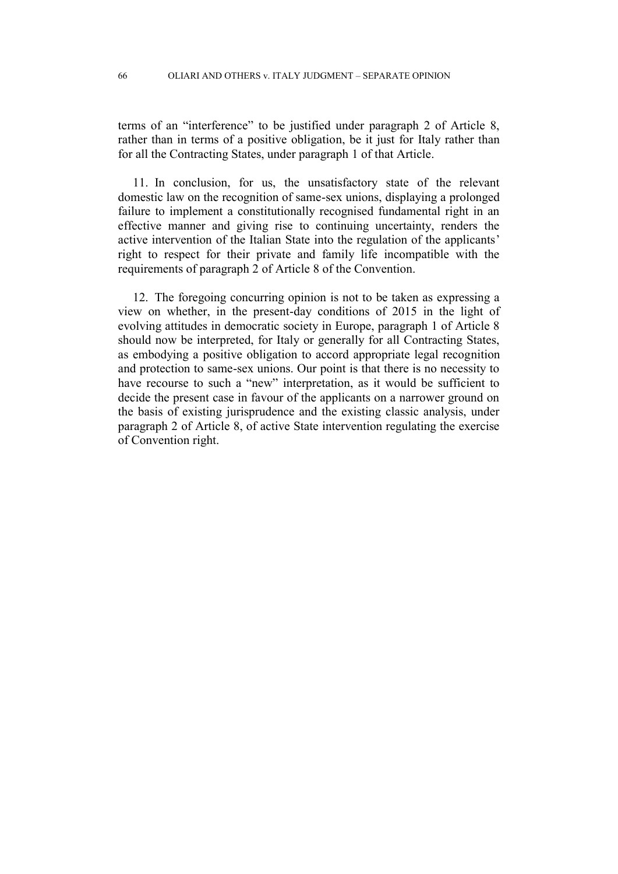terms of an "interference" to be justified under paragraph 2 of Article 8, rather than in terms of a positive obligation, be it just for Italy rather than for all the Contracting States, under paragraph 1 of that Article.

11. In conclusion, for us, the unsatisfactory state of the relevant domestic law on the recognition of same-sex unions, displaying a prolonged failure to implement a constitutionally recognised fundamental right in an effective manner and giving rise to continuing uncertainty, renders the active intervention of the Italian State into the regulation of the applicants' right to respect for their private and family life incompatible with the requirements of paragraph 2 of Article 8 of the Convention.

12. The foregoing concurring opinion is not to be taken as expressing a view on whether, in the present-day conditions of 2015 in the light of evolving attitudes in democratic society in Europe, paragraph 1 of Article 8 should now be interpreted, for Italy or generally for all Contracting States, as embodying a positive obligation to accord appropriate legal recognition and protection to same-sex unions. Our point is that there is no necessity to have recourse to such a "new" interpretation, as it would be sufficient to decide the present case in favour of the applicants on a narrower ground on the basis of existing jurisprudence and the existing classic analysis, under paragraph 2 of Article 8, of active State intervention regulating the exercise of Convention right.